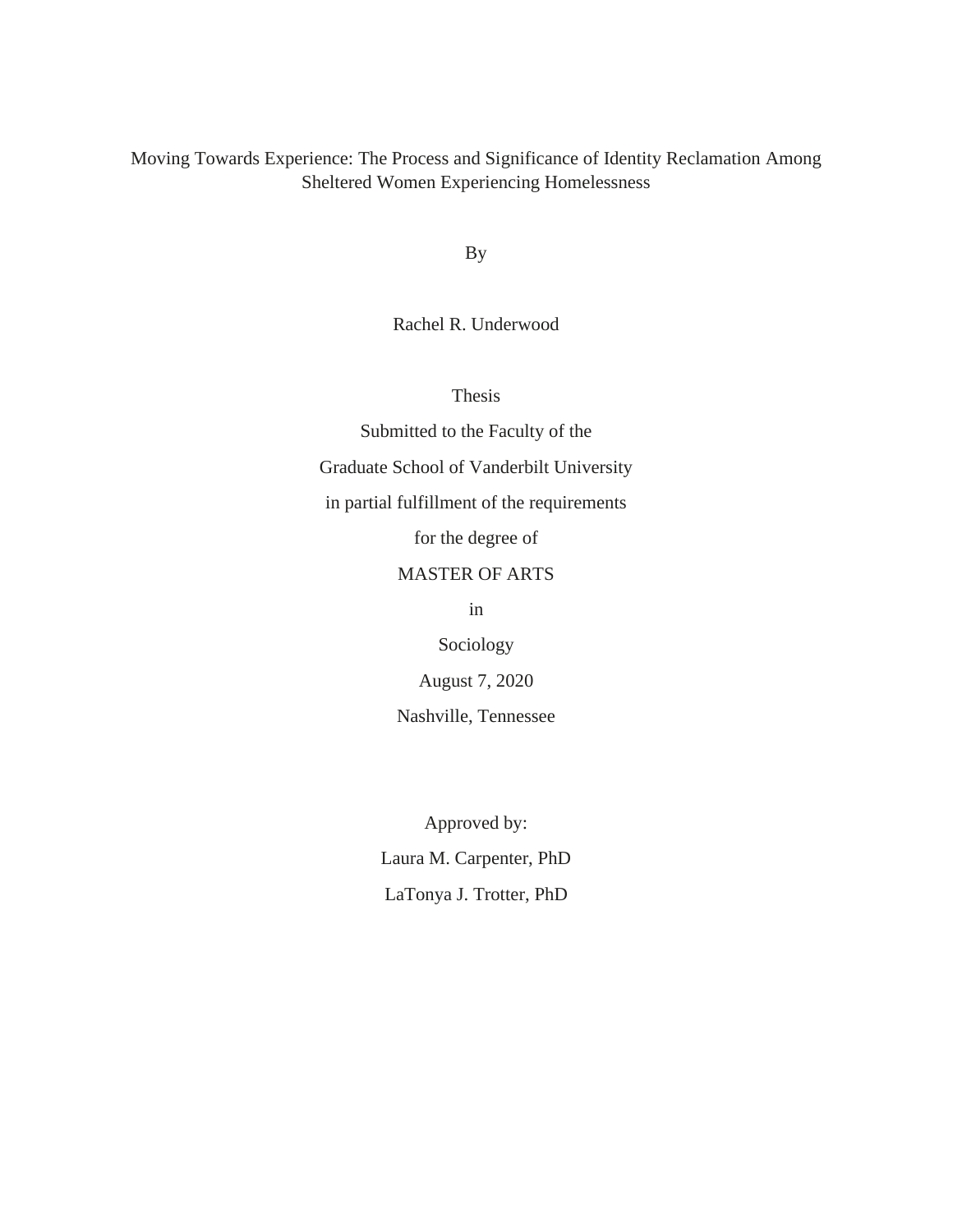## Moving Towards Experience: The Process and Significance of Identity Reclamation Among Sheltered Women Experiencing Homelessness

By

Rachel R. Underwood

Thesis

Submitted to the Faculty of the Graduate School of Vanderbilt University in partial fulfillment of the requirements for the degree of MASTER OF ARTS in

> Sociology August 7, 2020

Nashville, Tennessee

Approved by: Laura M. Carpenter, PhD LaTonya J. Trotter, PhD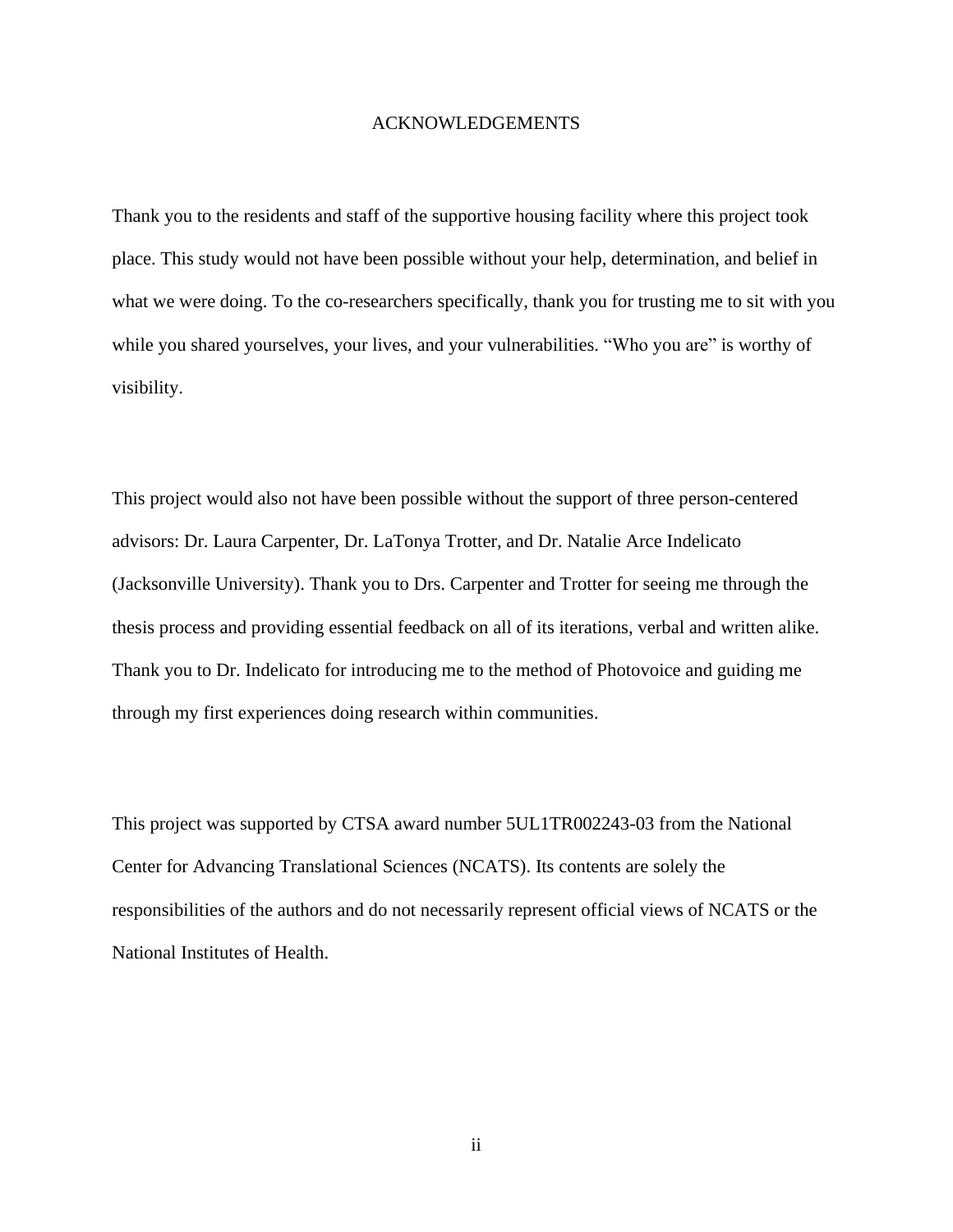## ACKNOWLEDGEMENTS

Thank you to the residents and staff of the supportive housing facility where this project took place. This study would not have been possible without your help, determination, and belief in what we were doing. To the co-researchers specifically, thank you for trusting me to sit with you while you shared yourselves, your lives, and your vulnerabilities. "Who you are" is worthy of visibility.

This project would also not have been possible without the support of three person-centered advisors: Dr. Laura Carpenter, Dr. LaTonya Trotter, and Dr. Natalie Arce Indelicato (Jacksonville University). Thank you to Drs. Carpenter and Trotter for seeing me through the thesis process and providing essential feedback on all of its iterations, verbal and written alike. Thank you to Dr. Indelicato for introducing me to the method of Photovoice and guiding me through my first experiences doing research within communities.

This project was supported by CTSA award number 5UL1TR002243-03 from the National Center for Advancing Translational Sciences (NCATS). Its contents are solely the responsibilities of the authors and do not necessarily represent official views of NCATS or the National Institutes of Health.

ii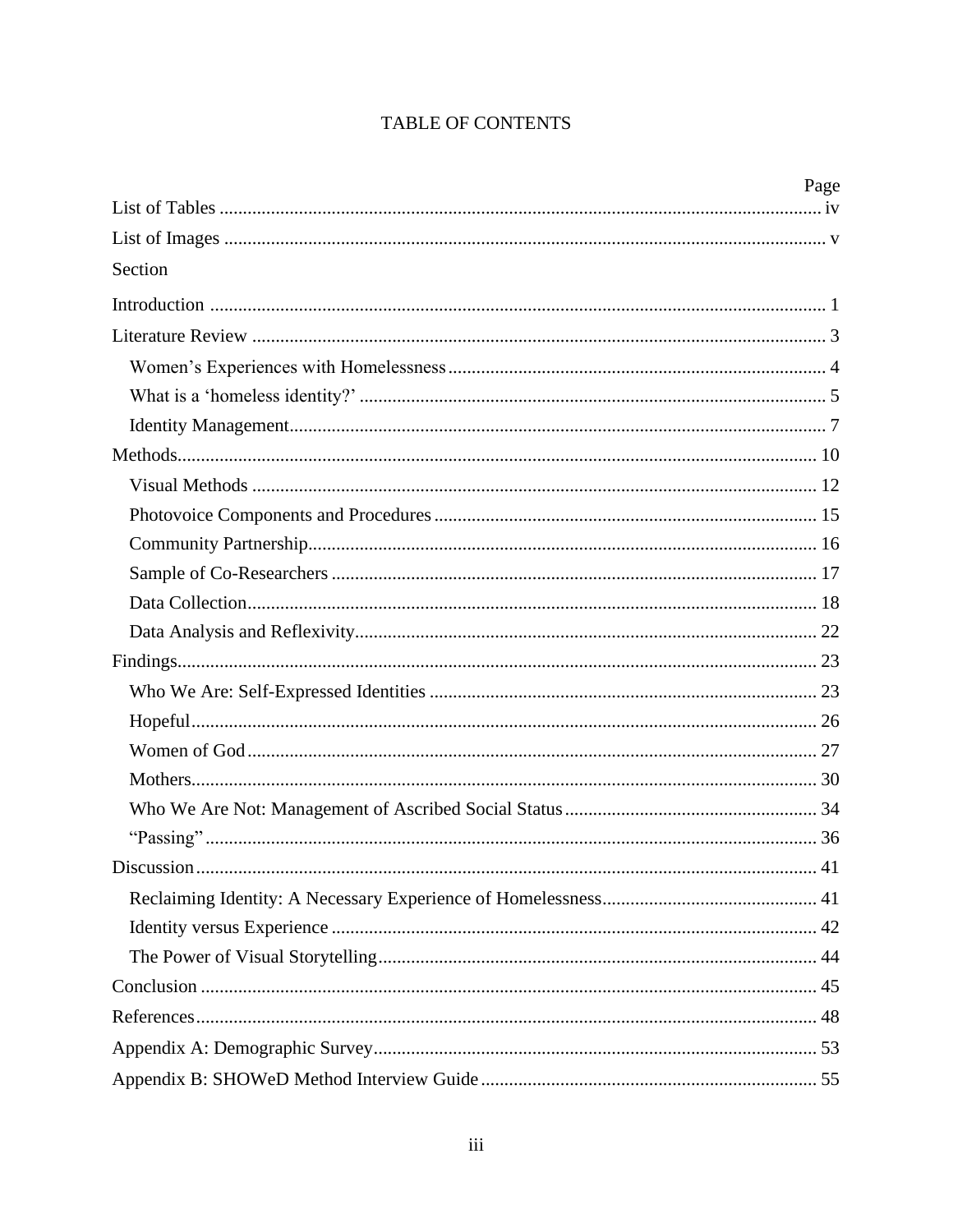# TABLE OF CONTENTS

|         | Page |
|---------|------|
|         |      |
|         |      |
| Section |      |
|         |      |
|         |      |
|         |      |
|         |      |
|         |      |
|         |      |
|         |      |
|         |      |
|         |      |
|         |      |
|         |      |
|         |      |
|         |      |
|         |      |
|         |      |
|         |      |
|         |      |
|         |      |
|         |      |
|         |      |
|         |      |
|         |      |
|         |      |
|         |      |
|         |      |
|         |      |
|         |      |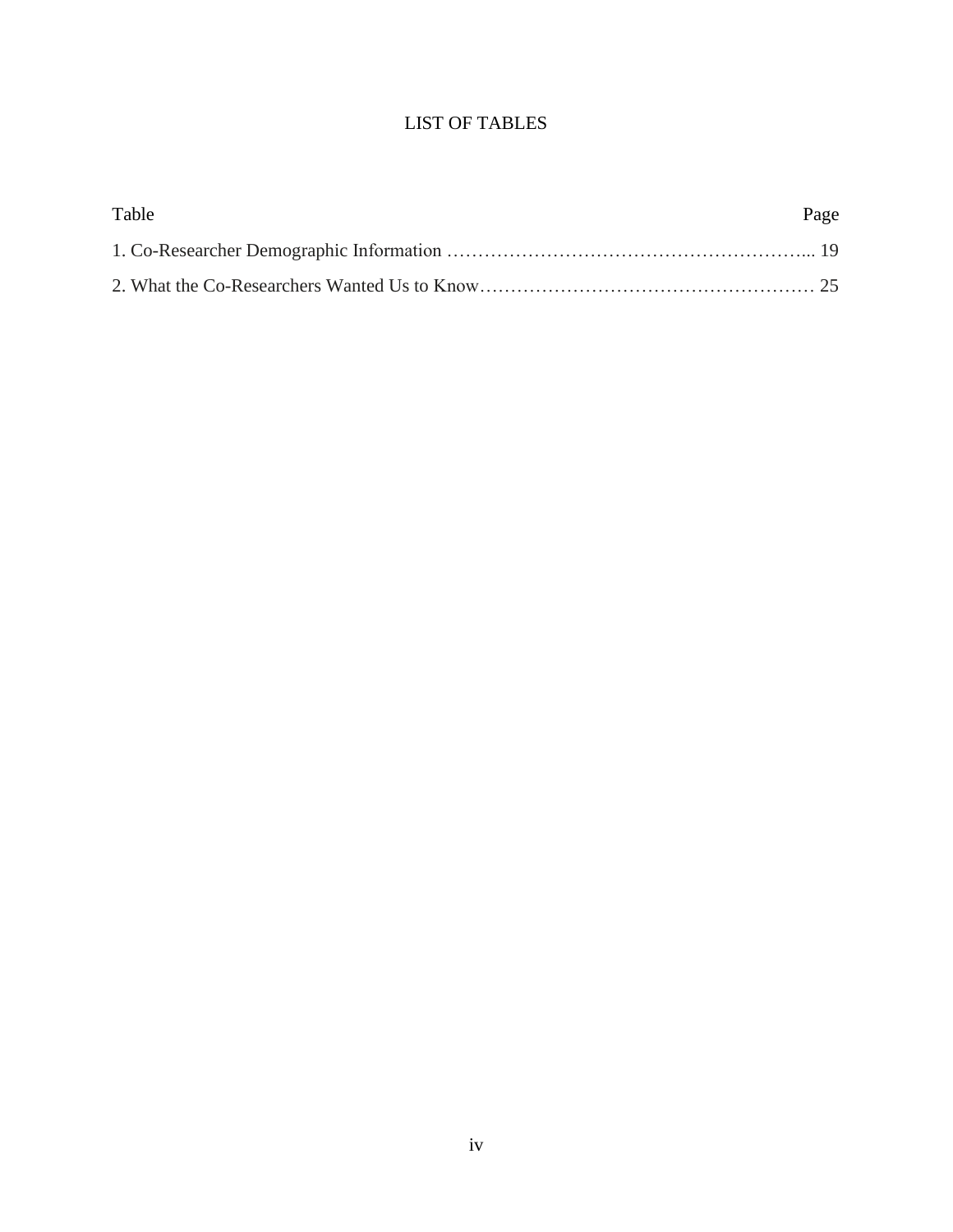# LIST OF TABLES

<span id="page-3-0"></span>

| Table | Page |
|-------|------|
|       |      |
|       |      |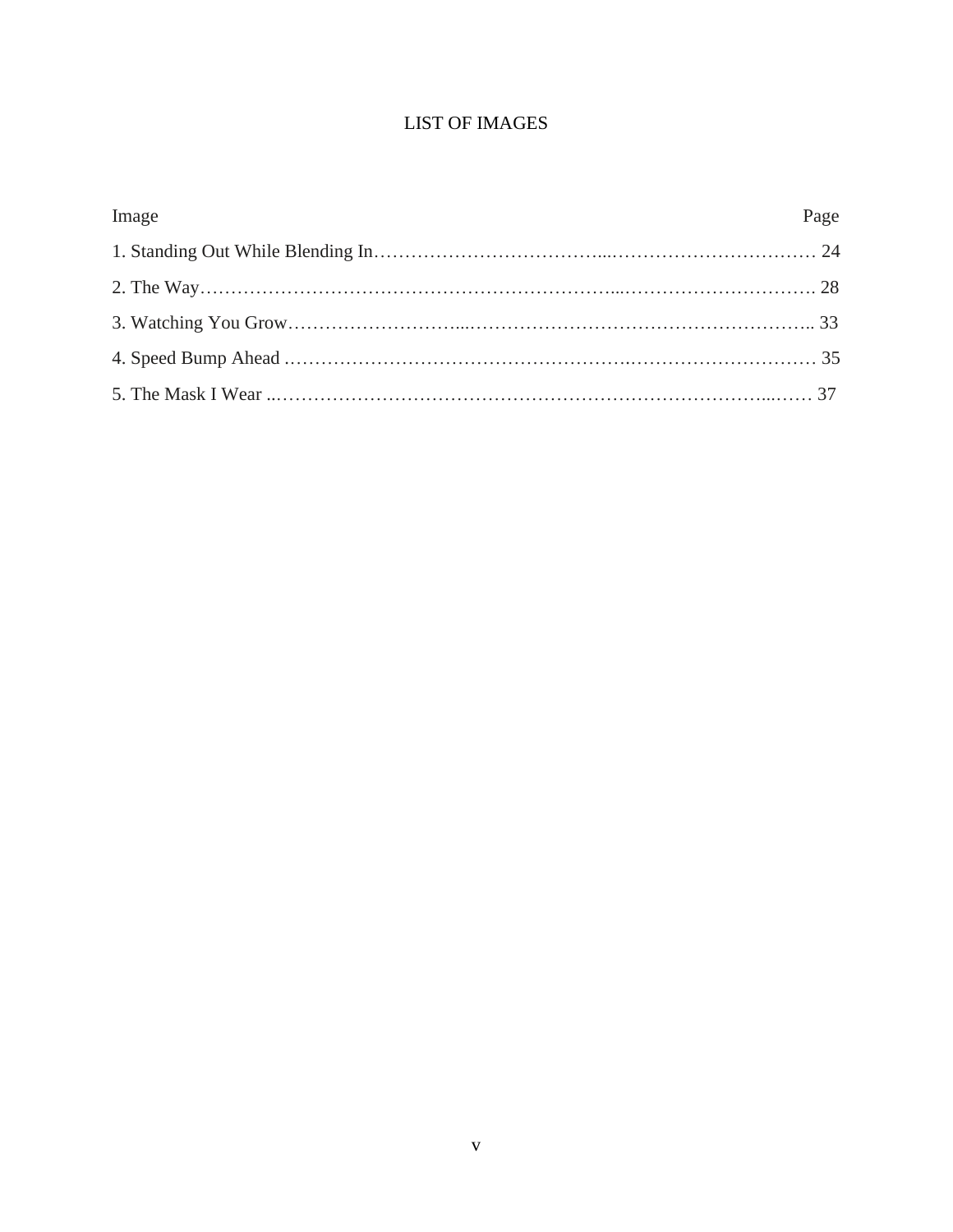# LIST OF IMAGES

<span id="page-4-0"></span>

| Image | Page |
|-------|------|
|       |      |
|       |      |
|       |      |
|       |      |
|       |      |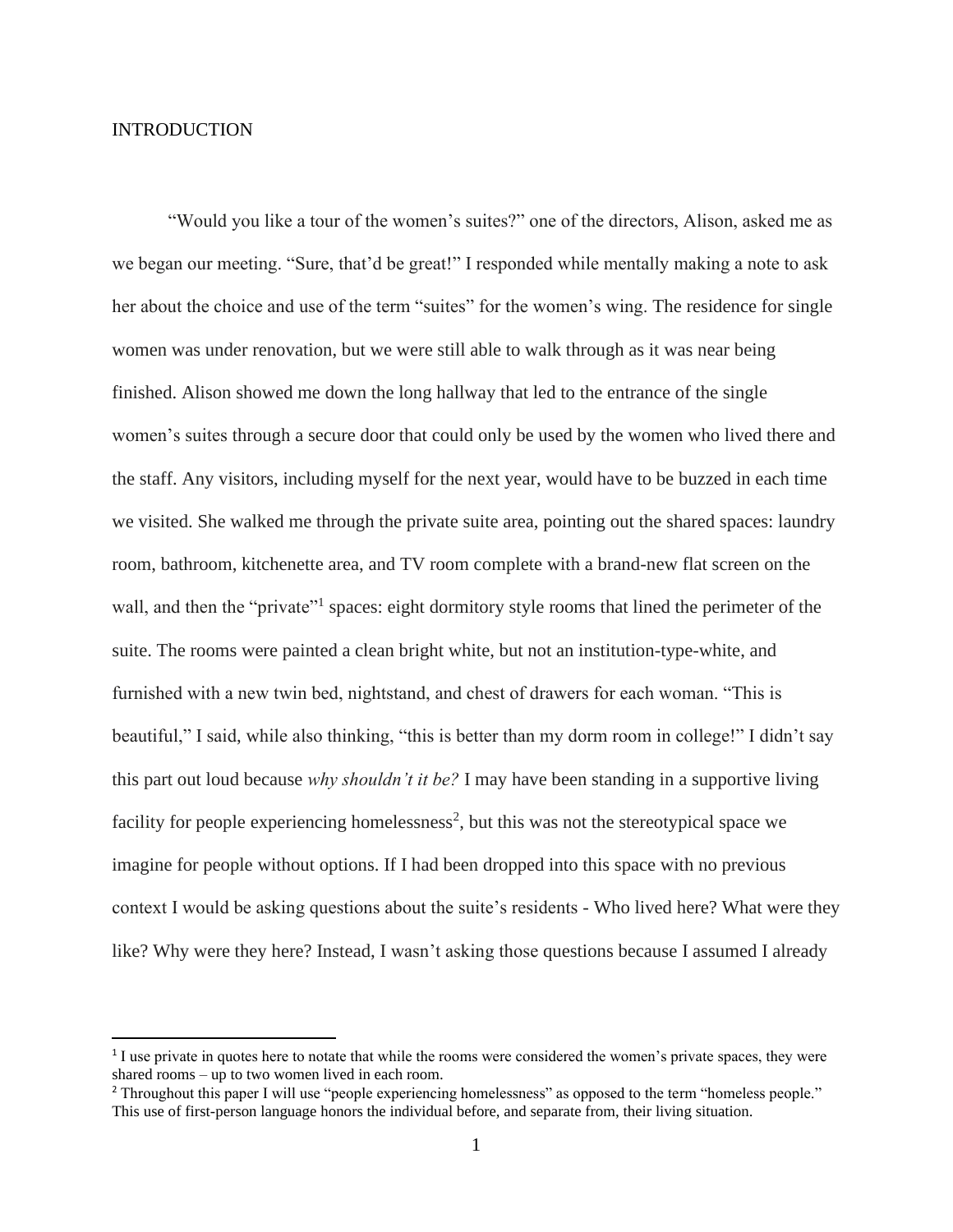## <span id="page-5-0"></span>INTRODUCTION

"Would you like a tour of the women's suites?" one of the directors, Alison, asked me as we began our meeting. "Sure, that'd be great!" I responded while mentally making a note to ask her about the choice and use of the term "suites" for the women's wing. The residence for single women was under renovation, but we were still able to walk through as it was near being finished. Alison showed me down the long hallway that led to the entrance of the single women's suites through a secure door that could only be used by the women who lived there and the staff. Any visitors, including myself for the next year, would have to be buzzed in each time we visited. She walked me through the private suite area, pointing out the shared spaces: laundry room, bathroom, kitchenette area, and TV room complete with a brand-new flat screen on the wall, and then the "private"<sup>1</sup> spaces: eight dormitory style rooms that lined the perimeter of the suite. The rooms were painted a clean bright white, but not an institution-type-white, and furnished with a new twin bed, nightstand, and chest of drawers for each woman. "This is beautiful," I said, while also thinking, "this is better than my dorm room in college!" I didn't say this part out loud because *why shouldn't it be?* I may have been standing in a supportive living facility for people experiencing homelessness<sup>2</sup>, but this was not the stereotypical space we imagine for people without options. If I had been dropped into this space with no previous context I would be asking questions about the suite's residents - Who lived here? What were they like? Why were they here? Instead, I wasn't asking those questions because I assumed I already

<sup>&</sup>lt;sup>1</sup>I use private in quotes here to notate that while the rooms were considered the women's private spaces, they were shared rooms – up to two women lived in each room.

<sup>&</sup>lt;sup>2</sup> Throughout this paper I will use "people experiencing homelessness" as opposed to the term "homeless people." This use of first-person language honors the individual before, and separate from, their living situation.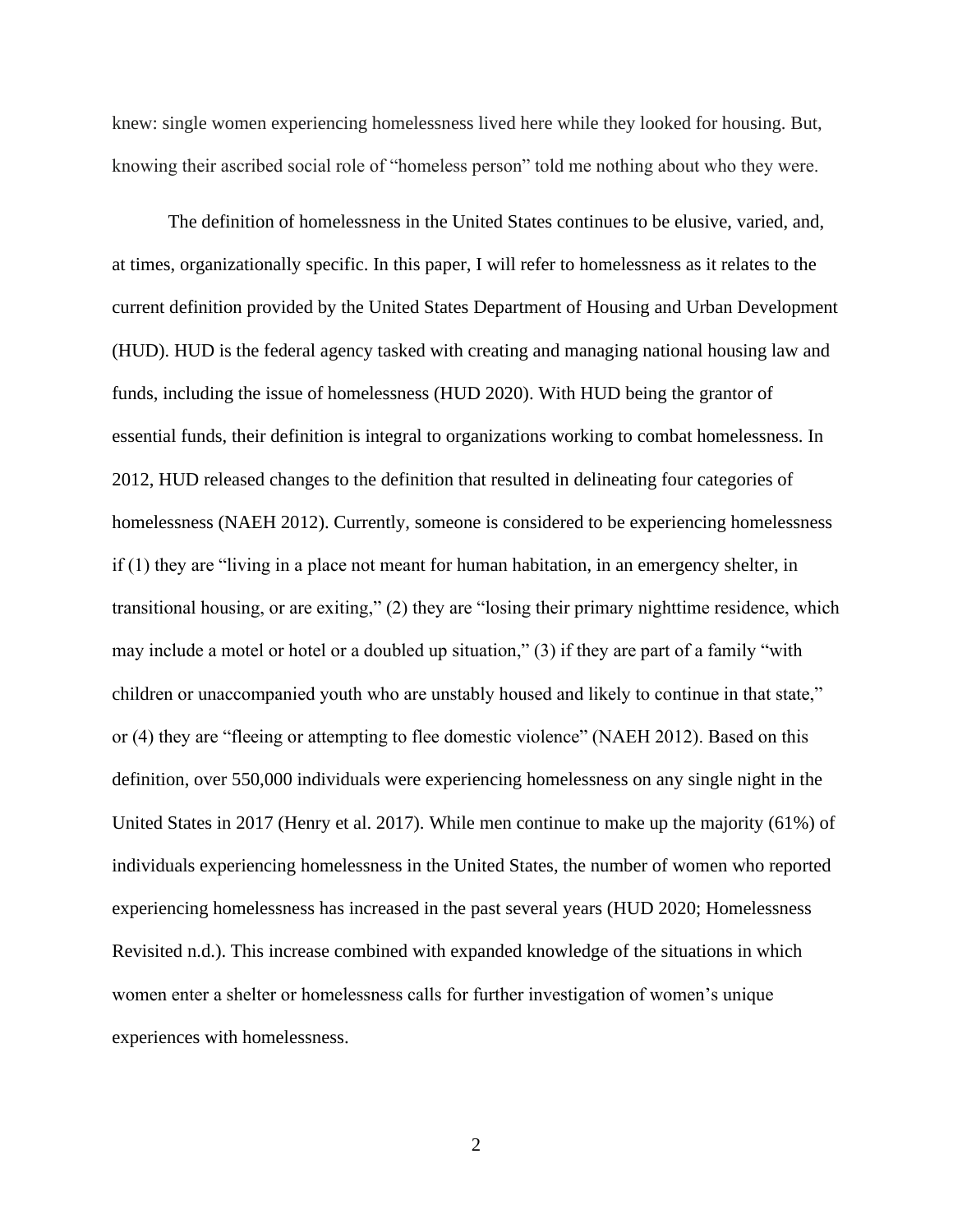knew: single women experiencing homelessness lived here while they looked for housing. But, knowing their ascribed social role of "homeless person" told me nothing about who they were.

The definition of homelessness in the United States continues to be elusive, varied, and, at times, organizationally specific. In this paper, I will refer to homelessness as it relates to the current definition provided by the United States Department of Housing and Urban Development (HUD). HUD is the federal agency tasked with creating and managing national housing law and funds, including the issue of homelessness (HUD 2020). With HUD being the grantor of essential funds, their definition is integral to organizations working to combat homelessness. In 2012, HUD released changes to the definition that resulted in delineating four categories of homelessness (NAEH 2012). Currently, someone is considered to be experiencing homelessness if (1) they are "living in a place not meant for human habitation, in an emergency shelter, in transitional housing, or are exiting," (2) they are "losing their primary nighttime residence, which may include a motel or hotel or a doubled up situation," (3) if they are part of a family "with children or unaccompanied youth who are unstably housed and likely to continue in that state," or (4) they are "fleeing or attempting to flee domestic violence" (NAEH 2012). Based on this definition, over 550,000 individuals were experiencing homelessness on any single night in the United States in 2017 (Henry et al. 2017). While men continue to make up the majority (61%) of individuals experiencing homelessness in the United States, the number of women who reported experiencing homelessness has increased in the past several years (HUD 2020; Homelessness Revisited n.d.). This increase combined with expanded knowledge of the situations in which women enter a shelter or homelessness calls for further investigation of women's unique experiences with homelessness.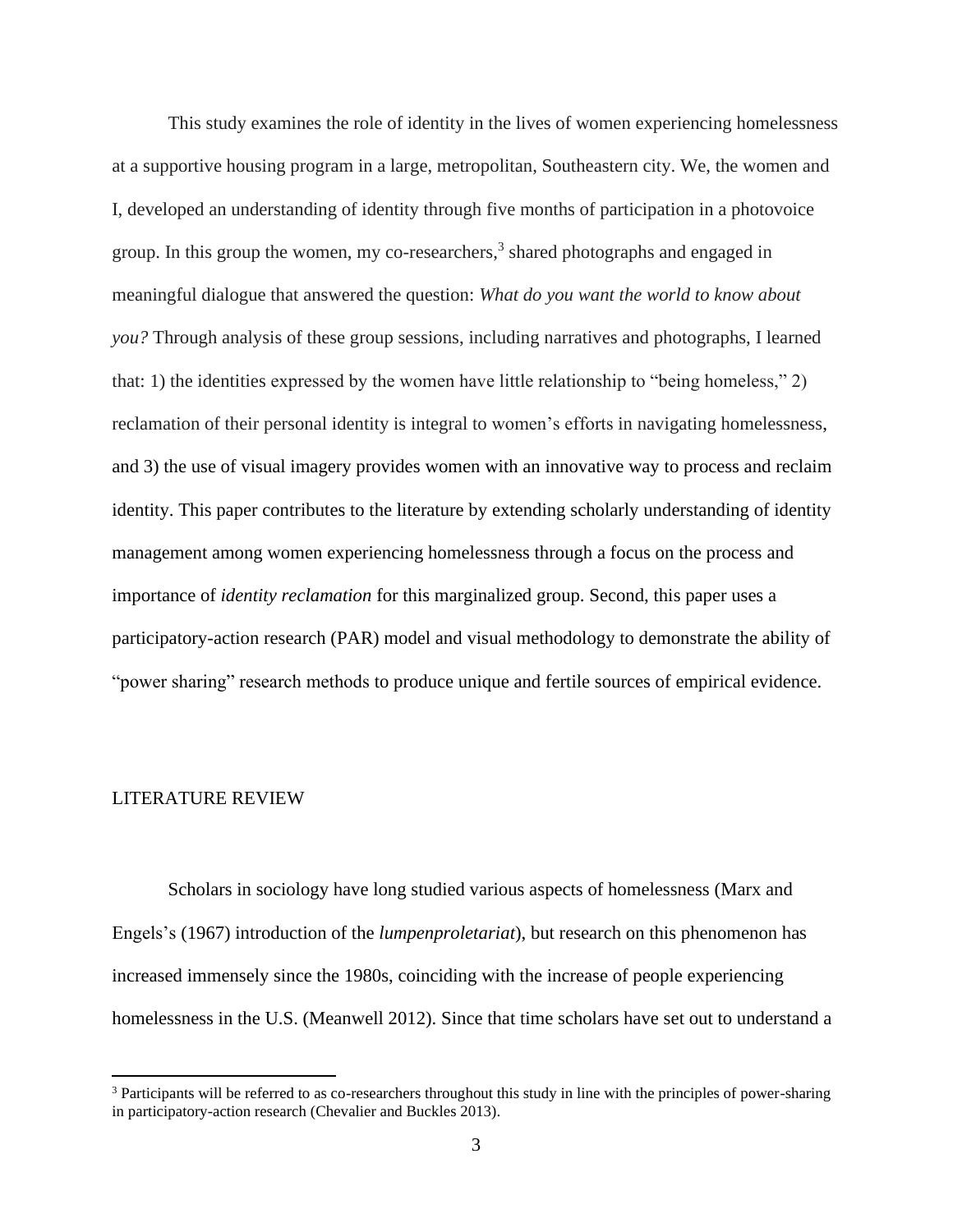This study examines the role of identity in the lives of women experiencing homelessness at a supportive housing program in a large, metropolitan, Southeastern city. We, the women and I, developed an understanding of identity through five months of participation in a photovoice group. In this group the women, my co-researchers, 3 shared photographs and engaged in meaningful dialogue that answered the question: *What do you want the world to know about you?* Through analysis of these group sessions, including narratives and photographs, I learned that: 1) the identities expressed by the women have little relationship to "being homeless," 2) reclamation of their personal identity is integral to women's efforts in navigating homelessness, and 3) the use of visual imagery provides women with an innovative way to process and reclaim identity. This paper contributes to the literature by extending scholarly understanding of identity management among women experiencing homelessness through a focus on the process and importance of *identity reclamation* for this marginalized group. Second, this paper uses a participatory-action research (PAR) model and visual methodology to demonstrate the ability of "power sharing" research methods to produce unique and fertile sources of empirical evidence.

## <span id="page-7-0"></span>LITERATURE REVIEW

Scholars in sociology have long studied various aspects of homelessness (Marx and Engels's (1967) introduction of the *lumpenproletariat*), but research on this phenomenon has increased immensely since the 1980s, coinciding with the increase of people experiencing homelessness in the U.S. (Meanwell 2012). Since that time scholars have set out to understand a

<sup>&</sup>lt;sup>3</sup> Participants will be referred to as co-researchers throughout this study in line with the principles of power-sharing in participatory-action research (Chevalier and Buckles 2013).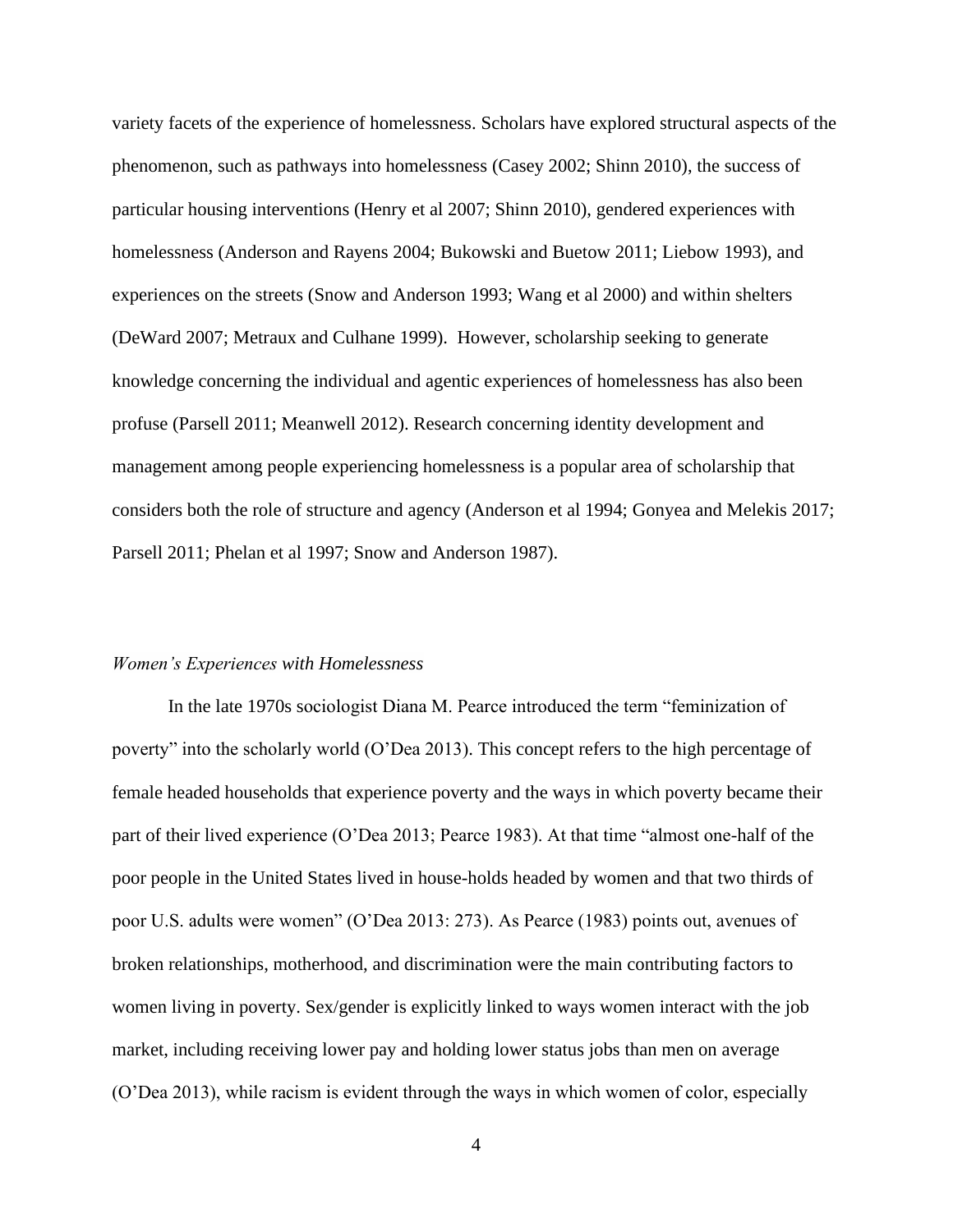variety facets of the experience of homelessness. Scholars have explored structural aspects of the phenomenon, such as pathways into homelessness (Casey 2002; Shinn 2010), the success of particular housing interventions (Henry et al 2007; Shinn 2010), gendered experiences with homelessness (Anderson and Rayens 2004; Bukowski and Buetow 2011; Liebow 1993), and experiences on the streets (Snow and Anderson 1993; Wang et al 2000) and within shelters (DeWard 2007; Metraux and Culhane 1999). However, scholarship seeking to generate knowledge concerning the individual and agentic experiences of homelessness has also been profuse (Parsell 2011; Meanwell 2012). Research concerning identity development and management among people experiencing homelessness is a popular area of scholarship that considers both the role of structure and agency (Anderson et al 1994; Gonyea and Melekis 2017; Parsell 2011; Phelan et al 1997; Snow and Anderson 1987).

#### <span id="page-8-0"></span>*Women's Experiences with Homelessness*

In the late 1970s sociologist Diana M. Pearce introduced the term "feminization of poverty" into the scholarly world (O'Dea 2013). This concept refers to the high percentage of female headed households that experience poverty and the ways in which poverty became their part of their lived experience (O'Dea 2013; Pearce 1983). At that time "almost one-half of the poor people in the United States lived in house-holds headed by women and that two thirds of poor U.S. adults were women" (O'Dea 2013: 273). As Pearce (1983) points out, avenues of broken relationships, motherhood, and discrimination were the main contributing factors to women living in poverty. Sex/gender is explicitly linked to ways women interact with the job market, including receiving lower pay and holding lower status jobs than men on average (O'Dea 2013), while racism is evident through the ways in which women of color, especially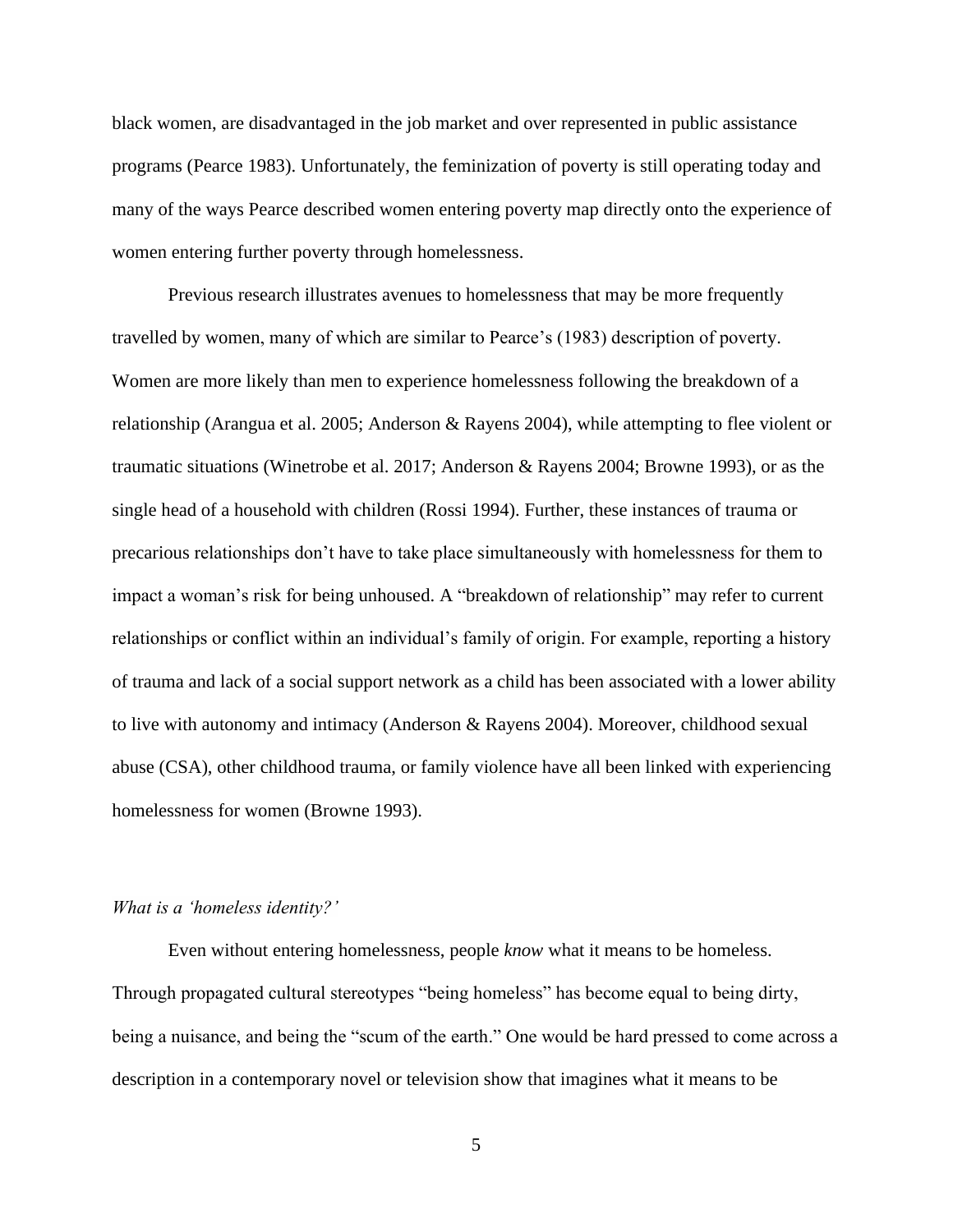black women, are disadvantaged in the job market and over represented in public assistance programs (Pearce 1983). Unfortunately, the feminization of poverty is still operating today and many of the ways Pearce described women entering poverty map directly onto the experience of women entering further poverty through homelessness.

Previous research illustrates avenues to homelessness that may be more frequently travelled by women, many of which are similar to Pearce's (1983) description of poverty. Women are more likely than men to experience homelessness following the breakdown of a relationship (Arangua et al. 2005; Anderson & Rayens 2004), while attempting to flee violent or traumatic situations (Winetrobe et al. 2017; Anderson & Rayens 2004; Browne 1993), or as the single head of a household with children (Rossi 1994). Further, these instances of trauma or precarious relationships don't have to take place simultaneously with homelessness for them to impact a woman's risk for being unhoused. A "breakdown of relationship" may refer to current relationships or conflict within an individual's family of origin. For example, reporting a history of trauma and lack of a social support network as a child has been associated with a lower ability to live with autonomy and intimacy (Anderson & Rayens 2004). Moreover, childhood sexual abuse (CSA), other childhood trauma, or family violence have all been linked with experiencing homelessness for women (Browne 1993).

### <span id="page-9-0"></span>*What is a 'homeless identity?'*

Even without entering homelessness, people *know* what it means to be homeless. Through propagated cultural stereotypes "being homeless" has become equal to being dirty, being a nuisance, and being the "scum of the earth." One would be hard pressed to come across a description in a contemporary novel or television show that imagines what it means to be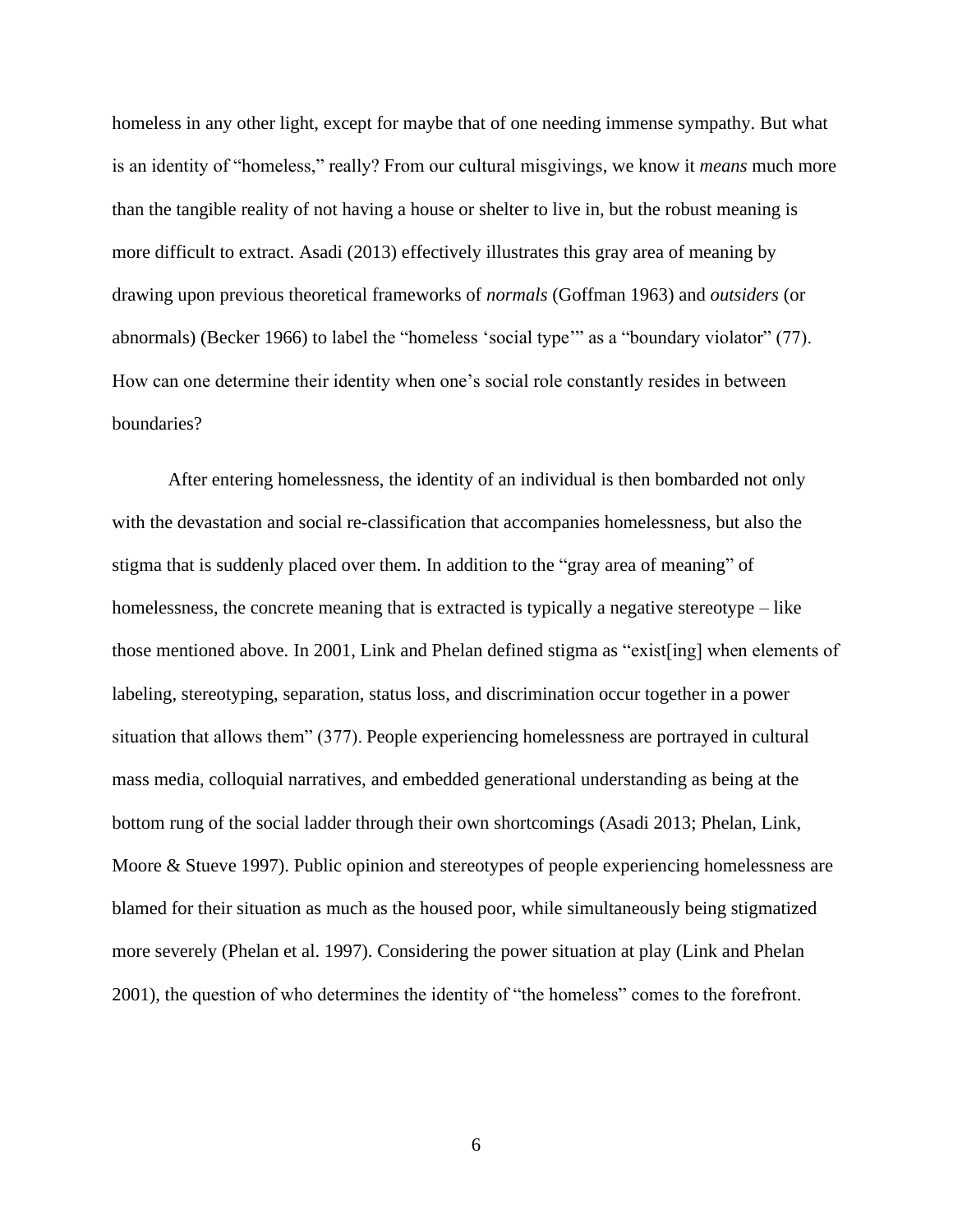homeless in any other light, except for maybe that of one needing immense sympathy. But what is an identity of "homeless," really? From our cultural misgivings, we know it *means* much more than the tangible reality of not having a house or shelter to live in, but the robust meaning is more difficult to extract. Asadi (2013) effectively illustrates this gray area of meaning by drawing upon previous theoretical frameworks of *normals* (Goffman 1963) and *outsiders* (or abnormals) (Becker 1966) to label the "homeless 'social type'" as a "boundary violator" (77). How can one determine their identity when one's social role constantly resides in between boundaries?

After entering homelessness, the identity of an individual is then bombarded not only with the devastation and social re-classification that accompanies homelessness, but also the stigma that is suddenly placed over them. In addition to the "gray area of meaning" of homelessness, the concrete meaning that is extracted is typically a negative stereotype – like those mentioned above. In 2001, Link and Phelan defined stigma as "exist[ing] when elements of labeling, stereotyping, separation, status loss, and discrimination occur together in a power situation that allows them" (377). People experiencing homelessness are portrayed in cultural mass media, colloquial narratives, and embedded generational understanding as being at the bottom rung of the social ladder through their own shortcomings (Asadi 2013; Phelan, Link, Moore & Stueve 1997). Public opinion and stereotypes of people experiencing homelessness are blamed for their situation as much as the housed poor, while simultaneously being stigmatized more severely (Phelan et al. 1997). Considering the power situation at play (Link and Phelan 2001), the question of who determines the identity of "the homeless" comes to the forefront.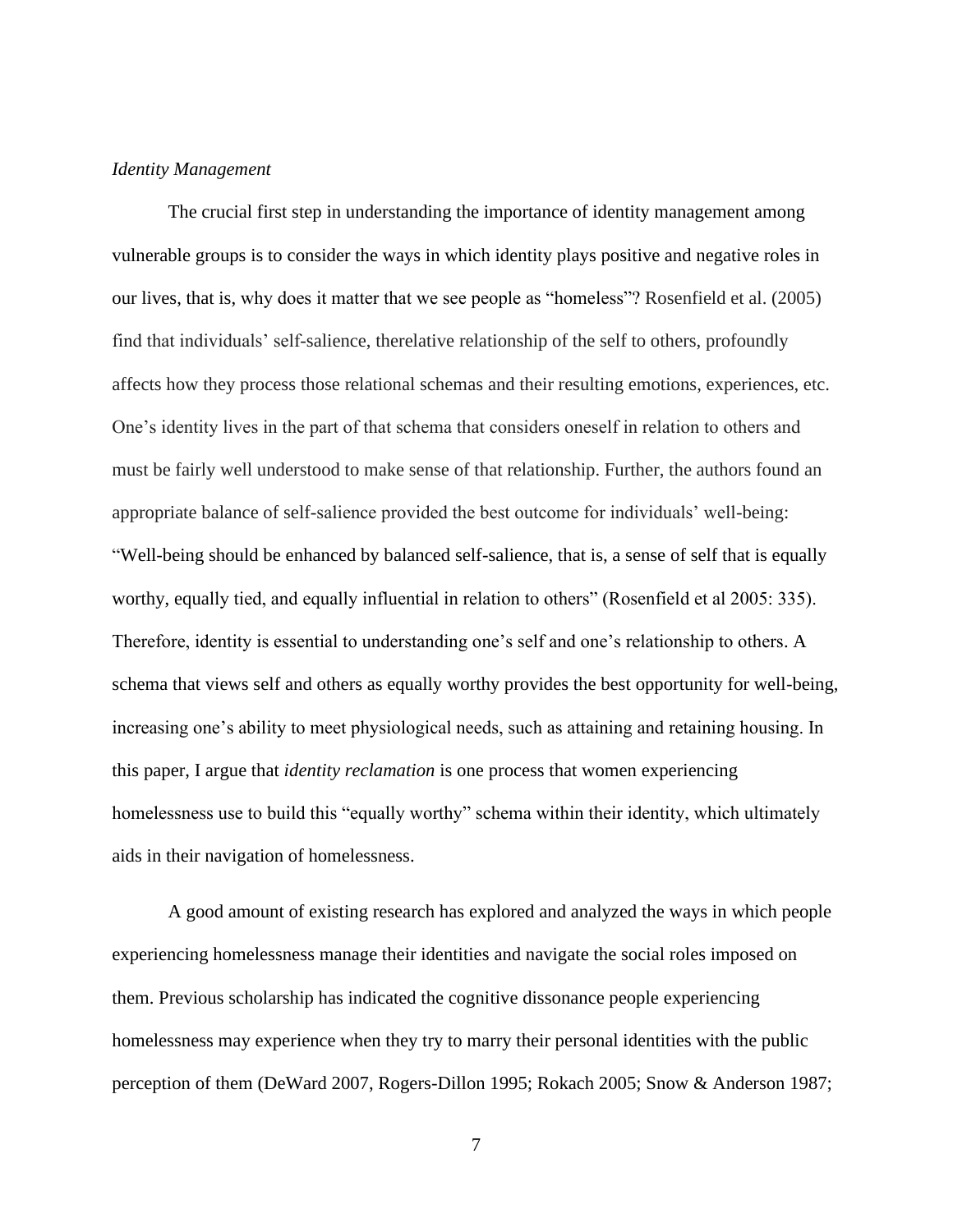#### <span id="page-11-0"></span>*Identity Management*

The crucial first step in understanding the importance of identity management among vulnerable groups is to consider the ways in which identity plays positive and negative roles in our lives, that is, why does it matter that we see people as "homeless"? Rosenfield et al. (2005) find that individuals' self-salience, therelative relationship of the self to others, profoundly affects how they process those relational schemas and their resulting emotions, experiences, etc. One's identity lives in the part of that schema that considers oneself in relation to others and must be fairly well understood to make sense of that relationship. Further, the authors found an appropriate balance of self-salience provided the best outcome for individuals' well-being: "Well-being should be enhanced by balanced self-salience, that is, a sense of self that is equally worthy, equally tied, and equally influential in relation to others" (Rosenfield et al 2005: 335). Therefore, identity is essential to understanding one's self and one's relationship to others. A schema that views self and others as equally worthy provides the best opportunity for well-being, increasing one's ability to meet physiological needs, such as attaining and retaining housing. In this paper, I argue that *identity reclamation* is one process that women experiencing homelessness use to build this "equally worthy" schema within their identity, which ultimately aids in their navigation of homelessness.

A good amount of existing research has explored and analyzed the ways in which people experiencing homelessness manage their identities and navigate the social roles imposed on them. Previous scholarship has indicated the cognitive dissonance people experiencing homelessness may experience when they try to marry their personal identities with the public perception of them (DeWard 2007, Rogers-Dillon 1995; Rokach 2005; Snow & Anderson 1987;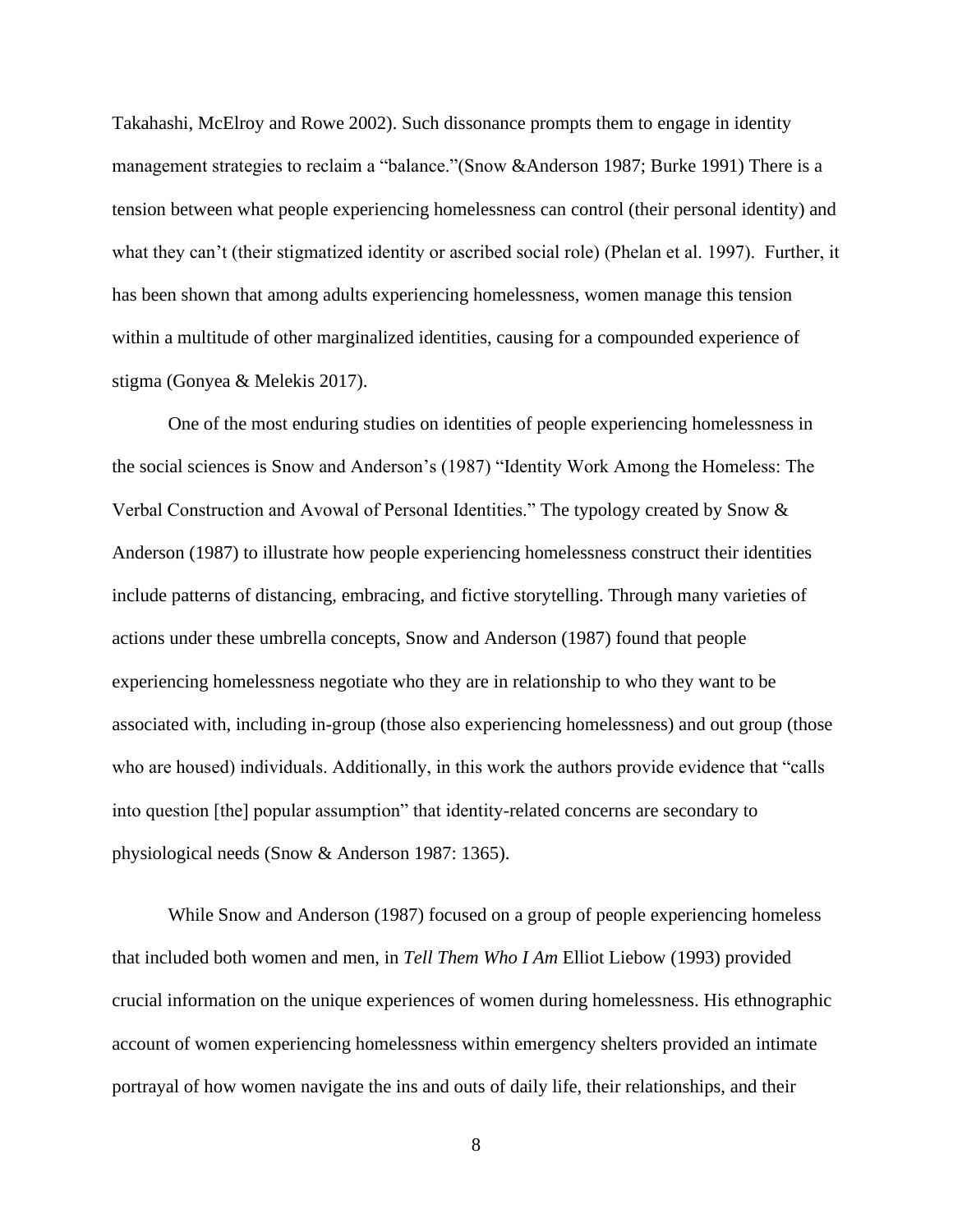Takahashi, McElroy and Rowe 2002). Such dissonance prompts them to engage in identity management strategies to reclaim a "balance."(Snow &Anderson 1987; Burke 1991) There is a tension between what people experiencing homelessness can control (their personal identity) and what they can't (their stigmatized identity or ascribed social role) (Phelan et al. 1997). Further, it has been shown that among adults experiencing homelessness, women manage this tension within a multitude of other marginalized identities, causing for a compounded experience of stigma (Gonyea & Melekis 2017).

One of the most enduring studies on identities of people experiencing homelessness in the social sciences is Snow and Anderson's (1987) "Identity Work Among the Homeless: The Verbal Construction and Avowal of Personal Identities." The typology created by Snow & Anderson (1987) to illustrate how people experiencing homelessness construct their identities include patterns of distancing, embracing, and fictive storytelling. Through many varieties of actions under these umbrella concepts, Snow and Anderson (1987) found that people experiencing homelessness negotiate who they are in relationship to who they want to be associated with, including in-group (those also experiencing homelessness) and out group (those who are housed) individuals. Additionally, in this work the authors provide evidence that "calls into question [the] popular assumption" that identity-related concerns are secondary to physiological needs (Snow & Anderson 1987: 1365).

While Snow and Anderson (1987) focused on a group of people experiencing homeless that included both women and men, in *Tell Them Who I Am* Elliot Liebow (1993) provided crucial information on the unique experiences of women during homelessness. His ethnographic account of women experiencing homelessness within emergency shelters provided an intimate portrayal of how women navigate the ins and outs of daily life, their relationships, and their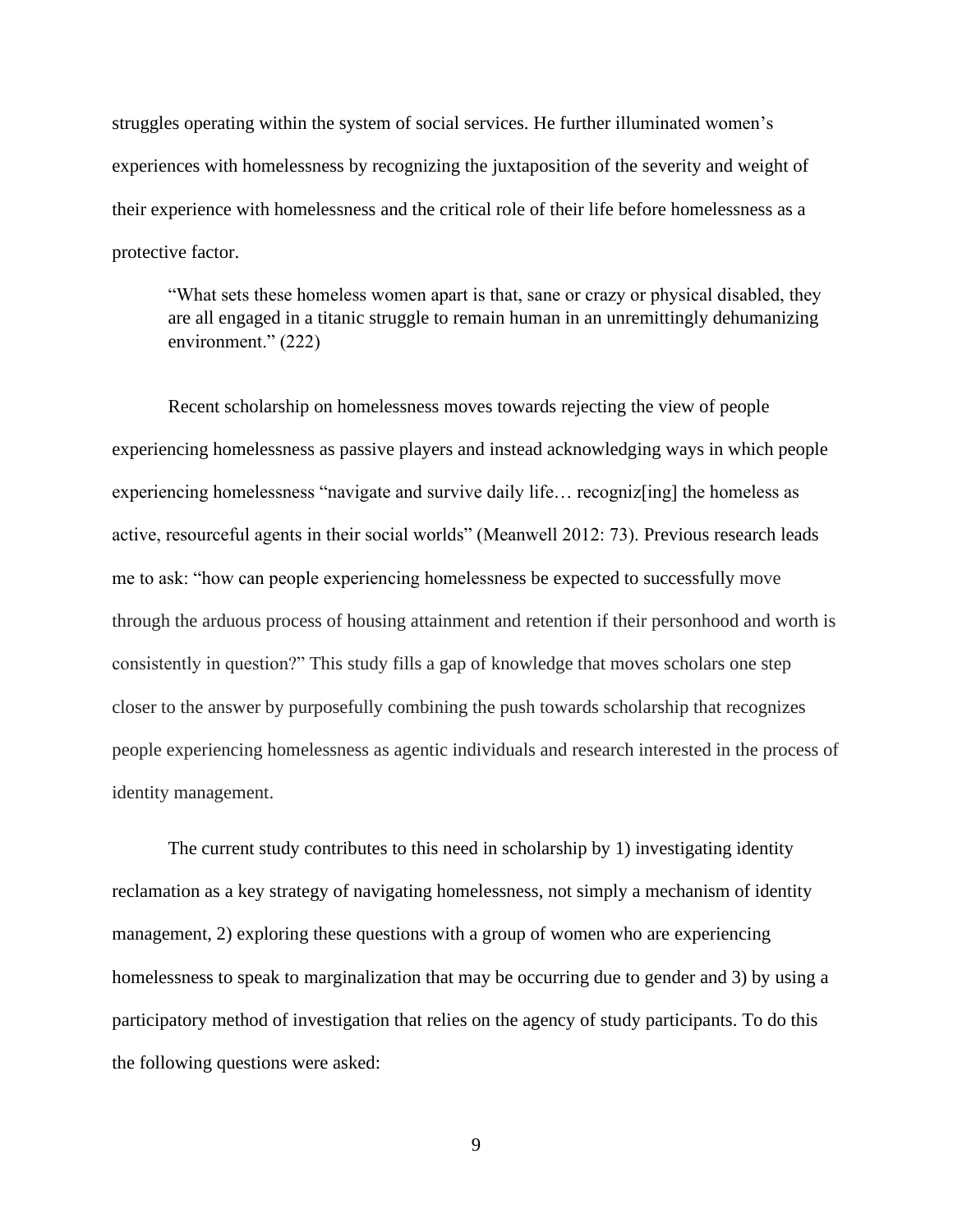struggles operating within the system of social services. He further illuminated women's experiences with homelessness by recognizing the juxtaposition of the severity and weight of their experience with homelessness and the critical role of their life before homelessness as a protective factor.

"What sets these homeless women apart is that, sane or crazy or physical disabled, they are all engaged in a titanic struggle to remain human in an unremittingly dehumanizing environment." (222)

Recent scholarship on homelessness moves towards rejecting the view of people experiencing homelessness as passive players and instead acknowledging ways in which people experiencing homelessness "navigate and survive daily life… recogniz[ing] the homeless as active, resourceful agents in their social worlds" (Meanwell 2012: 73). Previous research leads me to ask: "how can people experiencing homelessness be expected to successfully move through the arduous process of housing attainment and retention if their personhood and worth is consistently in question?" This study fills a gap of knowledge that moves scholars one step closer to the answer by purposefully combining the push towards scholarship that recognizes people experiencing homelessness as agentic individuals and research interested in the process of identity management.

The current study contributes to this need in scholarship by 1) investigating identity reclamation as a key strategy of navigating homelessness, not simply a mechanism of identity management, 2) exploring these questions with a group of women who are experiencing homelessness to speak to marginalization that may be occurring due to gender and 3) by using a participatory method of investigation that relies on the agency of study participants. To do this the following questions were asked: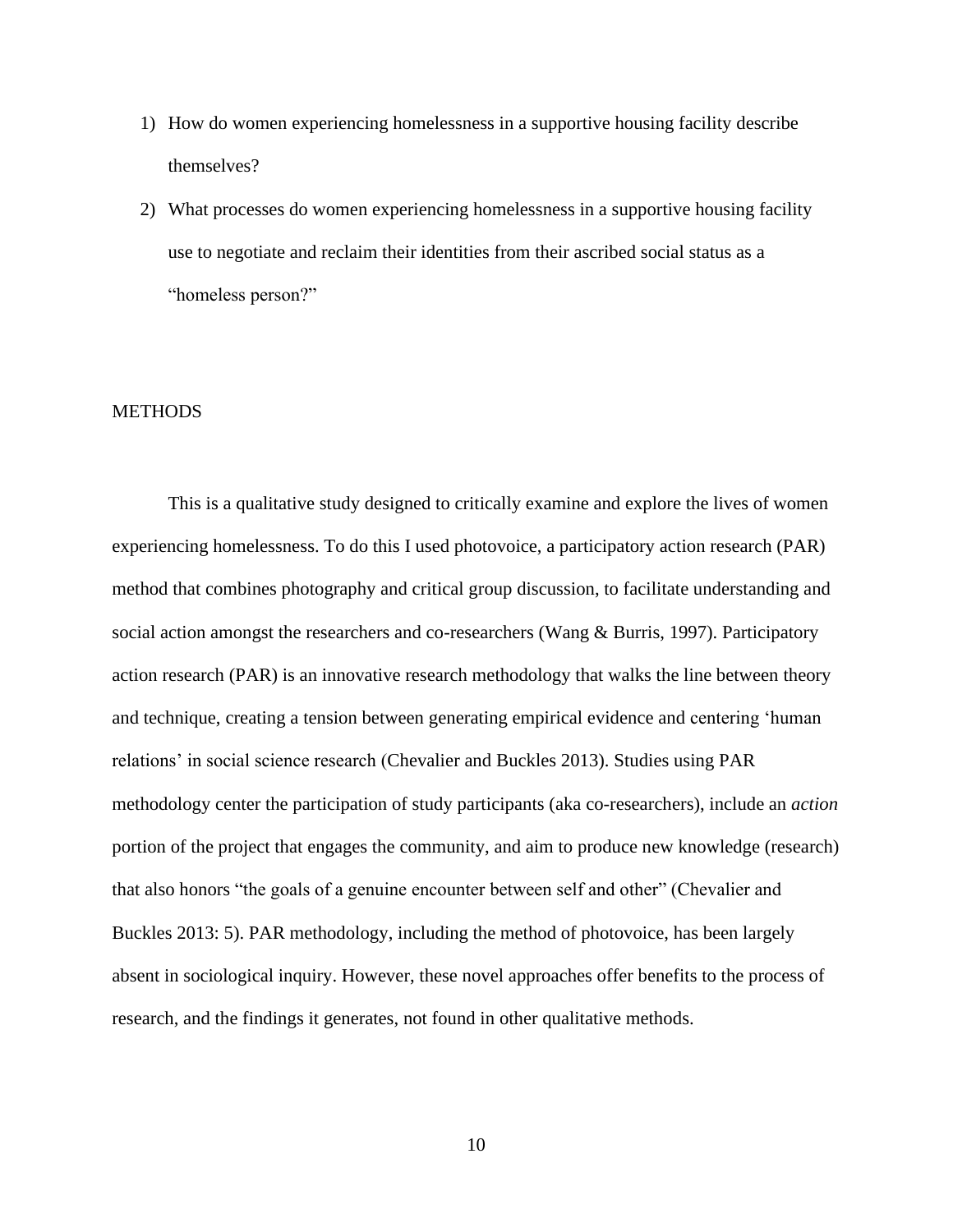- 1) How do women experiencing homelessness in a supportive housing facility describe themselves?
- 2) What processes do women experiencing homelessness in a supportive housing facility use to negotiate and reclaim their identities from their ascribed social status as a "homeless person?"

#### <span id="page-14-0"></span>**METHODS**

This is a qualitative study designed to critically examine and explore the lives of women experiencing homelessness. To do this I used photovoice, a participatory action research (PAR) method that combines photography and critical group discussion, to facilitate understanding and social action amongst the researchers and co-researchers (Wang & Burris, 1997). Participatory action research (PAR) is an innovative research methodology that walks the line between theory and technique, creating a tension between generating empirical evidence and centering 'human relations' in social science research (Chevalier and Buckles 2013). Studies using PAR methodology center the participation of study participants (aka co-researchers), include an *action* portion of the project that engages the community, and aim to produce new knowledge (research) that also honors "the goals of a genuine encounter between self and other" (Chevalier and Buckles 2013: 5). PAR methodology, including the method of photovoice, has been largely absent in sociological inquiry. However, these novel approaches offer benefits to the process of research, and the findings it generates, not found in other qualitative methods.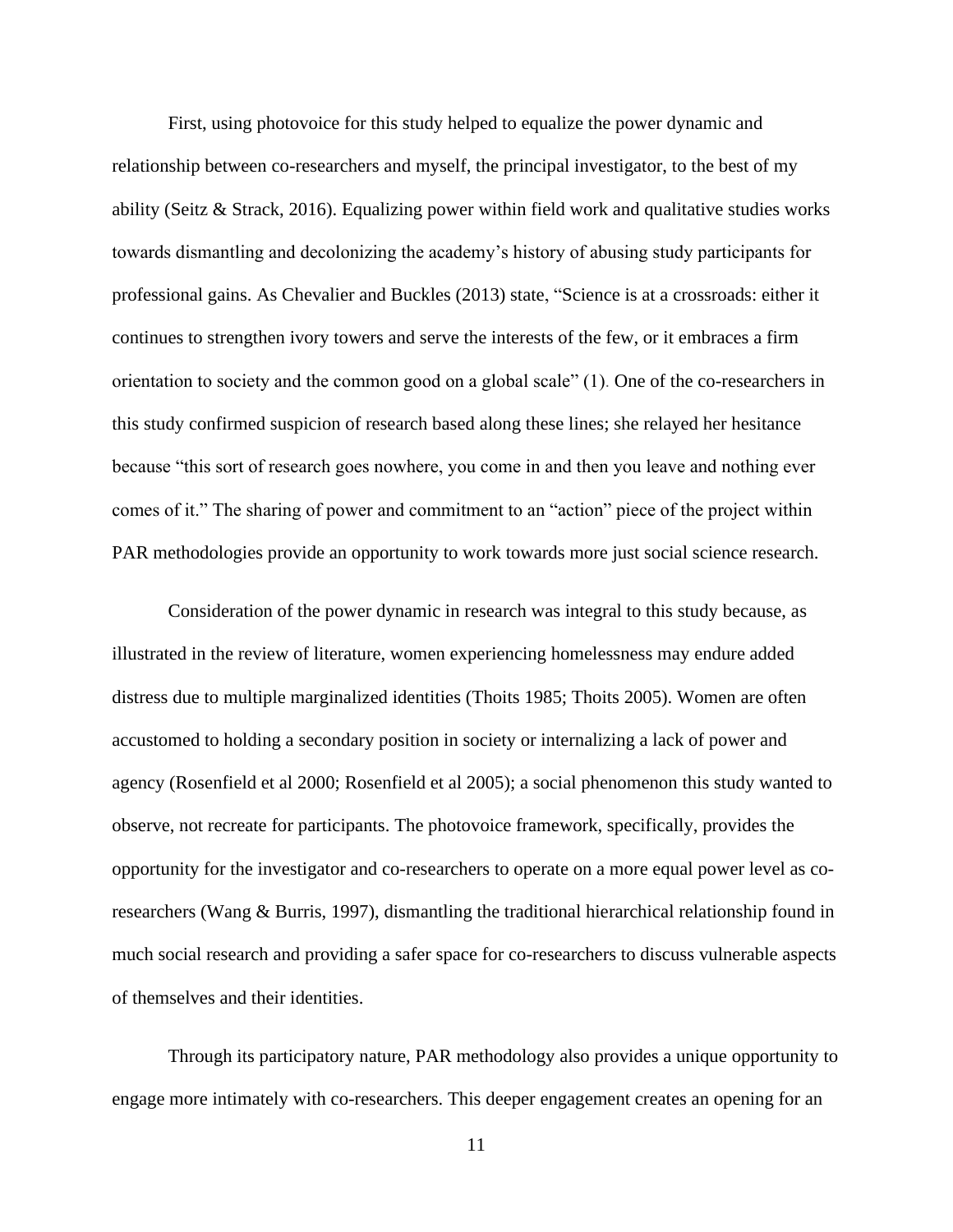First, using photovoice for this study helped to equalize the power dynamic and relationship between co-researchers and myself, the principal investigator, to the best of my ability (Seitz & Strack, 2016). Equalizing power within field work and qualitative studies works towards dismantling and decolonizing the academy's history of abusing study participants for professional gains. As Chevalier and Buckles (2013) state, "Science is at a crossroads: either it continues to strengthen ivory towers and serve the interests of the few, or it embraces a firm orientation to society and the common good on a global scale" (1). One of the co-researchers in this study confirmed suspicion of research based along these lines; she relayed her hesitance because "this sort of research goes nowhere, you come in and then you leave and nothing ever comes of it." The sharing of power and commitment to an "action" piece of the project within PAR methodologies provide an opportunity to work towards more just social science research.

Consideration of the power dynamic in research was integral to this study because, as illustrated in the review of literature, women experiencing homelessness may endure added distress due to multiple marginalized identities (Thoits 1985; Thoits 2005). Women are often accustomed to holding a secondary position in society or internalizing a lack of power and agency (Rosenfield et al 2000; Rosenfield et al 2005); a social phenomenon this study wanted to observe, not recreate for participants. The photovoice framework, specifically, provides the opportunity for the investigator and co-researchers to operate on a more equal power level as coresearchers (Wang & Burris, 1997), dismantling the traditional hierarchical relationship found in much social research and providing a safer space for co-researchers to discuss vulnerable aspects of themselves and their identities.

Through its participatory nature, PAR methodology also provides a unique opportunity to engage more intimately with co-researchers. This deeper engagement creates an opening for an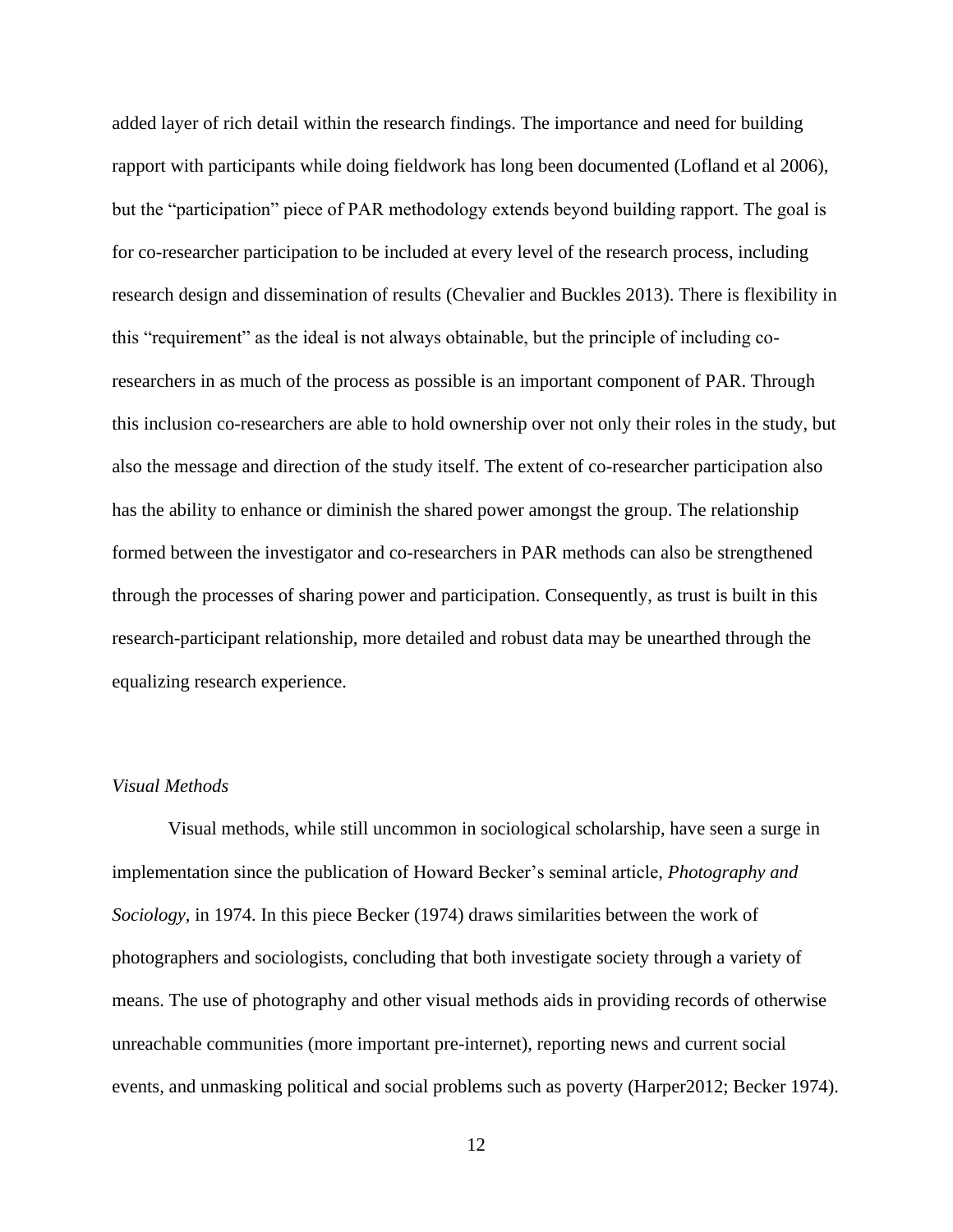added layer of rich detail within the research findings. The importance and need for building rapport with participants while doing fieldwork has long been documented (Lofland et al 2006), but the "participation" piece of PAR methodology extends beyond building rapport. The goal is for co-researcher participation to be included at every level of the research process, including research design and dissemination of results (Chevalier and Buckles 2013). There is flexibility in this "requirement" as the ideal is not always obtainable, but the principle of including coresearchers in as much of the process as possible is an important component of PAR. Through this inclusion co-researchers are able to hold ownership over not only their roles in the study, but also the message and direction of the study itself. The extent of co-researcher participation also has the ability to enhance or diminish the shared power amongst the group. The relationship formed between the investigator and co-researchers in PAR methods can also be strengthened through the processes of sharing power and participation. Consequently, as trust is built in this research-participant relationship, more detailed and robust data may be unearthed through the equalizing research experience.

## <span id="page-16-0"></span>*Visual Methods*

Visual methods, while still uncommon in sociological scholarship, have seen a surge in implementation since the publication of Howard Becker's seminal article, *Photography and Sociology*, in 1974. In this piece Becker (1974) draws similarities between the work of photographers and sociologists, concluding that both investigate society through a variety of means. The use of photography and other visual methods aids in providing records of otherwise unreachable communities (more important pre-internet), reporting news and current social events, and unmasking political and social problems such as poverty (Harper2012; Becker 1974).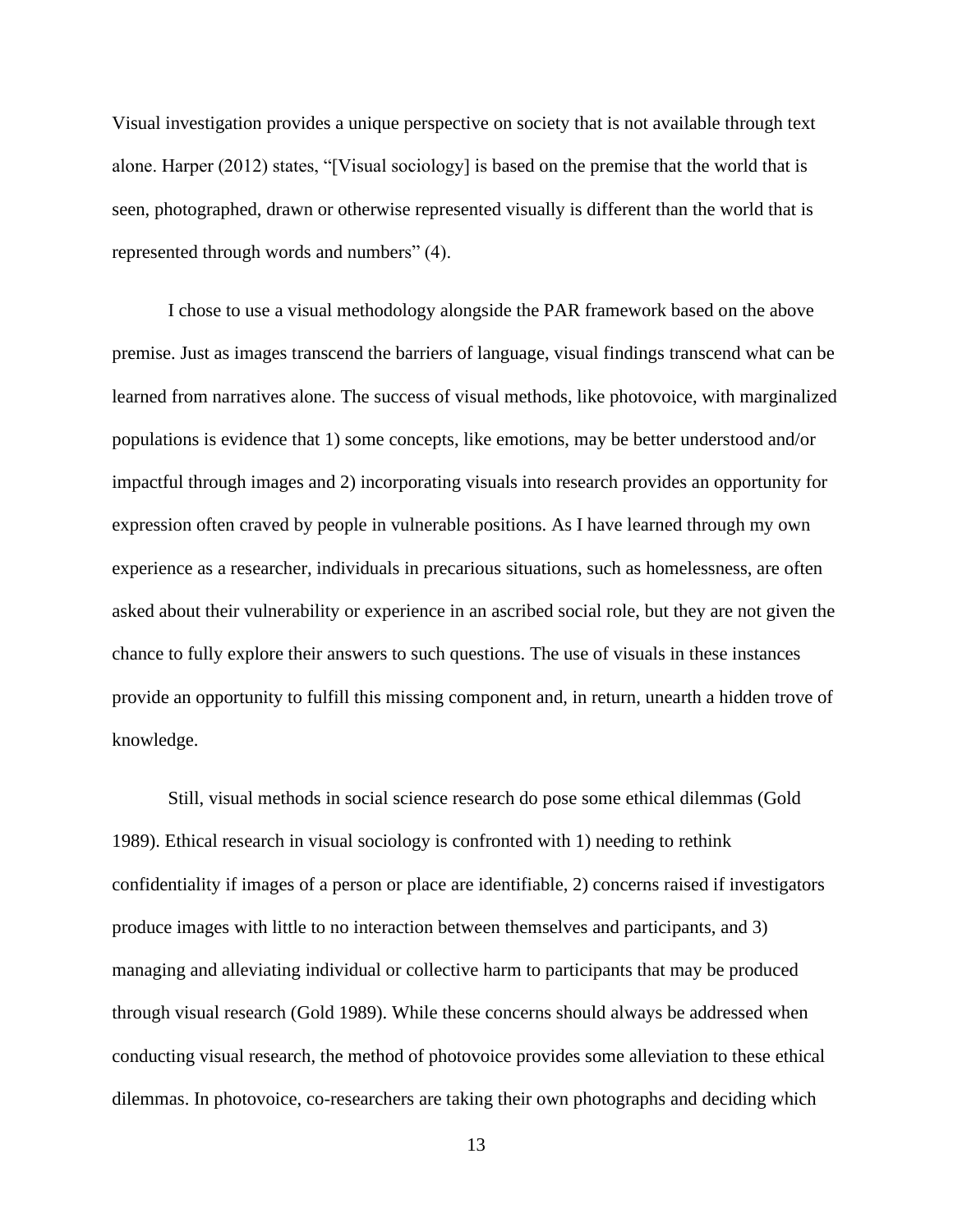Visual investigation provides a unique perspective on society that is not available through text alone. Harper (2012) states, "[Visual sociology] is based on the premise that the world that is seen, photographed, drawn or otherwise represented visually is different than the world that is represented through words and numbers" (4).

I chose to use a visual methodology alongside the PAR framework based on the above premise. Just as images transcend the barriers of language, visual findings transcend what can be learned from narratives alone. The success of visual methods, like photovoice, with marginalized populations is evidence that 1) some concepts, like emotions, may be better understood and/or impactful through images and 2) incorporating visuals into research provides an opportunity for expression often craved by people in vulnerable positions. As I have learned through my own experience as a researcher, individuals in precarious situations, such as homelessness, are often asked about their vulnerability or experience in an ascribed social role, but they are not given the chance to fully explore their answers to such questions. The use of visuals in these instances provide an opportunity to fulfill this missing component and, in return, unearth a hidden trove of knowledge.

Still, visual methods in social science research do pose some ethical dilemmas (Gold 1989). Ethical research in visual sociology is confronted with 1) needing to rethink confidentiality if images of a person or place are identifiable, 2) concerns raised if investigators produce images with little to no interaction between themselves and participants, and 3) managing and alleviating individual or collective harm to participants that may be produced through visual research (Gold 1989). While these concerns should always be addressed when conducting visual research, the method of photovoice provides some alleviation to these ethical dilemmas. In photovoice, co-researchers are taking their own photographs and deciding which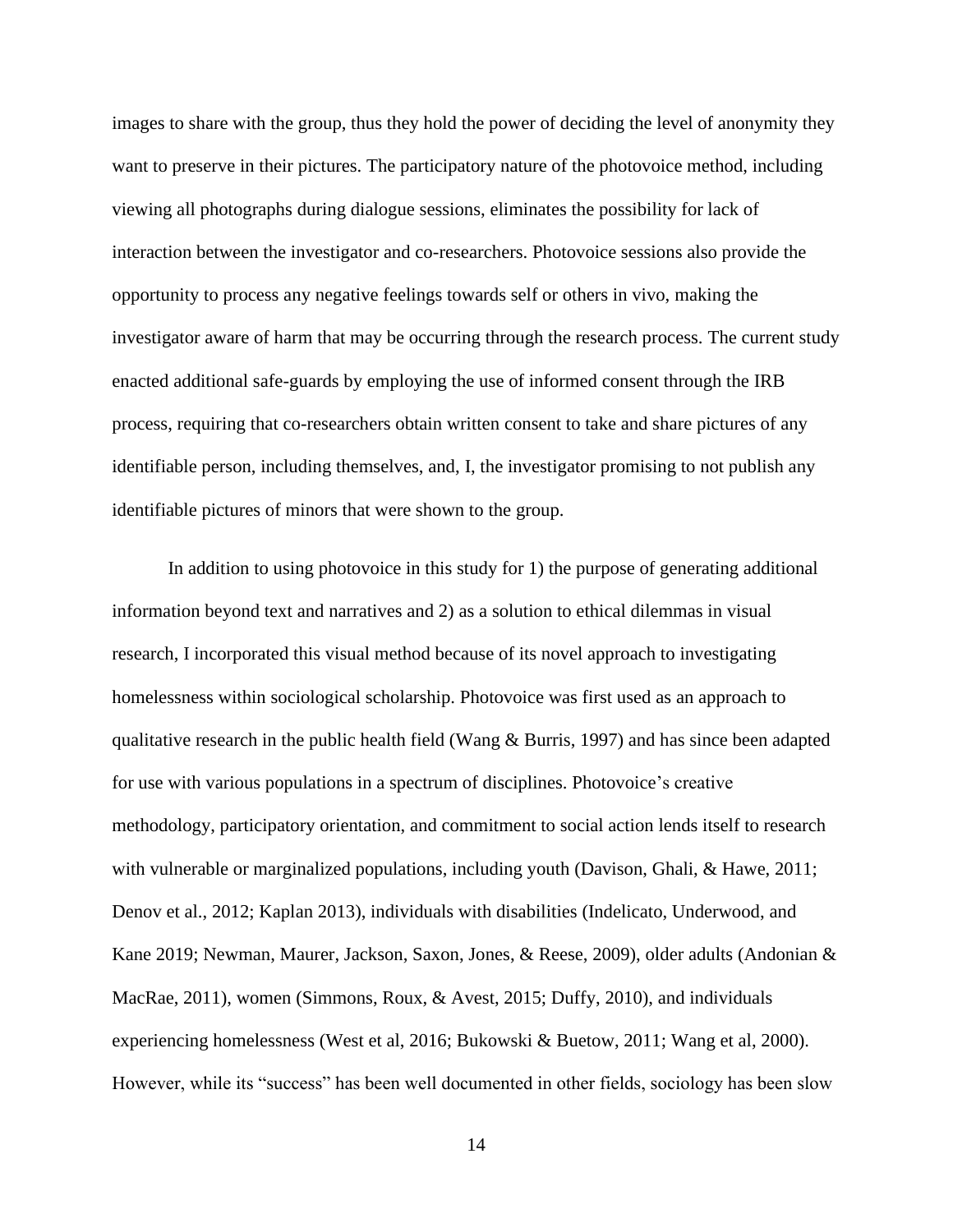images to share with the group, thus they hold the power of deciding the level of anonymity they want to preserve in their pictures. The participatory nature of the photovoice method, including viewing all photographs during dialogue sessions, eliminates the possibility for lack of interaction between the investigator and co-researchers. Photovoice sessions also provide the opportunity to process any negative feelings towards self or others in vivo, making the investigator aware of harm that may be occurring through the research process. The current study enacted additional safe-guards by employing the use of informed consent through the IRB process, requiring that co-researchers obtain written consent to take and share pictures of any identifiable person, including themselves, and, I, the investigator promising to not publish any identifiable pictures of minors that were shown to the group.

In addition to using photovoice in this study for 1) the purpose of generating additional information beyond text and narratives and 2) as a solution to ethical dilemmas in visual research, I incorporated this visual method because of its novel approach to investigating homelessness within sociological scholarship. Photovoice was first used as an approach to qualitative research in the public health field (Wang & Burris, 1997) and has since been adapted for use with various populations in a spectrum of disciplines. Photovoice's creative methodology, participatory orientation, and commitment to social action lends itself to research with vulnerable or marginalized populations, including youth (Davison, Ghali, & Hawe, 2011; Denov et al., 2012; Kaplan 2013), individuals with disabilities (Indelicato, Underwood, and Kane 2019; Newman, Maurer, Jackson, Saxon, Jones, & Reese, 2009), older adults (Andonian & MacRae, 2011), women (Simmons, Roux, & Avest, 2015; Duffy, 2010), and individuals experiencing homelessness (West et al, 2016; Bukowski & Buetow, 2011; Wang et al, 2000). However, while its "success" has been well documented in other fields, sociology has been slow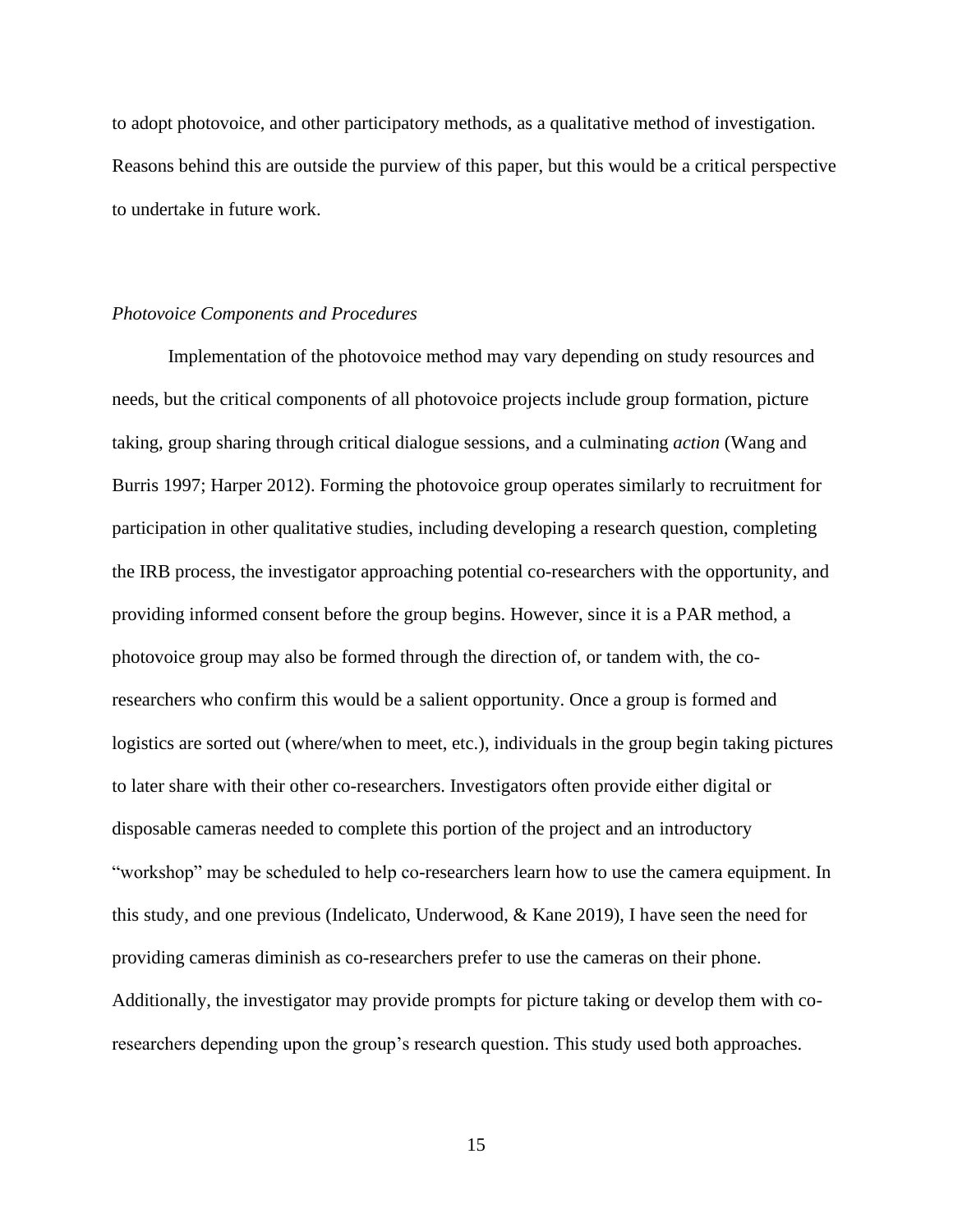to adopt photovoice, and other participatory methods, as a qualitative method of investigation. Reasons behind this are outside the purview of this paper, but this would be a critical perspective to undertake in future work.

## <span id="page-19-0"></span>*Photovoice Components and Procedures*

Implementation of the photovoice method may vary depending on study resources and needs, but the critical components of all photovoice projects include group formation, picture taking, group sharing through critical dialogue sessions, and a culminating *action* (Wang and Burris 1997; Harper 2012). Forming the photovoice group operates similarly to recruitment for participation in other qualitative studies, including developing a research question, completing the IRB process, the investigator approaching potential co-researchers with the opportunity, and providing informed consent before the group begins. However, since it is a PAR method, a photovoice group may also be formed through the direction of, or tandem with, the coresearchers who confirm this would be a salient opportunity. Once a group is formed and logistics are sorted out (where/when to meet, etc.), individuals in the group begin taking pictures to later share with their other co-researchers. Investigators often provide either digital or disposable cameras needed to complete this portion of the project and an introductory "workshop" may be scheduled to help co-researchers learn how to use the camera equipment. In this study, and one previous (Indelicato, Underwood, & Kane 2019), I have seen the need for providing cameras diminish as co-researchers prefer to use the cameras on their phone. Additionally, the investigator may provide prompts for picture taking or develop them with coresearchers depending upon the group's research question. This study used both approaches.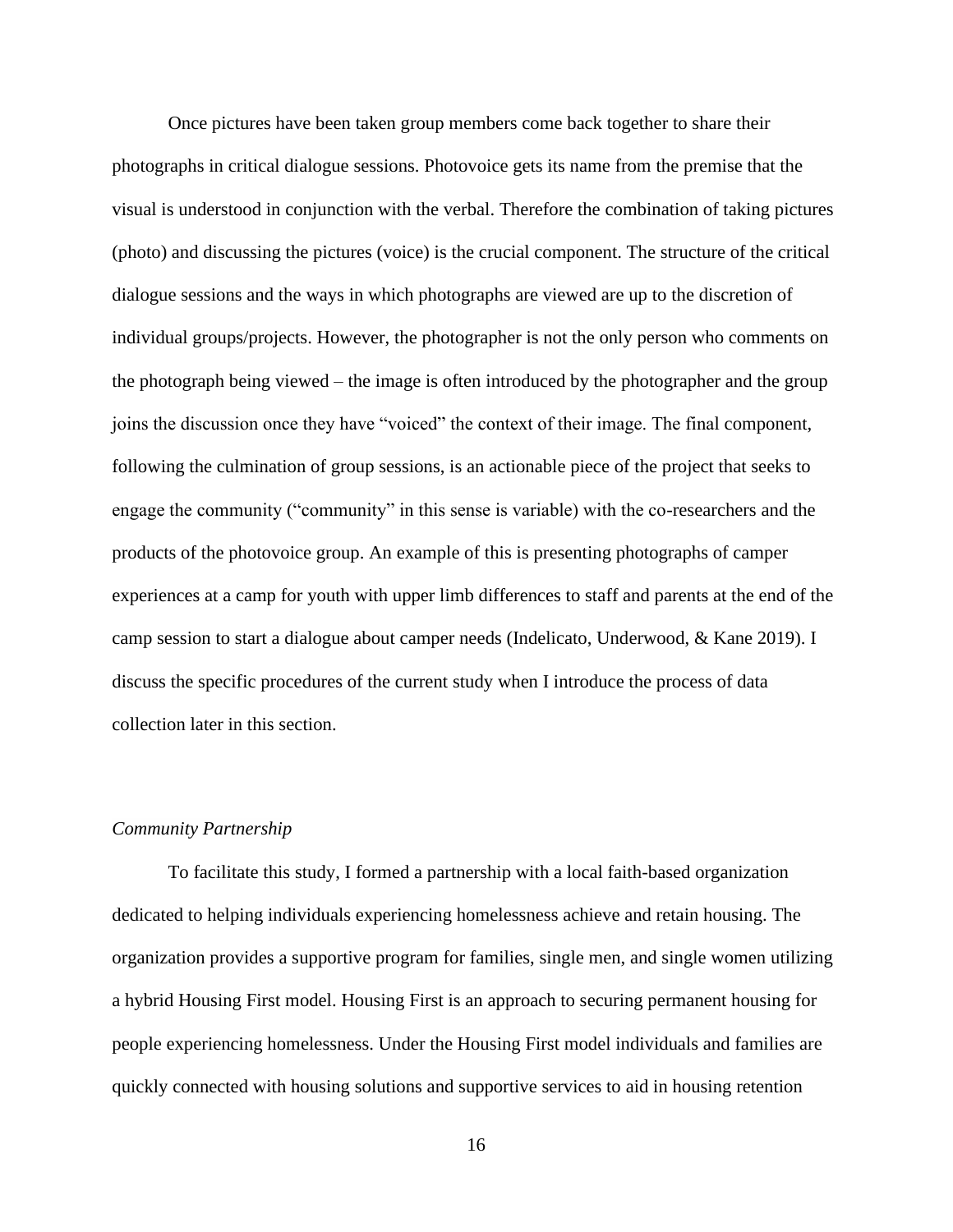Once pictures have been taken group members come back together to share their photographs in critical dialogue sessions. Photovoice gets its name from the premise that the visual is understood in conjunction with the verbal. Therefore the combination of taking pictures (photo) and discussing the pictures (voice) is the crucial component. The structure of the critical dialogue sessions and the ways in which photographs are viewed are up to the discretion of individual groups/projects. However, the photographer is not the only person who comments on the photograph being viewed – the image is often introduced by the photographer and the group joins the discussion once they have "voiced" the context of their image. The final component, following the culmination of group sessions, is an actionable piece of the project that seeks to engage the community ("community" in this sense is variable) with the co-researchers and the products of the photovoice group. An example of this is presenting photographs of camper experiences at a camp for youth with upper limb differences to staff and parents at the end of the camp session to start a dialogue about camper needs (Indelicato, Underwood, & Kane 2019). I discuss the specific procedures of the current study when I introduce the process of data collection later in this section.

## <span id="page-20-0"></span>*Community Partnership*

To facilitate this study, I formed a partnership with a local faith-based organization dedicated to helping individuals experiencing homelessness achieve and retain housing. The organization provides a supportive program for families, single men, and single women utilizing a hybrid Housing First model. Housing First is an approach to securing permanent housing for people experiencing homelessness. Under the Housing First model individuals and families are quickly connected with housing solutions and supportive services to aid in housing retention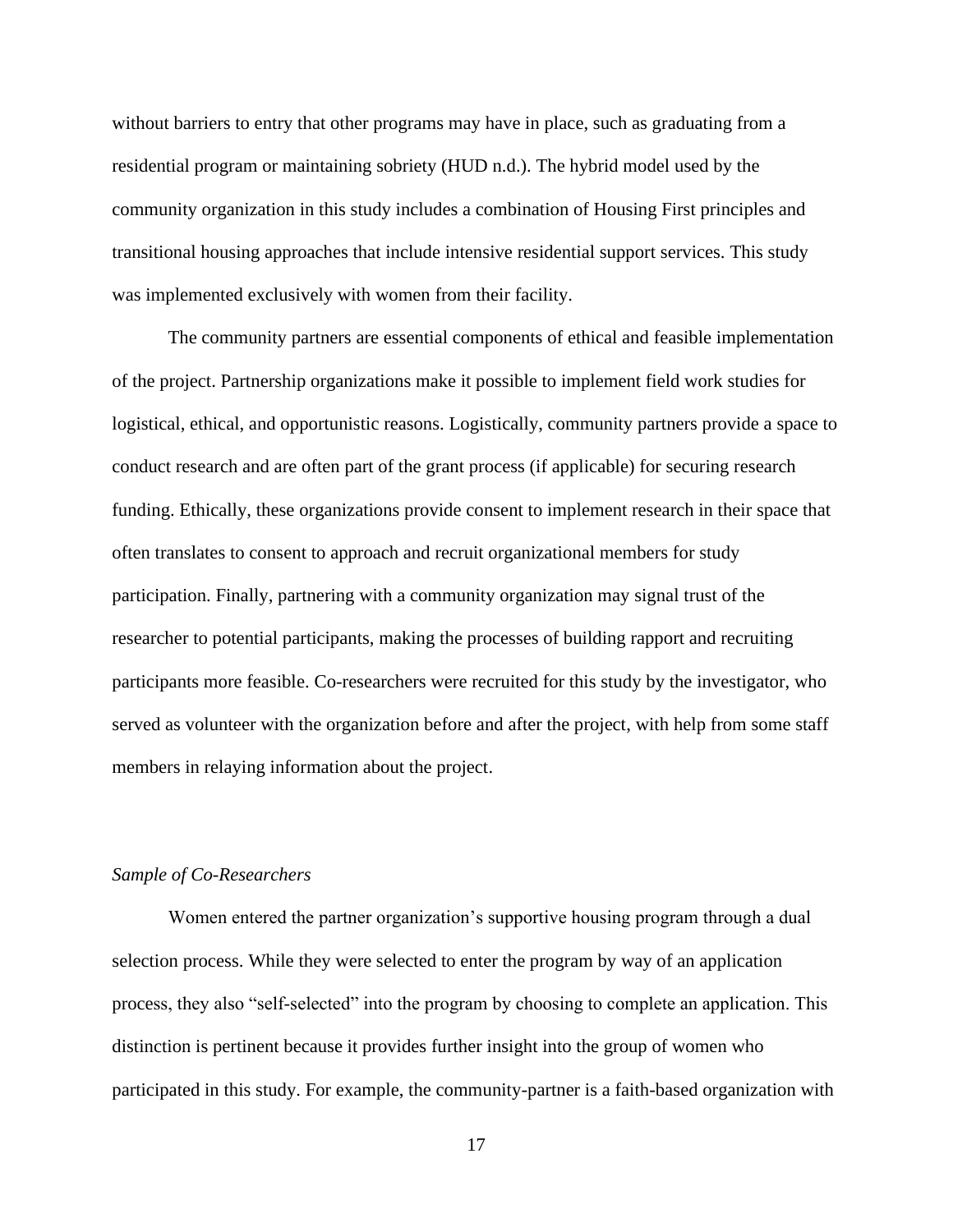without barriers to entry that other programs may have in place, such as graduating from a residential program or maintaining sobriety (HUD n.d.). The hybrid model used by the community organization in this study includes a combination of Housing First principles and transitional housing approaches that include intensive residential support services. This study was implemented exclusively with women from their facility.

The community partners are essential components of ethical and feasible implementation of the project. Partnership organizations make it possible to implement field work studies for logistical, ethical, and opportunistic reasons. Logistically, community partners provide a space to conduct research and are often part of the grant process (if applicable) for securing research funding. Ethically, these organizations provide consent to implement research in their space that often translates to consent to approach and recruit organizational members for study participation. Finally, partnering with a community organization may signal trust of the researcher to potential participants, making the processes of building rapport and recruiting participants more feasible. Co-researchers were recruited for this study by the investigator, who served as volunteer with the organization before and after the project, with help from some staff members in relaying information about the project.

## <span id="page-21-0"></span>*Sample of Co-Researchers*

Women entered the partner organization's supportive housing program through a dual selection process. While they were selected to enter the program by way of an application process, they also "self-selected" into the program by choosing to complete an application. This distinction is pertinent because it provides further insight into the group of women who participated in this study. For example, the community-partner is a faith-based organization with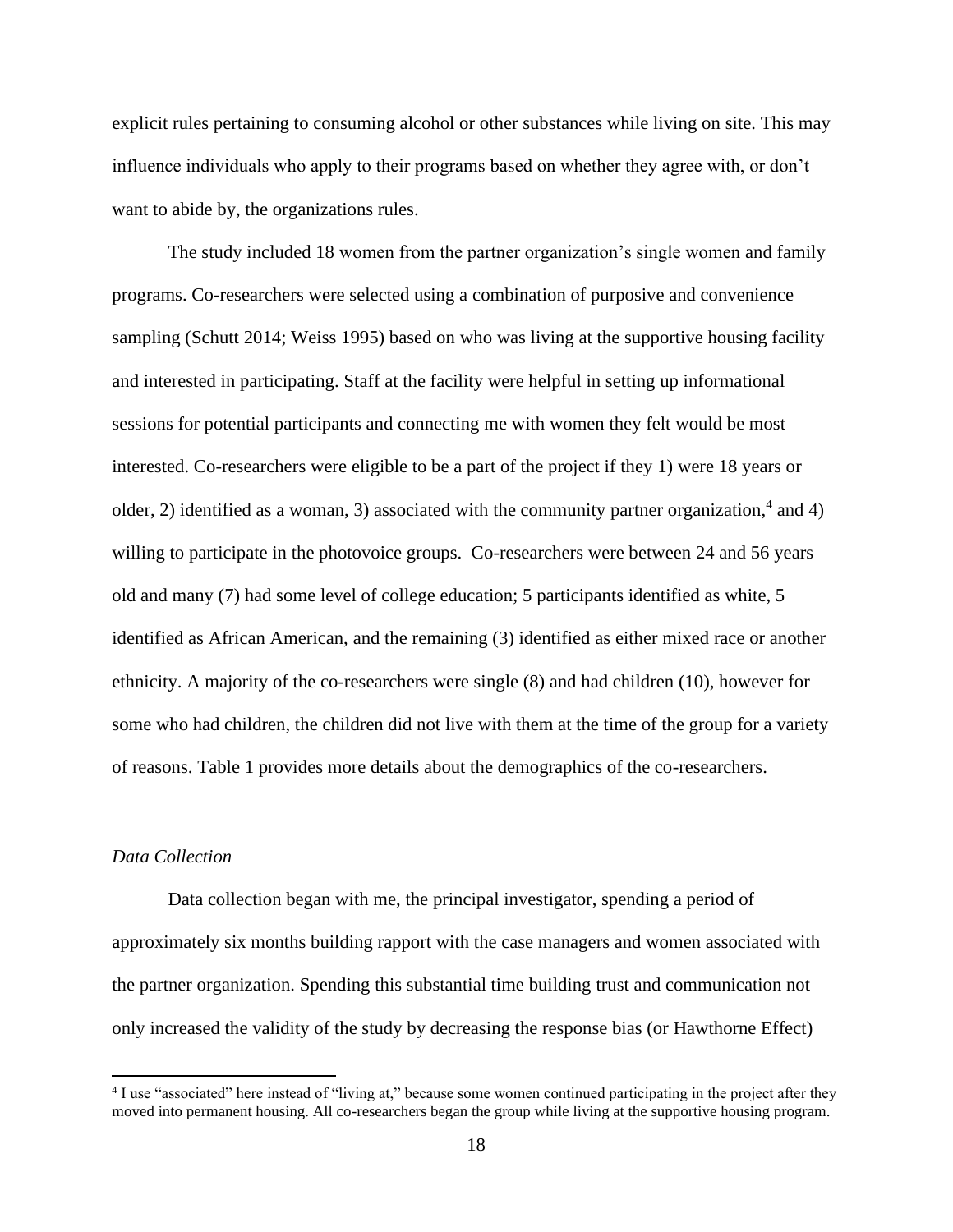explicit rules pertaining to consuming alcohol or other substances while living on site. This may influence individuals who apply to their programs based on whether they agree with, or don't want to abide by, the organizations rules.

The study included 18 women from the partner organization's single women and family programs. Co-researchers were selected using a combination of purposive and convenience sampling (Schutt 2014; Weiss 1995) based on who was living at the supportive housing facility and interested in participating. Staff at the facility were helpful in setting up informational sessions for potential participants and connecting me with women they felt would be most interested. Co-researchers were eligible to be a part of the project if they 1) were 18 years or older, 2) identified as a woman, 3) associated with the community partner organization,<sup>4</sup> and 4) willing to participate in the photovoice groups. Co-researchers were between 24 and 56 years old and many (7) had some level of college education; 5 participants identified as white, 5 identified as African American, and the remaining (3) identified as either mixed race or another ethnicity. A majority of the co-researchers were single (8) and had children (10), however for some who had children, the children did not live with them at the time of the group for a variety of reasons. Table 1 provides more details about the demographics of the co-researchers.

## <span id="page-22-0"></span>*Data Collection*

Data collection began with me, the principal investigator, spending a period of approximately six months building rapport with the case managers and women associated with the partner organization. Spending this substantial time building trust and communication not only increased the validity of the study by decreasing the response bias (or Hawthorne Effect)

<sup>&</sup>lt;sup>4</sup> I use "associated" here instead of "living at," because some women continued participating in the project after they moved into permanent housing. All co-researchers began the group while living at the supportive housing program.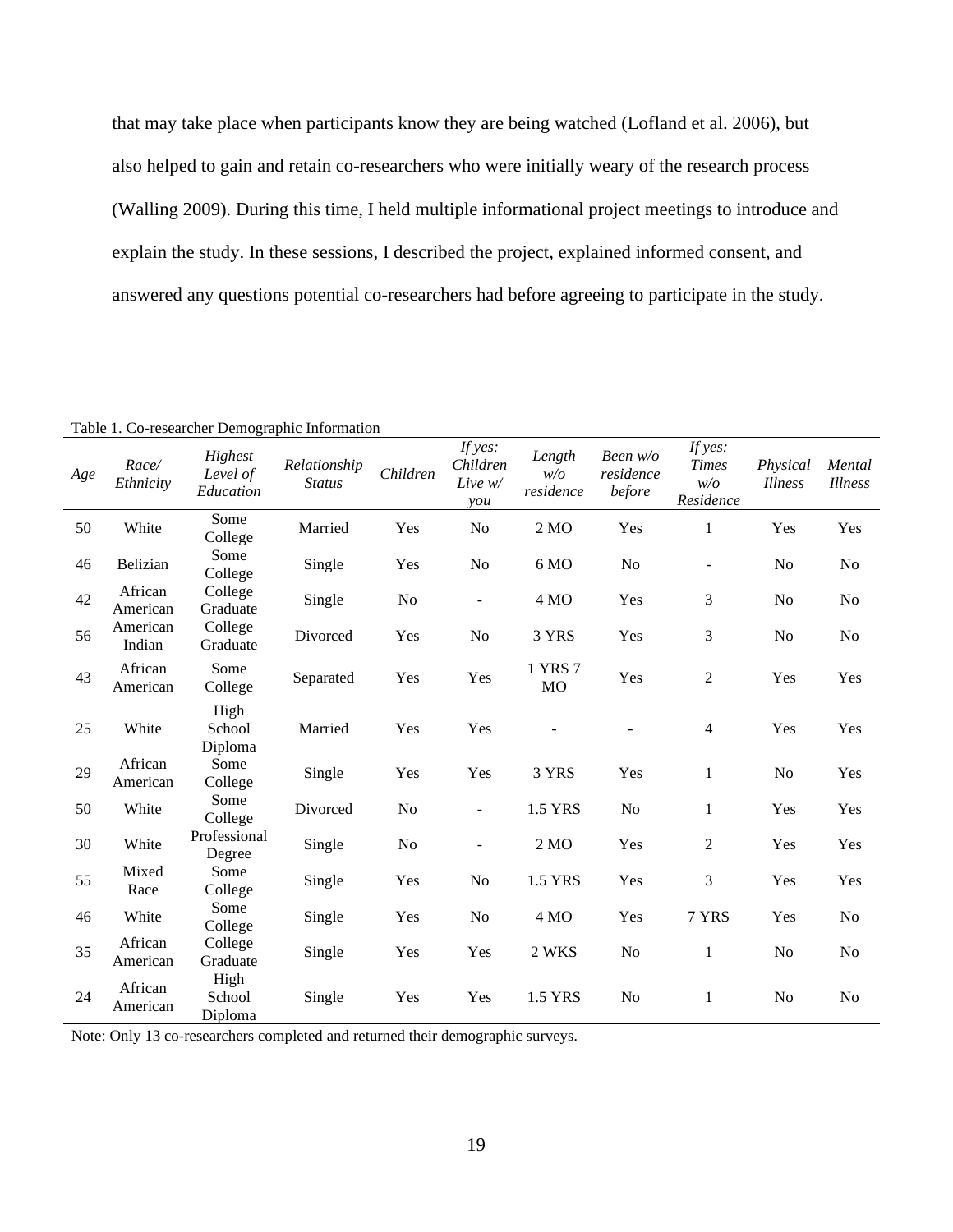that may take place when participants know they are being watched (Lofland et al. 2006), but also helped to gain and retain co-researchers who were initially weary of the research process (Walling 2009). During this time, I held multiple informational project meetings to introduce and explain the study. In these sessions, I described the project, explained informed consent, and answered any questions potential co-researchers had before agreeing to participate in the study.

| Age | Race/<br>Ethnicity  | Highest<br>Level of<br>Education | Relationship<br><b>Status</b> | Children       | If yes:<br>Children<br>Live w/<br>$\mathit{you}$ | Length<br>w/o<br>residence | Been w/o<br>residence<br>before | If yes:<br><b>Times</b><br>w/o<br>Residence | Physical<br><i>Illness</i> | Mental<br><b>Illness</b> |
|-----|---------------------|----------------------------------|-------------------------------|----------------|--------------------------------------------------|----------------------------|---------------------------------|---------------------------------------------|----------------------------|--------------------------|
| 50  | White               | Some<br>College                  | Married                       | Yes            | N <sub>o</sub>                                   | 2 <sub>NO</sub>            | Yes                             | $\mathbf{1}$                                | Yes                        | Yes                      |
| 46  | Belizian            | Some<br>College                  | Single                        | Yes            | No                                               | 6 MO                       | No                              | $\overline{\phantom{0}}$                    | No                         | N <sub>o</sub>           |
| 42  | African<br>American | College<br>Graduate              | Single                        | No             | $\overline{\phantom{0}}$                         | 4 MO                       | Yes                             | 3                                           | No                         | N <sub>0</sub>           |
| 56  | American<br>Indian  | College<br>Graduate              | Divorced                      | Yes            | N <sub>o</sub>                                   | 3 YRS                      | Yes                             | 3                                           | No                         | N <sub>o</sub>           |
| 43  | African<br>American | Some<br>College                  | Separated                     | Yes            | Yes                                              | 1 YRS 7<br>MO              | Yes                             | 2                                           | Yes                        | Yes                      |
| 25  | White               | High<br>School<br>Diploma        | Married                       | Yes            | Yes                                              |                            |                                 | $\overline{4}$                              | Yes                        | Yes                      |
| 29  | African<br>American | Some<br>College                  | Single                        | Yes            | Yes                                              | 3 YRS                      | Yes                             | $\mathbf{1}$                                | N <sub>o</sub>             | Yes                      |
| 50  | White               | Some<br>College                  | Divorced                      | No             | $\overline{\phantom{a}}$                         | 1.5 YRS                    | No                              | $\mathbf{1}$                                | Yes                        | Yes                      |
| 30  | White               | Professional<br>Degree           | Single                        | N <sub>0</sub> |                                                  | $2\text{ MO}$              | Yes                             | $\overline{2}$                              | Yes                        | Yes                      |
| 55  | Mixed<br>Race       | Some<br>College                  | Single                        | Yes            | N <sub>o</sub>                                   | 1.5 YRS                    | Yes                             | 3                                           | Yes                        | Yes                      |
| 46  | White               | Some<br>College                  | Single                        | Yes            | N <sub>o</sub>                                   | 4 MO                       | Yes                             | 7 YRS                                       | Yes                        | N <sub>o</sub>           |
| 35  | African<br>American | College<br>Graduate              | Single                        | Yes            | Yes                                              | 2 WKS                      | No                              | $\mathbf{1}$                                | N <sub>o</sub>             | N <sub>0</sub>           |
| 24  | African<br>American | High<br>School<br>Diploma        | Single                        | Yes            | Yes                                              | 1.5 YRS                    | No                              | $\mathbf{1}$                                | No                         | N <sub>0</sub>           |

Table 1. Co-researcher Demographic Information

Note: Only 13 co-researchers completed and returned their demographic surveys.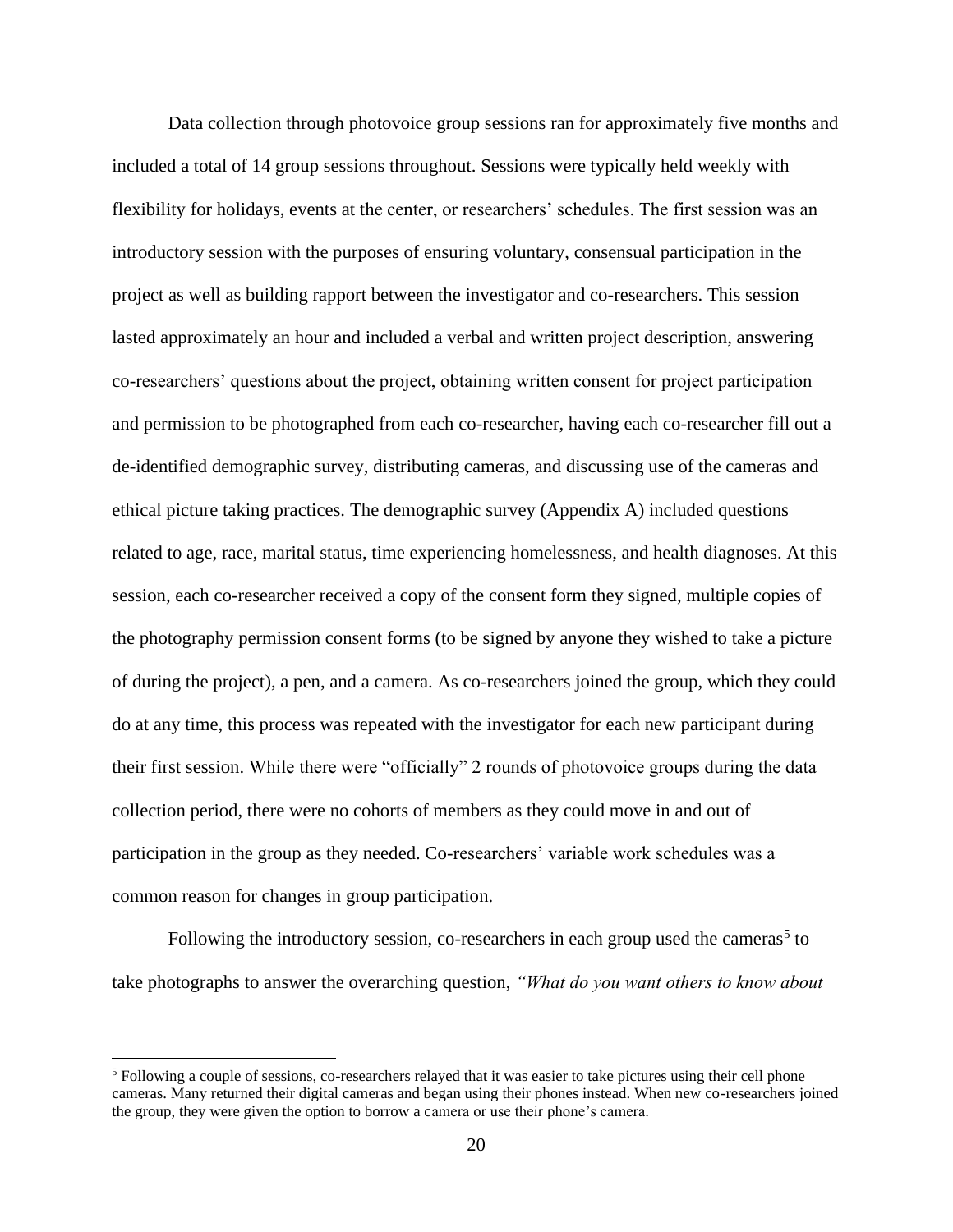Data collection through photovoice group sessions ran for approximately five months and included a total of 14 group sessions throughout. Sessions were typically held weekly with flexibility for holidays, events at the center, or researchers' schedules. The first session was an introductory session with the purposes of ensuring voluntary, consensual participation in the project as well as building rapport between the investigator and co-researchers. This session lasted approximately an hour and included a verbal and written project description, answering co-researchers' questions about the project, obtaining written consent for project participation and permission to be photographed from each co-researcher, having each co-researcher fill out a de-identified demographic survey, distributing cameras, and discussing use of the cameras and ethical picture taking practices. The demographic survey (Appendix A) included questions related to age, race, marital status, time experiencing homelessness, and health diagnoses. At this session, each co-researcher received a copy of the consent form they signed, multiple copies of the photography permission consent forms (to be signed by anyone they wished to take a picture of during the project), a pen, and a camera. As co-researchers joined the group, which they could do at any time, this process was repeated with the investigator for each new participant during their first session. While there were "officially" 2 rounds of photovoice groups during the data collection period, there were no cohorts of members as they could move in and out of participation in the group as they needed. Co-researchers' variable work schedules was a common reason for changes in group participation.

Following the introductory session, co-researchers in each group used the cameras<sup>5</sup> to take photographs to answer the overarching question, *"What do you want others to know about* 

<sup>5</sup> Following a couple of sessions, co-researchers relayed that it was easier to take pictures using their cell phone cameras. Many returned their digital cameras and began using their phones instead. When new co-researchers joined the group, they were given the option to borrow a camera or use their phone's camera.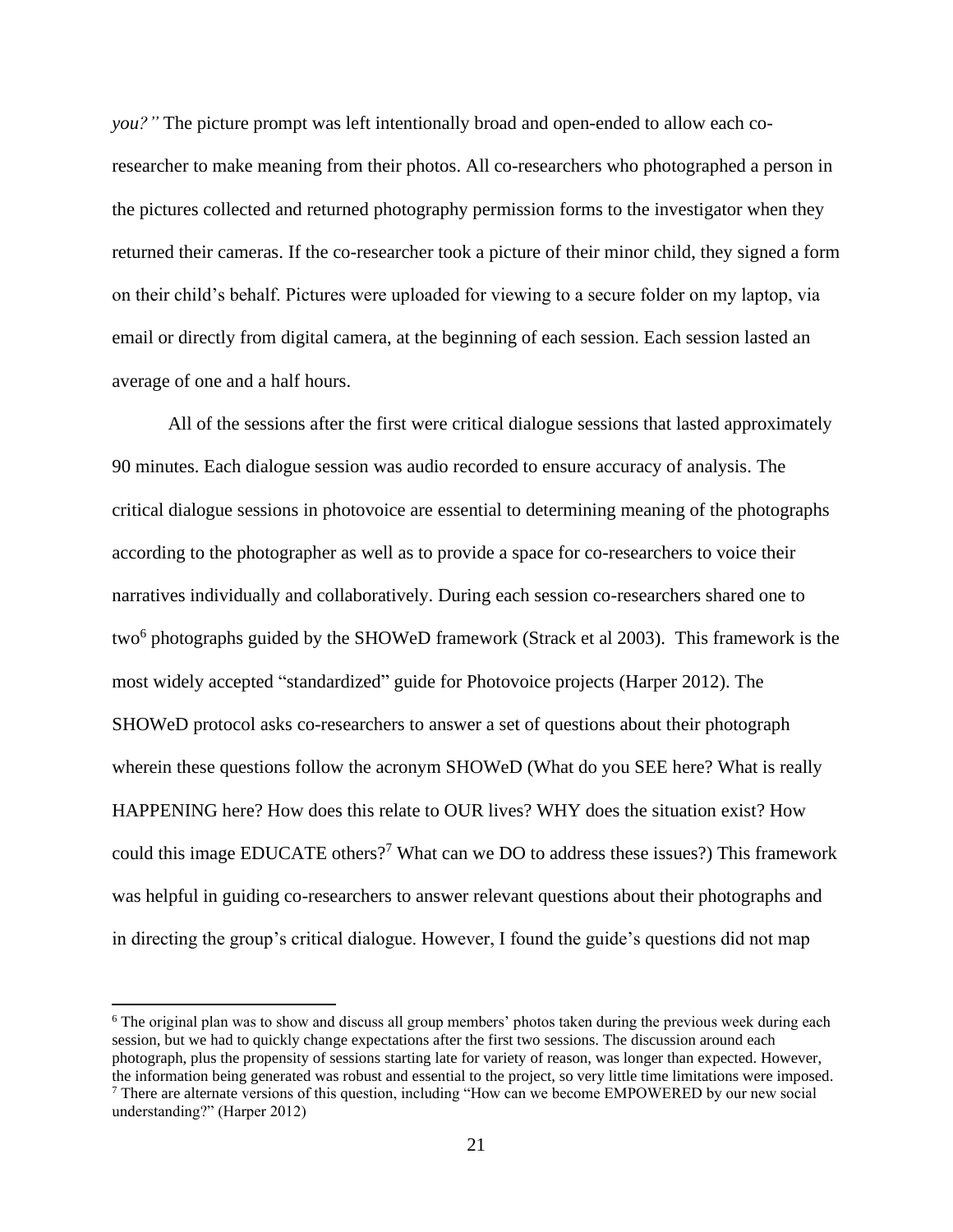*you?"* The picture prompt was left intentionally broad and open-ended to allow each coresearcher to make meaning from their photos. All co-researchers who photographed a person in the pictures collected and returned photography permission forms to the investigator when they returned their cameras. If the co-researcher took a picture of their minor child, they signed a form on their child's behalf. Pictures were uploaded for viewing to a secure folder on my laptop, via email or directly from digital camera, at the beginning of each session. Each session lasted an average of one and a half hours.

All of the sessions after the first were critical dialogue sessions that lasted approximately 90 minutes. Each dialogue session was audio recorded to ensure accuracy of analysis. The critical dialogue sessions in photovoice are essential to determining meaning of the photographs according to the photographer as well as to provide a space for co-researchers to voice their narratives individually and collaboratively. During each session co-researchers shared one to two<sup>6</sup> photographs guided by the SHOWeD framework (Strack et al 2003). This framework is the most widely accepted "standardized" guide for Photovoice projects (Harper 2012). The SHOWeD protocol asks co-researchers to answer a set of questions about their photograph wherein these questions follow the acronym SHOWeD (What do you SEE here? What is really HAPPENING here? How does this relate to OUR lives? WHY does the situation exist? How could this image EDUCATE others?<sup>7</sup> What can we DO to address these issues?) This framework was helpful in guiding co-researchers to answer relevant questions about their photographs and in directing the group's critical dialogue. However, I found the guide's questions did not map

<sup>&</sup>lt;sup>6</sup> The original plan was to show and discuss all group members' photos taken during the previous week during each session, but we had to quickly change expectations after the first two sessions. The discussion around each photograph, plus the propensity of sessions starting late for variety of reason, was longer than expected. However, the information being generated was robust and essential to the project, so very little time limitations were imposed. <sup>7</sup> There are alternate versions of this question, including "How can we become EMPOWERED by our new social understanding?" (Harper 2012)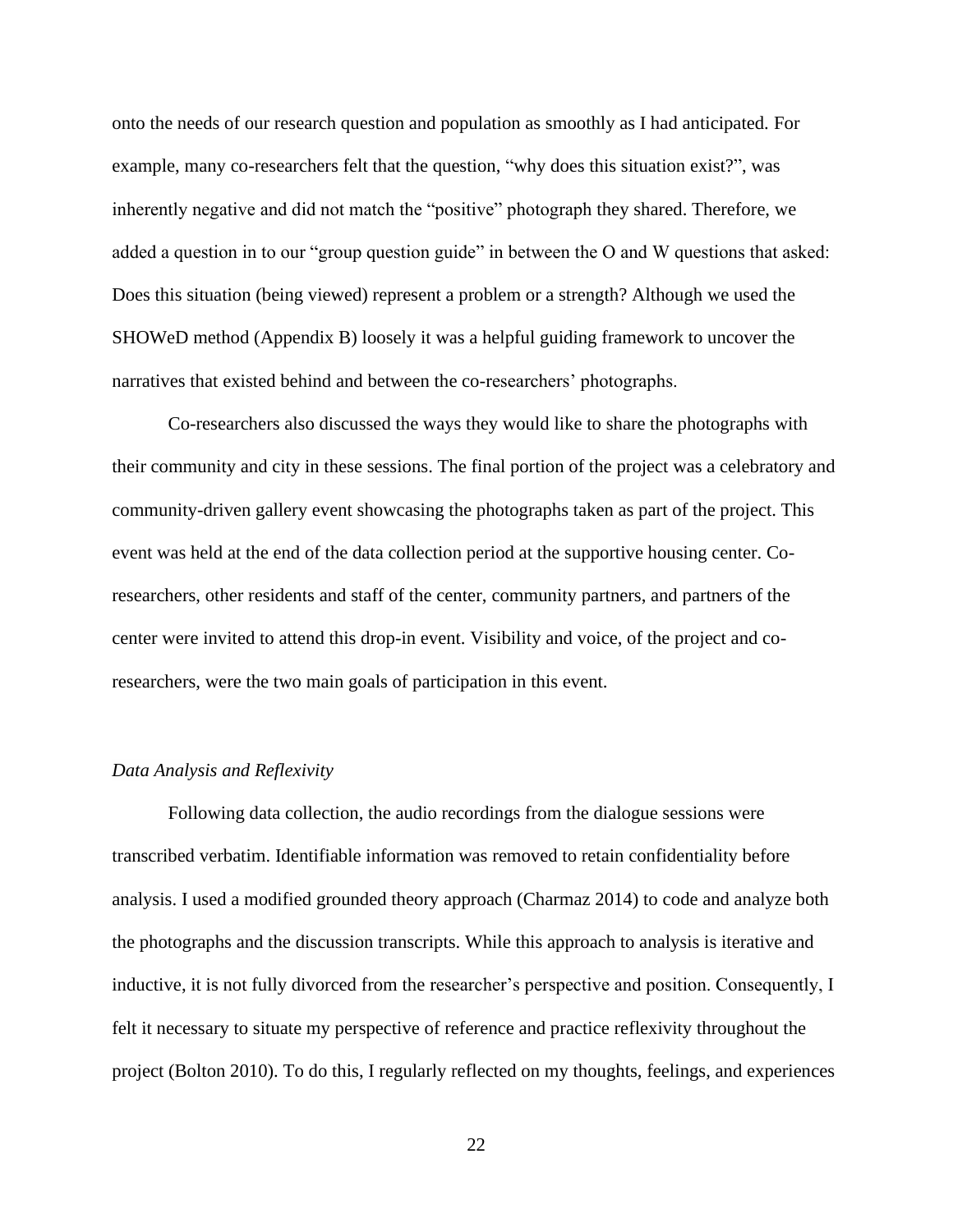onto the needs of our research question and population as smoothly as I had anticipated. For example, many co-researchers felt that the question, "why does this situation exist?", was inherently negative and did not match the "positive" photograph they shared. Therefore, we added a question in to our "group question guide" in between the O and W questions that asked: Does this situation (being viewed) represent a problem or a strength? Although we used the SHOWeD method (Appendix B) loosely it was a helpful guiding framework to uncover the narratives that existed behind and between the co-researchers' photographs.

Co-researchers also discussed the ways they would like to share the photographs with their community and city in these sessions. The final portion of the project was a celebratory and community-driven gallery event showcasing the photographs taken as part of the project. This event was held at the end of the data collection period at the supportive housing center. Coresearchers, other residents and staff of the center, community partners, and partners of the center were invited to attend this drop-in event. Visibility and voice, of the project and coresearchers, were the two main goals of participation in this event.

### <span id="page-26-0"></span>*Data Analysis and Reflexivity*

Following data collection, the audio recordings from the dialogue sessions were transcribed verbatim. Identifiable information was removed to retain confidentiality before analysis. I used a modified grounded theory approach (Charmaz 2014) to code and analyze both the photographs and the discussion transcripts. While this approach to analysis is iterative and inductive, it is not fully divorced from the researcher's perspective and position. Consequently, I felt it necessary to situate my perspective of reference and practice reflexivity throughout the project (Bolton 2010). To do this, I regularly reflected on my thoughts, feelings, and experiences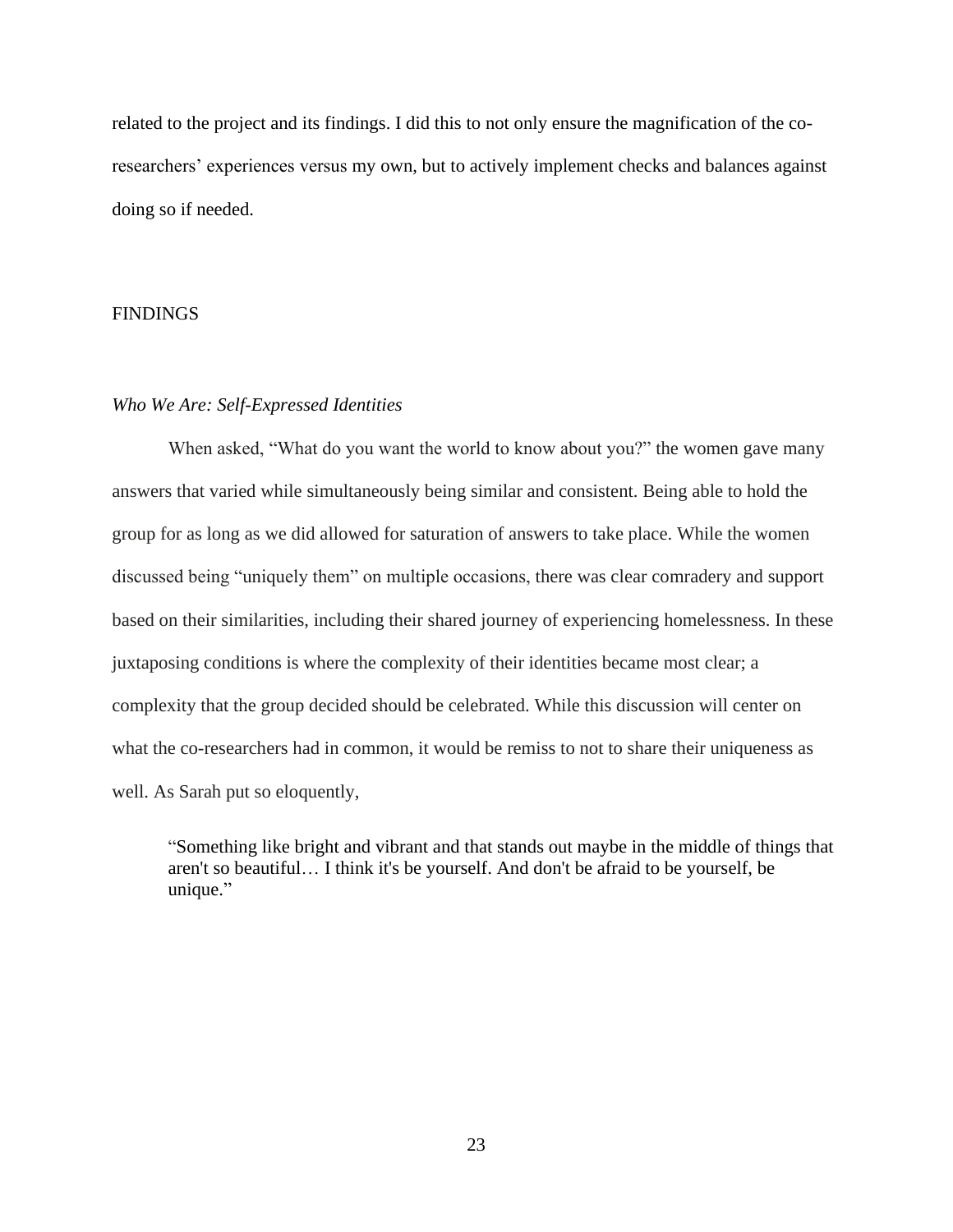related to the project and its findings. I did this to not only ensure the magnification of the coresearchers' experiences versus my own, but to actively implement checks and balances against doing so if needed.

## <span id="page-27-0"></span>**FINDINGS**

## <span id="page-27-1"></span>*Who We Are: Self-Expressed Identities*

When asked, "What do you want the world to know about you?" the women gave many answers that varied while simultaneously being similar and consistent. Being able to hold the group for as long as we did allowed for saturation of answers to take place. While the women discussed being "uniquely them" on multiple occasions, there was clear comradery and support based on their similarities, including their shared journey of experiencing homelessness. In these juxtaposing conditions is where the complexity of their identities became most clear; a complexity that the group decided should be celebrated. While this discussion will center on what the co-researchers had in common, it would be remiss to not to share their uniqueness as well. As Sarah put so eloquently,

"Something like bright and vibrant and that stands out maybe in the middle of things that aren't so beautiful… I think it's be yourself. And don't be afraid to be yourself, be unique."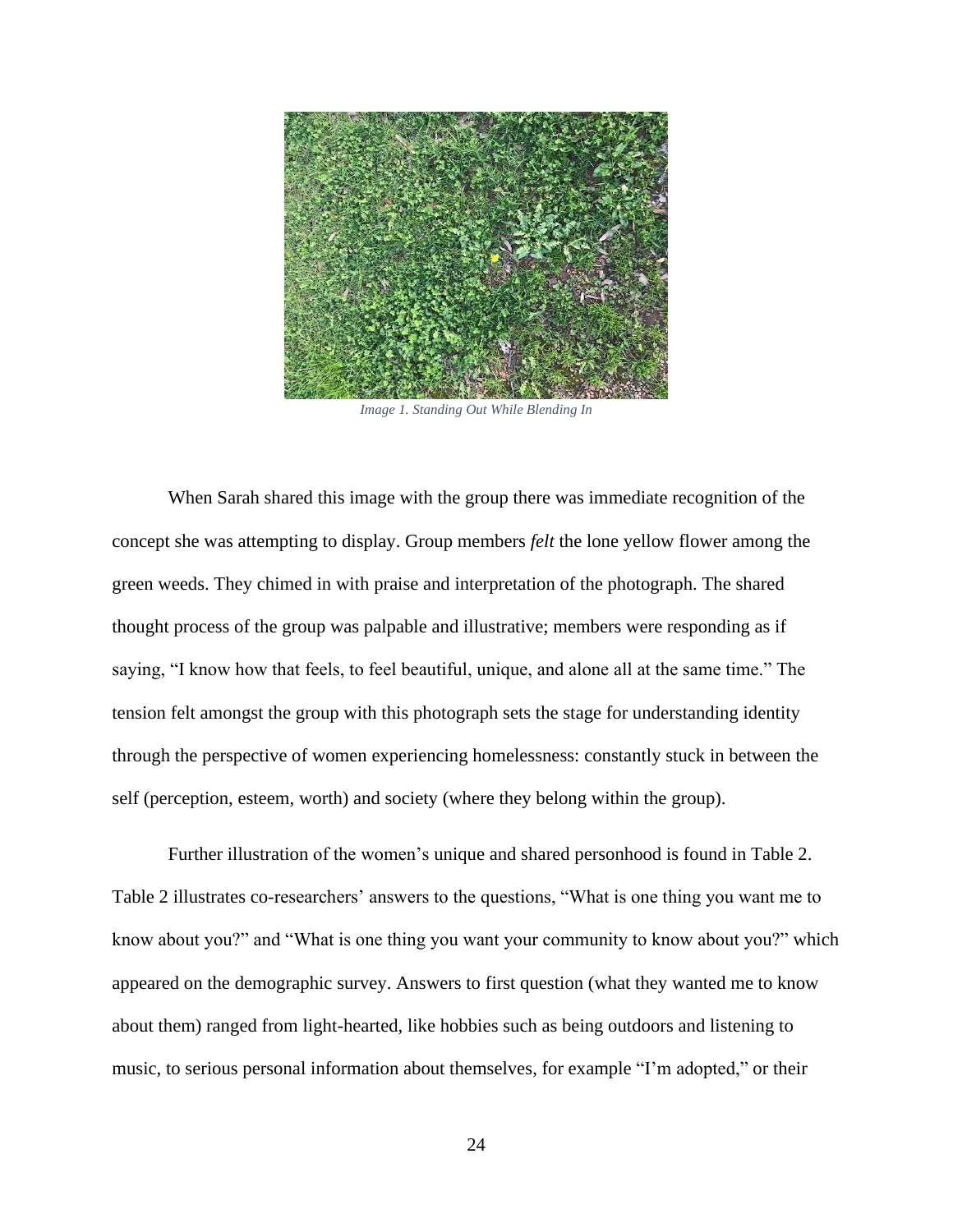

*Image 1. Standing Out While Blending In*

When Sarah shared this image with the group there was immediate recognition of the concept she was attempting to display. Group members *felt* the lone yellow flower among the green weeds. They chimed in with praise and interpretation of the photograph. The shared thought process of the group was palpable and illustrative; members were responding as if saying, "I know how that feels, to feel beautiful, unique, and alone all at the same time." The tension felt amongst the group with this photograph sets the stage for understanding identity through the perspective of women experiencing homelessness: constantly stuck in between the self (perception, esteem, worth) and society (where they belong within the group).

Further illustration of the women's unique and shared personhood is found in Table 2. Table 2 illustrates co-researchers' answers to the questions, "What is one thing you want me to know about you?" and "What is one thing you want your community to know about you?" which appeared on the demographic survey. Answers to first question (what they wanted me to know about them) ranged from light-hearted, like hobbies such as being outdoors and listening to music, to serious personal information about themselves, for example "I'm adopted," or their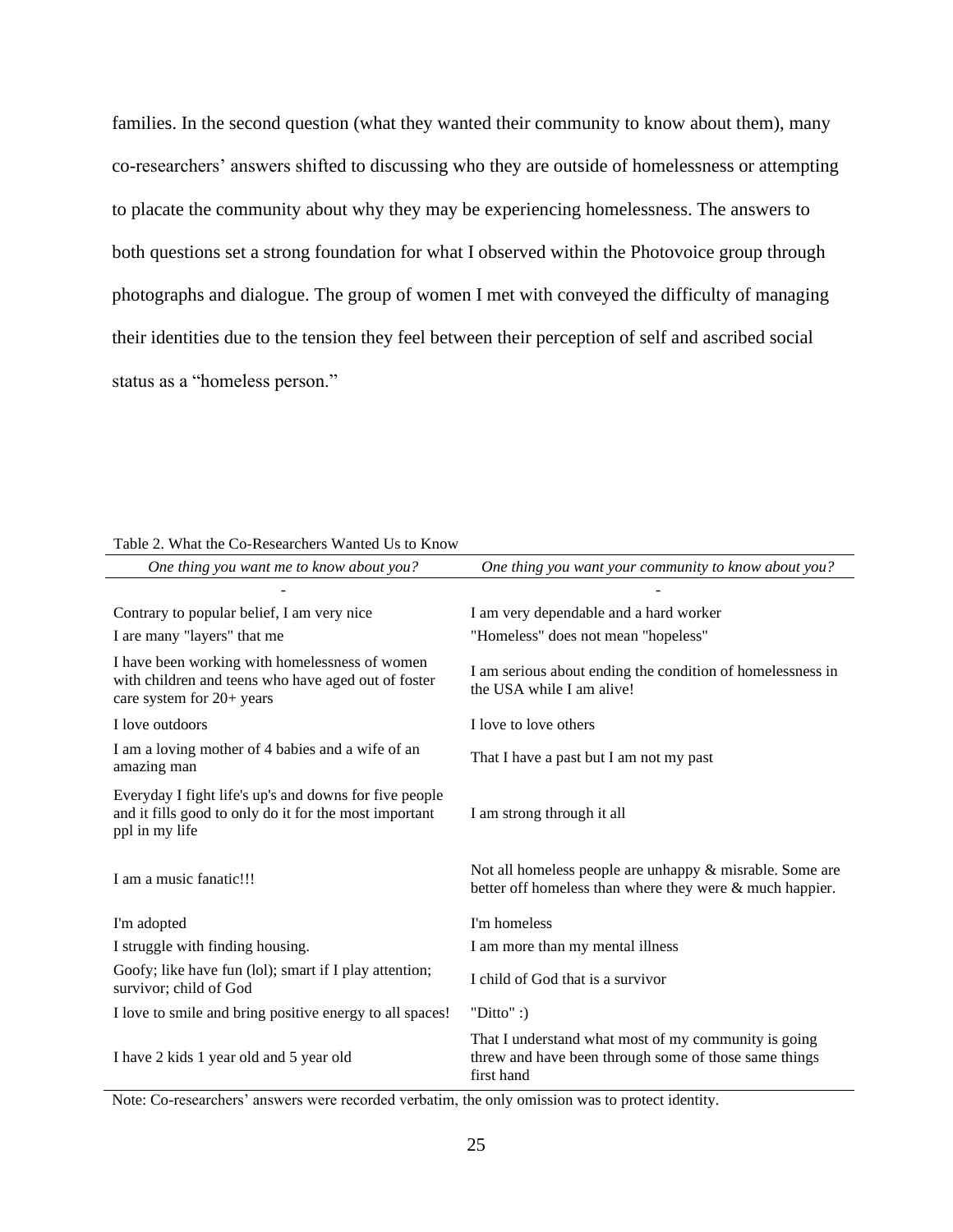families. In the second question (what they wanted their community to know about them), many co-researchers' answers shifted to discussing who they are outside of homelessness or attempting to placate the community about why they may be experiencing homelessness. The answers to both questions set a strong foundation for what I observed within the Photovoice group through photographs and dialogue. The group of women I met with conveyed the difficulty of managing their identities due to the tension they feel between their perception of self and ascribed social status as a "homeless person."

| Table 2. What the Co-Researchers Wanted Us to Know |
|----------------------------------------------------|
|----------------------------------------------------|

| One thing you want me to know about you?                                                                                           | One thing you want your community to know about you?                                                                        |
|------------------------------------------------------------------------------------------------------------------------------------|-----------------------------------------------------------------------------------------------------------------------------|
|                                                                                                                                    |                                                                                                                             |
| Contrary to popular belief, I am very nice                                                                                         | I am very dependable and a hard worker                                                                                      |
| I are many "layers" that me                                                                                                        | "Homeless" does not mean "hopeless"                                                                                         |
| I have been working with homelessness of women<br>with children and teens who have aged out of foster<br>care system for 20+ years | I am serious about ending the condition of homelessness in<br>the USA while I am alive!                                     |
| I love outdoors                                                                                                                    | I love to love others                                                                                                       |
| I am a loving mother of 4 babies and a wife of an<br>amazing man                                                                   | That I have a past but I am not my past                                                                                     |
| Everyday I fight life's up's and downs for five people<br>and it fills good to only do it for the most important<br>ppl in my life | I am strong through it all                                                                                                  |
| I am a music fanatic!!!                                                                                                            | Not all homeless people are unhappy $\&$ misrable. Some are<br>better off homeless than where they were & much happier.     |
| I'm adopted                                                                                                                        | I'm homeless                                                                                                                |
| I struggle with finding housing.                                                                                                   | I am more than my mental illness                                                                                            |
| Goofy; like have fun (lol); smart if I play attention;<br>survivor; child of God                                                   | I child of God that is a survivor                                                                                           |
| I love to smile and bring positive energy to all spaces!                                                                           | "Ditto" :)                                                                                                                  |
| I have 2 kids 1 year old and 5 year old                                                                                            | That I understand what most of my community is going<br>threw and have been through some of those same things<br>first hand |

Note: Co-researchers' answers were recorded verbatim, the only omission was to protect identity.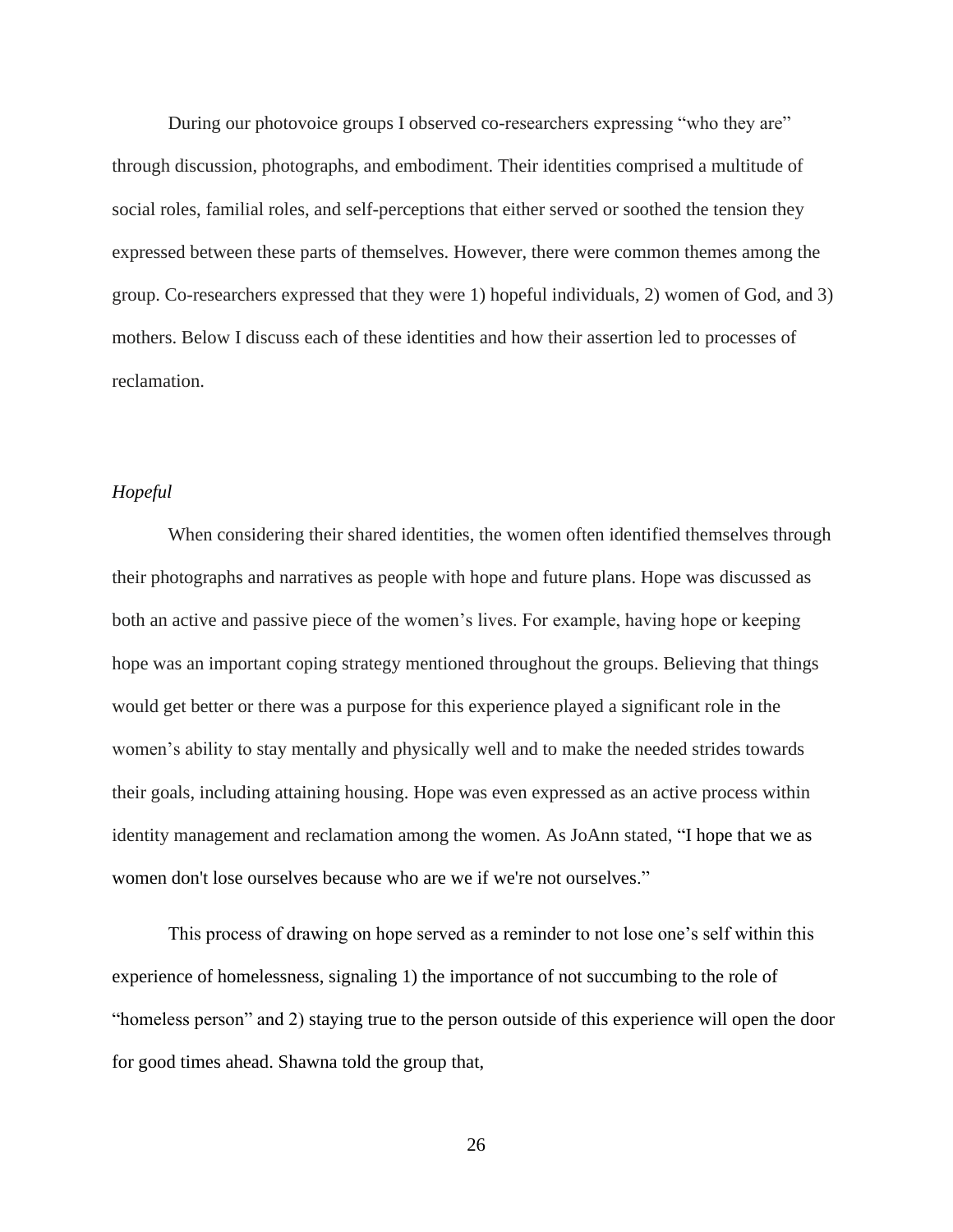During our photovoice groups I observed co-researchers expressing "who they are" through discussion, photographs, and embodiment. Their identities comprised a multitude of social roles, familial roles, and self-perceptions that either served or soothed the tension they expressed between these parts of themselves. However, there were common themes among the group. Co-researchers expressed that they were 1) hopeful individuals, 2) women of God, and 3) mothers. Below I discuss each of these identities and how their assertion led to processes of reclamation.

## <span id="page-30-0"></span>*Hopeful*

When considering their shared identities, the women often identified themselves through their photographs and narratives as people with hope and future plans. Hope was discussed as both an active and passive piece of the women's lives. For example, having hope or keeping hope was an important coping strategy mentioned throughout the groups. Believing that things would get better or there was a purpose for this experience played a significant role in the women's ability to stay mentally and physically well and to make the needed strides towards their goals, including attaining housing. Hope was even expressed as an active process within identity management and reclamation among the women. As JoAnn stated, "I hope that we as women don't lose ourselves because who are we if we're not ourselves."

This process of drawing on hope served as a reminder to not lose one's self within this experience of homelessness, signaling 1) the importance of not succumbing to the role of "homeless person" and 2) staying true to the person outside of this experience will open the door for good times ahead. Shawna told the group that,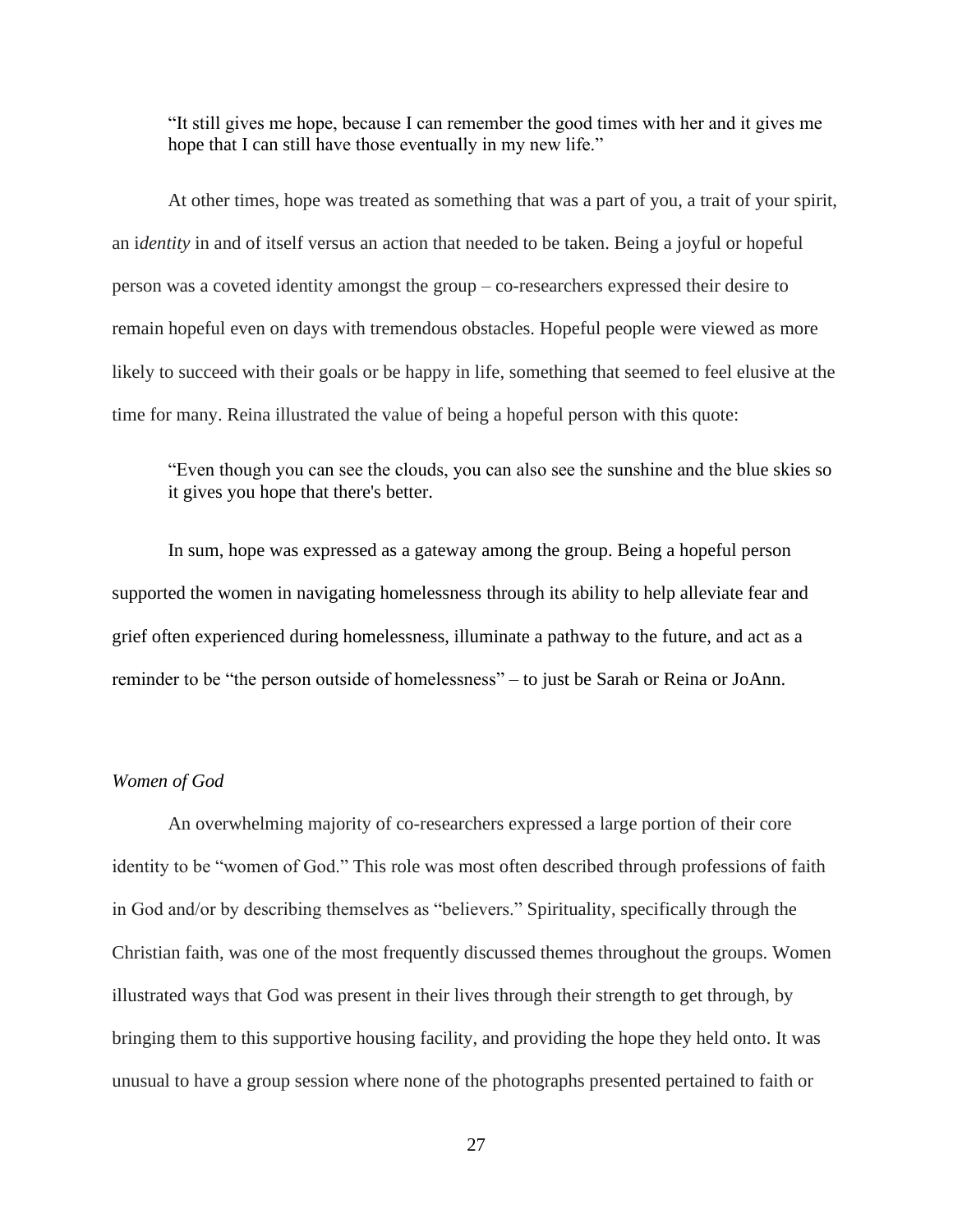"It still gives me hope, because I can remember the good times with her and it gives me hope that I can still have those eventually in my new life."

At other times, hope was treated as something that was a part of you, a trait of your spirit, an i*dentity* in and of itself versus an action that needed to be taken. Being a joyful or hopeful person was a coveted identity amongst the group – co-researchers expressed their desire to remain hopeful even on days with tremendous obstacles. Hopeful people were viewed as more likely to succeed with their goals or be happy in life, something that seemed to feel elusive at the time for many. Reina illustrated the value of being a hopeful person with this quote:

"Even though you can see the clouds, you can also see the sunshine and the blue skies so it gives you hope that there's better.

In sum, hope was expressed as a gateway among the group. Being a hopeful person supported the women in navigating homelessness through its ability to help alleviate fear and grief often experienced during homelessness, illuminate a pathway to the future, and act as a reminder to be "the person outside of homelessness" – to just be Sarah or Reina or JoAnn.

## <span id="page-31-0"></span>*Women of God*

An overwhelming majority of co-researchers expressed a large portion of their core identity to be "women of God." This role was most often described through professions of faith in God and/or by describing themselves as "believers." Spirituality, specifically through the Christian faith, was one of the most frequently discussed themes throughout the groups. Women illustrated ways that God was present in their lives through their strength to get through, by bringing them to this supportive housing facility, and providing the hope they held onto. It was unusual to have a group session where none of the photographs presented pertained to faith or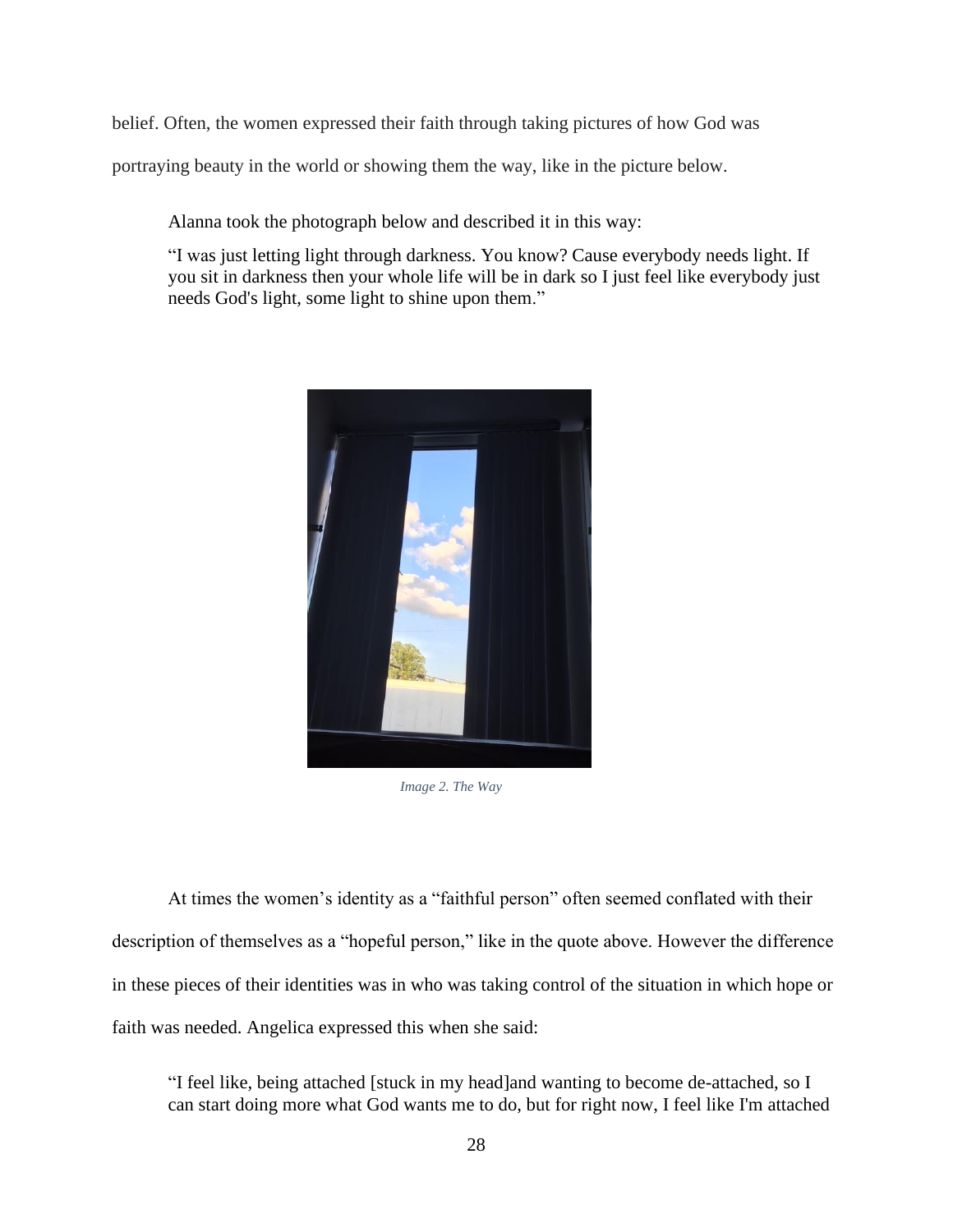belief. Often, the women expressed their faith through taking pictures of how God was

portraying beauty in the world or showing them the way, like in the picture below.

Alanna took the photograph below and described it in this way:

"I was just letting light through darkness. You know? Cause everybody needs light. If you sit in darkness then your whole life will be in dark so I just feel like everybody just needs God's light, some light to shine upon them."



*Image 2. The Way*

At times the women's identity as a "faithful person" often seemed conflated with their description of themselves as a "hopeful person," like in the quote above. However the difference in these pieces of their identities was in who was taking control of the situation in which hope or faith was needed. Angelica expressed this when she said:

"I feel like, being attached [stuck in my head]and wanting to become de-attached, so I can start doing more what God wants me to do, but for right now, I feel like I'm attached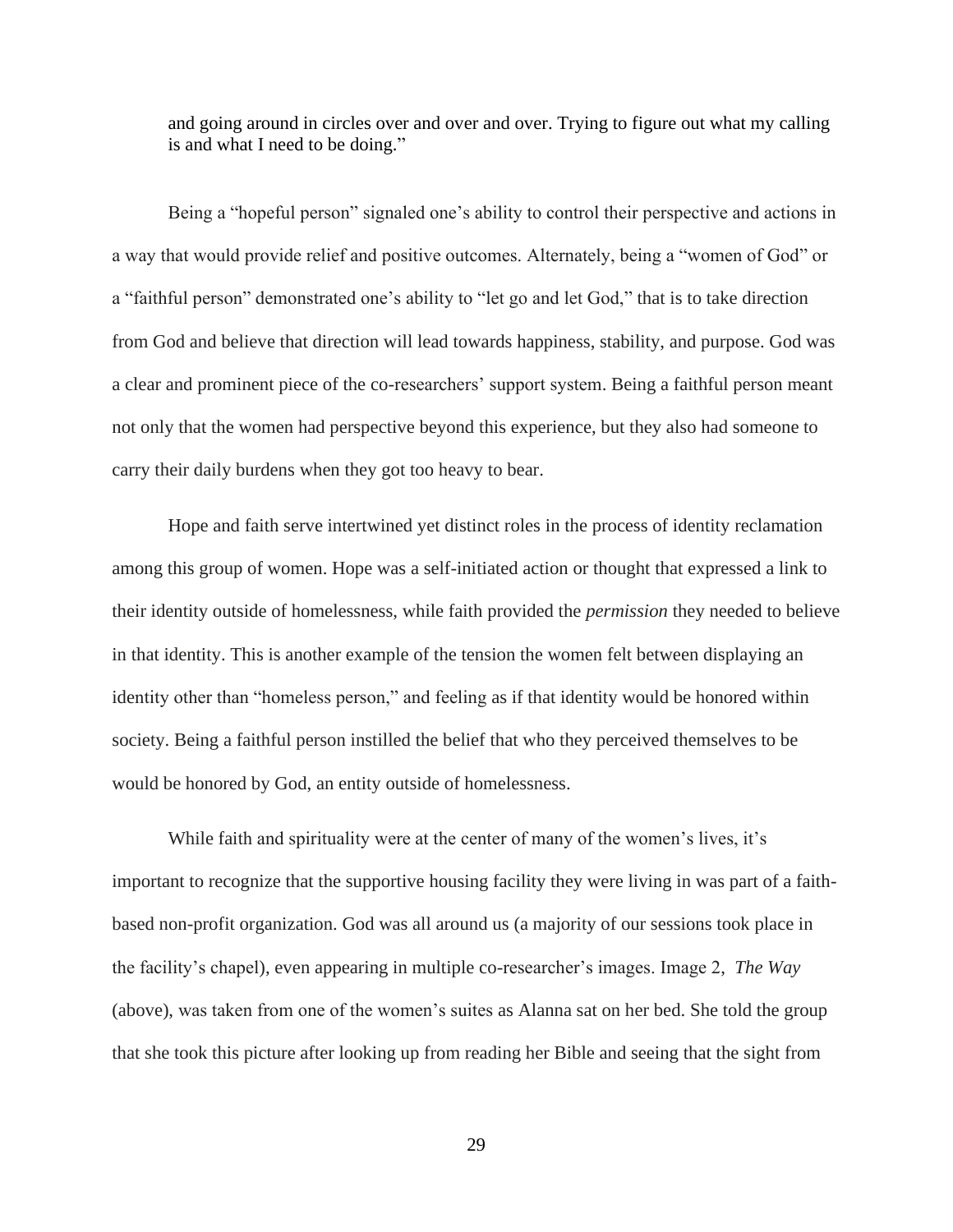and going around in circles over and over and over. Trying to figure out what my calling is and what I need to be doing."

Being a "hopeful person" signaled one's ability to control their perspective and actions in a way that would provide relief and positive outcomes. Alternately, being a "women of God" or a "faithful person" demonstrated one's ability to "let go and let God," that is to take direction from God and believe that direction will lead towards happiness, stability, and purpose. God was a clear and prominent piece of the co-researchers' support system. Being a faithful person meant not only that the women had perspective beyond this experience, but they also had someone to carry their daily burdens when they got too heavy to bear.

Hope and faith serve intertwined yet distinct roles in the process of identity reclamation among this group of women. Hope was a self-initiated action or thought that expressed a link to their identity outside of homelessness, while faith provided the *permission* they needed to believe in that identity. This is another example of the tension the women felt between displaying an identity other than "homeless person," and feeling as if that identity would be honored within society. Being a faithful person instilled the belief that who they perceived themselves to be would be honored by God, an entity outside of homelessness.

While faith and spirituality were at the center of many of the women's lives, it's important to recognize that the supportive housing facility they were living in was part of a faithbased non-profit organization. God was all around us (a majority of our sessions took place in the facility's chapel), even appearing in multiple co-researcher's images. Image 2, *The Way* (above), was taken from one of the women's suites as Alanna sat on her bed. She told the group that she took this picture after looking up from reading her Bible and seeing that the sight from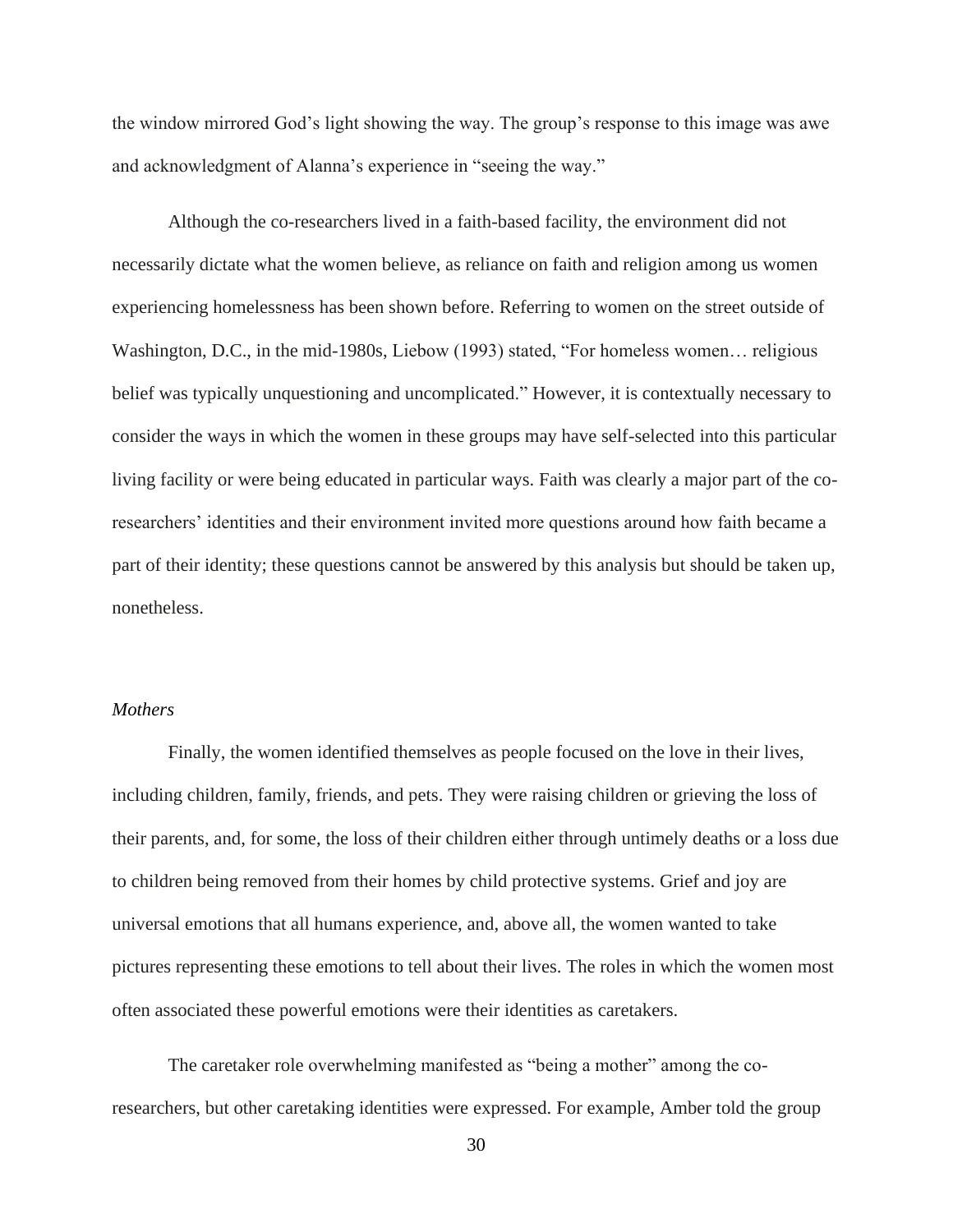the window mirrored God's light showing the way. The group's response to this image was awe and acknowledgment of Alanna's experience in "seeing the way."

Although the co-researchers lived in a faith-based facility, the environment did not necessarily dictate what the women believe, as reliance on faith and religion among us women experiencing homelessness has been shown before. Referring to women on the street outside of Washington, D.C., in the mid-1980s, Liebow (1993) stated, "For homeless women… religious belief was typically unquestioning and uncomplicated." However, it is contextually necessary to consider the ways in which the women in these groups may have self-selected into this particular living facility or were being educated in particular ways. Faith was clearly a major part of the coresearchers' identities and their environment invited more questions around how faith became a part of their identity; these questions cannot be answered by this analysis but should be taken up, nonetheless.

## <span id="page-34-0"></span>*Mothers*

Finally, the women identified themselves as people focused on the love in their lives, including children, family, friends, and pets. They were raising children or grieving the loss of their parents, and, for some, the loss of their children either through untimely deaths or a loss due to children being removed from their homes by child protective systems. Grief and joy are universal emotions that all humans experience, and, above all, the women wanted to take pictures representing these emotions to tell about their lives. The roles in which the women most often associated these powerful emotions were their identities as caretakers.

The caretaker role overwhelming manifested as "being a mother" among the coresearchers, but other caretaking identities were expressed. For example, Amber told the group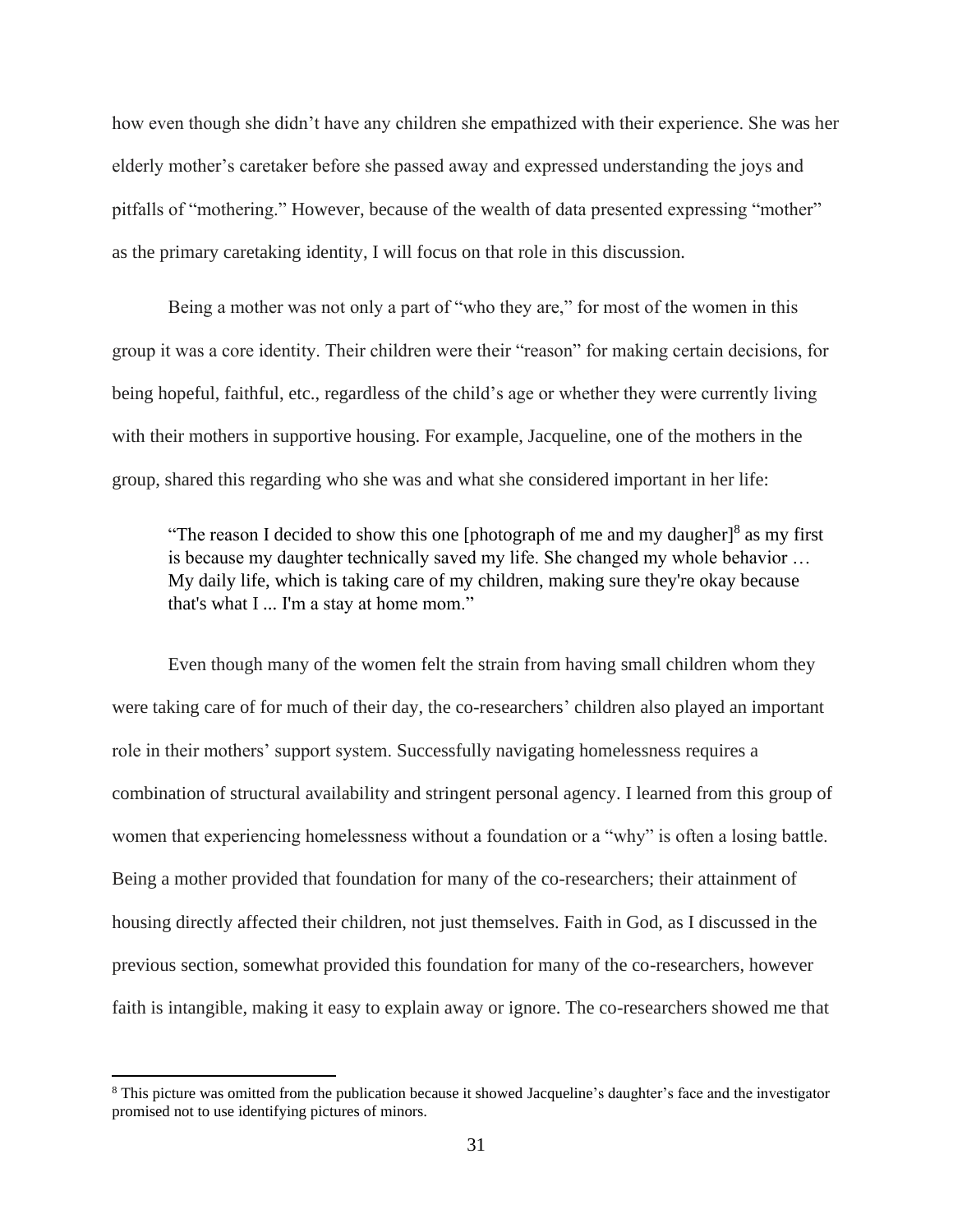how even though she didn't have any children she empathized with their experience. She was her elderly mother's caretaker before she passed away and expressed understanding the joys and pitfalls of "mothering." However, because of the wealth of data presented expressing "mother" as the primary caretaking identity, I will focus on that role in this discussion.

Being a mother was not only a part of "who they are," for most of the women in this group it was a core identity. Their children were their "reason" for making certain decisions, for being hopeful, faithful, etc., regardless of the child's age or whether they were currently living with their mothers in supportive housing. For example, Jacqueline, one of the mothers in the group, shared this regarding who she was and what she considered important in her life:

"The reason I decided to show this one [photograph of me and my daugher] $8$  as my first is because my daughter technically saved my life. She changed my whole behavior … My daily life, which is taking care of my children, making sure they're okay because that's what I ... I'm a stay at home mom."

Even though many of the women felt the strain from having small children whom they were taking care of for much of their day, the co-researchers' children also played an important role in their mothers' support system. Successfully navigating homelessness requires a combination of structural availability and stringent personal agency. I learned from this group of women that experiencing homelessness without a foundation or a "why" is often a losing battle. Being a mother provided that foundation for many of the co-researchers; their attainment of housing directly affected their children, not just themselves. Faith in God, as I discussed in the previous section, somewhat provided this foundation for many of the co-researchers, however faith is intangible, making it easy to explain away or ignore. The co-researchers showed me that

<sup>8</sup> This picture was omitted from the publication because it showed Jacqueline's daughter's face and the investigator promised not to use identifying pictures of minors.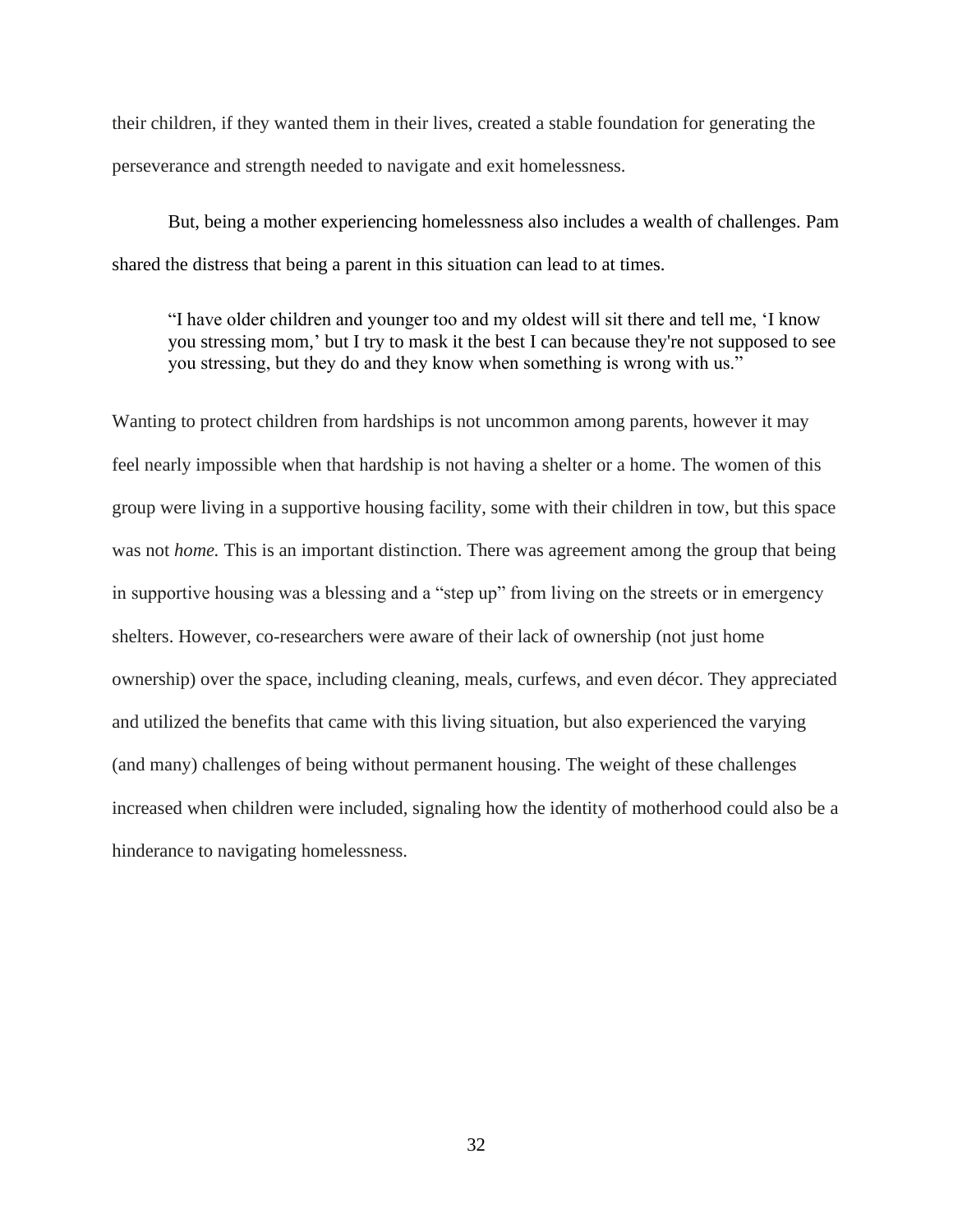their children, if they wanted them in their lives, created a stable foundation for generating the perseverance and strength needed to navigate and exit homelessness.

But, being a mother experiencing homelessness also includes a wealth of challenges. Pam shared the distress that being a parent in this situation can lead to at times.

"I have older children and younger too and my oldest will sit there and tell me, 'I know you stressing mom,' but I try to mask it the best I can because they're not supposed to see you stressing, but they do and they know when something is wrong with us."

Wanting to protect children from hardships is not uncommon among parents, however it may feel nearly impossible when that hardship is not having a shelter or a home. The women of this group were living in a supportive housing facility, some with their children in tow, but this space was not *home*. This is an important distinction. There was agreement among the group that being in supportive housing was a blessing and a "step up" from living on the streets or in emergency shelters. However, co-researchers were aware of their lack of ownership (not just home ownership) over the space, including cleaning, meals, curfews, and even décor. They appreciated and utilized the benefits that came with this living situation, but also experienced the varying (and many) challenges of being without permanent housing. The weight of these challenges increased when children were included, signaling how the identity of motherhood could also be a hinderance to navigating homelessness.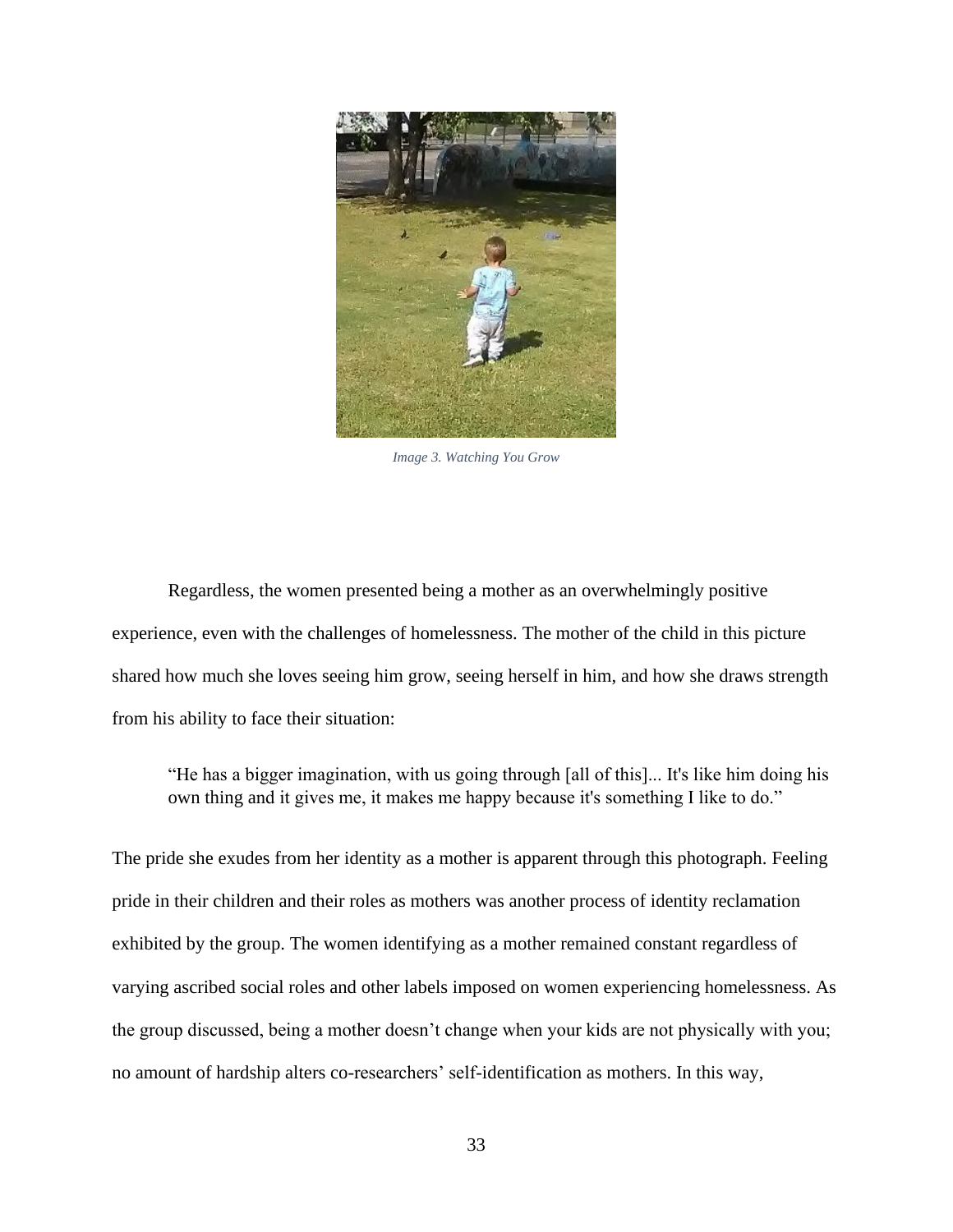

*Image 3. Watching You Grow*

Regardless, the women presented being a mother as an overwhelmingly positive experience, even with the challenges of homelessness. The mother of the child in this picture shared how much she loves seeing him grow, seeing herself in him, and how she draws strength from his ability to face their situation:

"He has a bigger imagination, with us going through [all of this]... It's like him doing his own thing and it gives me, it makes me happy because it's something I like to do."

The pride she exudes from her identity as a mother is apparent through this photograph. Feeling pride in their children and their roles as mothers was another process of identity reclamation exhibited by the group. The women identifying as a mother remained constant regardless of varying ascribed social roles and other labels imposed on women experiencing homelessness. As the group discussed, being a mother doesn't change when your kids are not physically with you; no amount of hardship alters co-researchers' self-identification as mothers. In this way,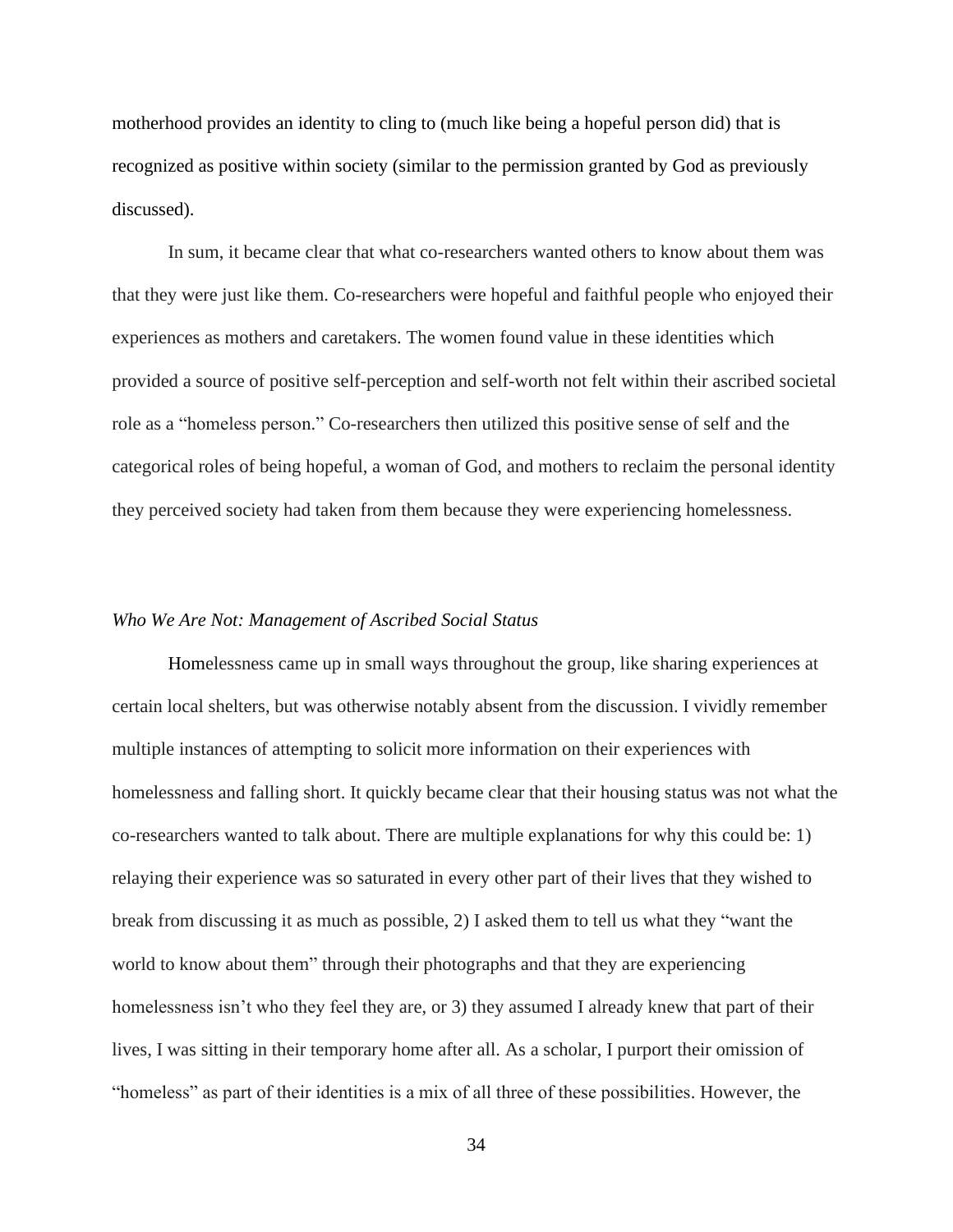motherhood provides an identity to cling to (much like being a hopeful person did) that is recognized as positive within society (similar to the permission granted by God as previously discussed).

In sum, it became clear that what co-researchers wanted others to know about them was that they were just like them. Co-researchers were hopeful and faithful people who enjoyed their experiences as mothers and caretakers. The women found value in these identities which provided a source of positive self-perception and self-worth not felt within their ascribed societal role as a "homeless person." Co-researchers then utilized this positive sense of self and the categorical roles of being hopeful, a woman of God, and mothers to reclaim the personal identity they perceived society had taken from them because they were experiencing homelessness.

#### <span id="page-38-0"></span>*Who We Are Not: Management of Ascribed Social Status*

Homelessness came up in small ways throughout the group, like sharing experiences at certain local shelters, but was otherwise notably absent from the discussion. I vividly remember multiple instances of attempting to solicit more information on their experiences with homelessness and falling short. It quickly became clear that their housing status was not what the co-researchers wanted to talk about. There are multiple explanations for why this could be: 1) relaying their experience was so saturated in every other part of their lives that they wished to break from discussing it as much as possible, 2) I asked them to tell us what they "want the world to know about them" through their photographs and that they are experiencing homelessness isn't who they feel they are, or 3) they assumed I already knew that part of their lives, I was sitting in their temporary home after all. As a scholar, I purport their omission of "homeless" as part of their identities is a mix of all three of these possibilities. However, the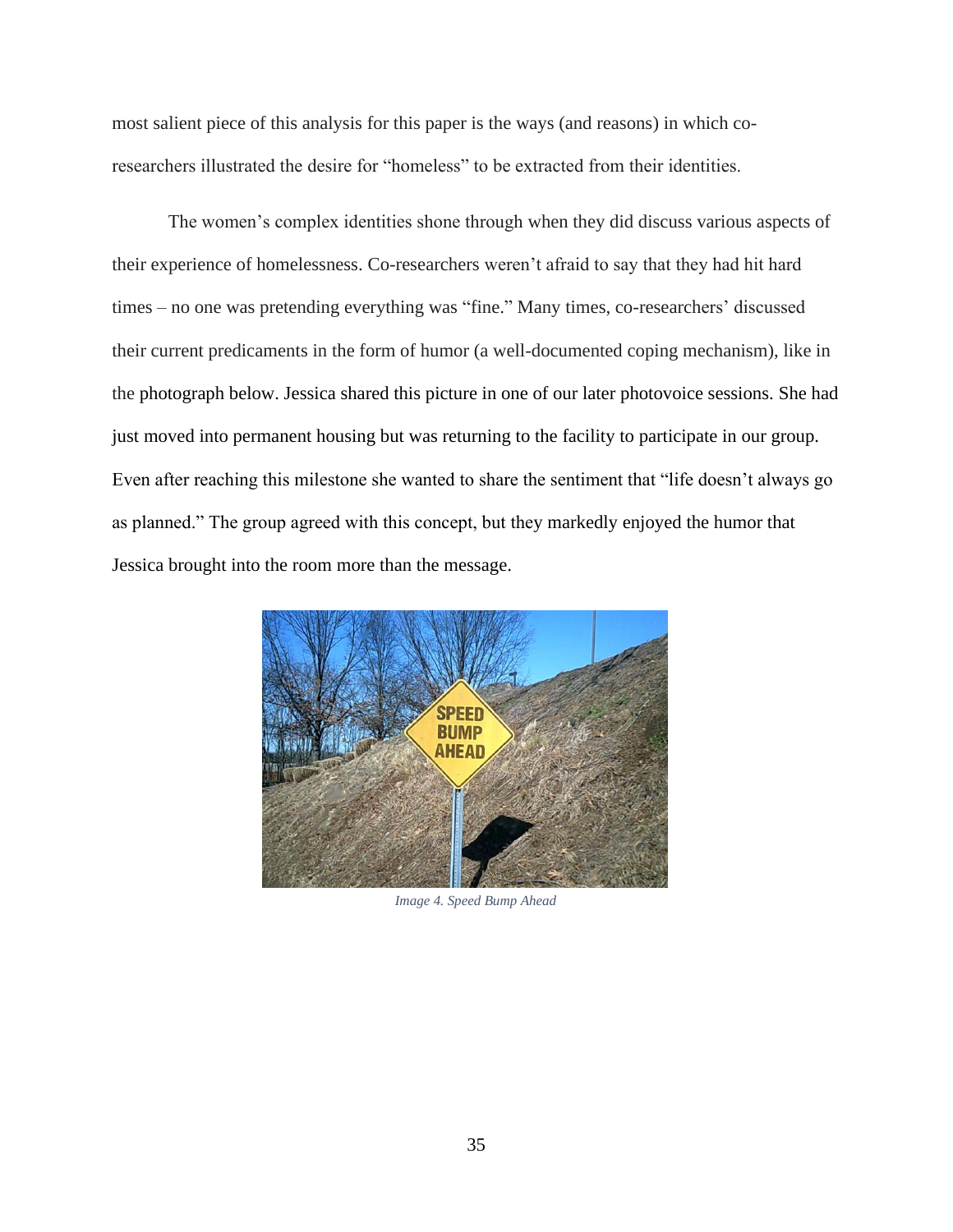most salient piece of this analysis for this paper is the ways (and reasons) in which coresearchers illustrated the desire for "homeless" to be extracted from their identities.

The women's complex identities shone through when they did discuss various aspects of their experience of homelessness. Co-researchers weren't afraid to say that they had hit hard times – no one was pretending everything was "fine." Many times, co-researchers' discussed their current predicaments in the form of humor (a well-documented coping mechanism), like in the photograph below. Jessica shared this picture in one of our later photovoice sessions. She had just moved into permanent housing but was returning to the facility to participate in our group. Even after reaching this milestone she wanted to share the sentiment that "life doesn't always go as planned." The group agreed with this concept, but they markedly enjoyed the humor that Jessica brought into the room more than the message.



*Image 4. Speed Bump Ahead*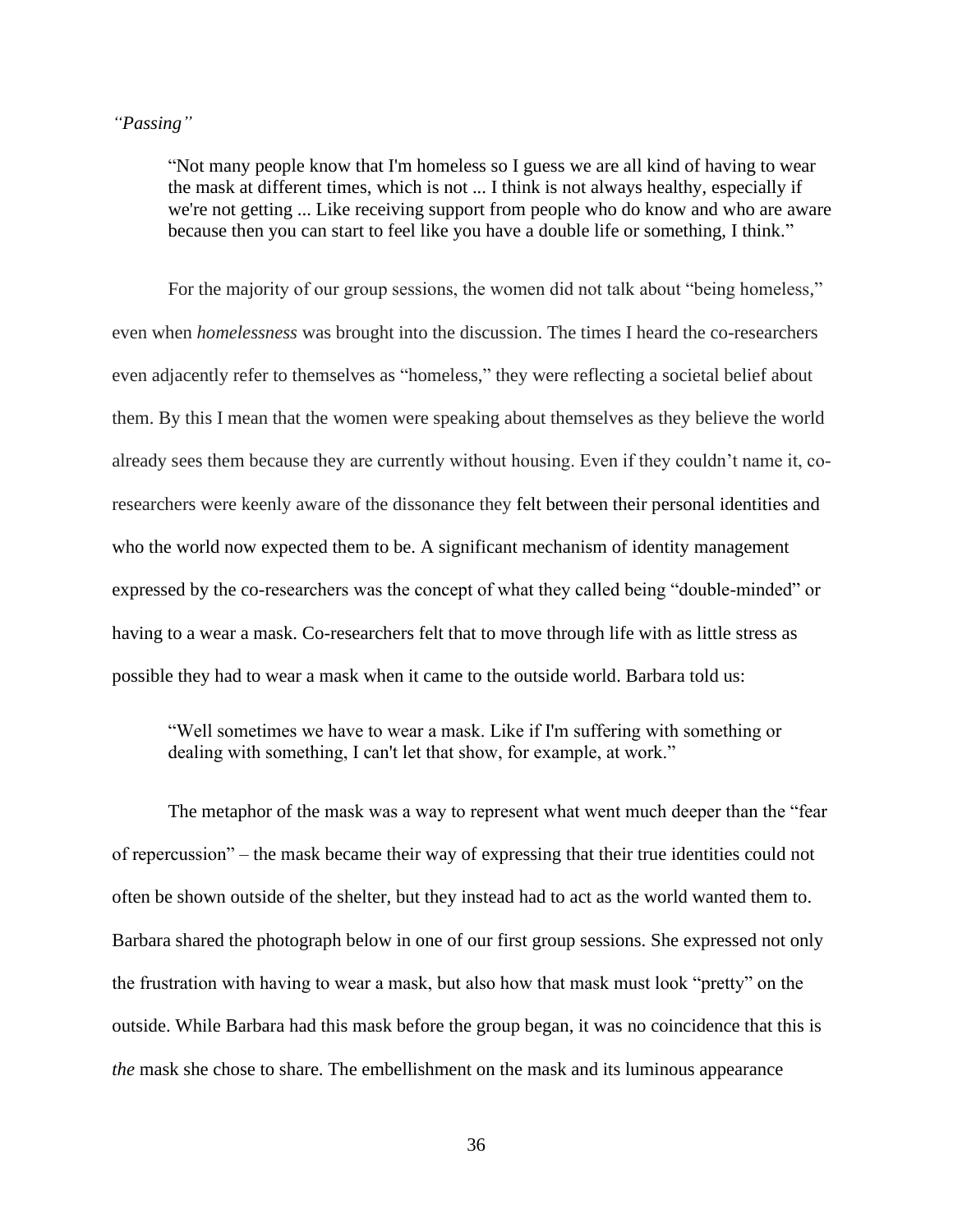## <span id="page-40-0"></span>*"Passing"*

"Not many people know that I'm homeless so I guess we are all kind of having to wear the mask at different times, which is not ... I think is not always healthy, especially if we're not getting ... Like receiving support from people who do know and who are aware because then you can start to feel like you have a double life or something, I think."

For the majority of our group sessions, the women did not talk about "being homeless," even when *homelessness* was brought into the discussion. The times I heard the co-researchers even adjacently refer to themselves as "homeless," they were reflecting a societal belief about them. By this I mean that the women were speaking about themselves as they believe the world already sees them because they are currently without housing. Even if they couldn't name it, coresearchers were keenly aware of the dissonance they felt between their personal identities and who the world now expected them to be. A significant mechanism of identity management expressed by the co-researchers was the concept of what they called being "double-minded" or having to a wear a mask. Co-researchers felt that to move through life with as little stress as possible they had to wear a mask when it came to the outside world. Barbara told us:

"Well sometimes we have to wear a mask. Like if I'm suffering with something or dealing with something, I can't let that show, for example, at work."

The metaphor of the mask was a way to represent what went much deeper than the "fear of repercussion" – the mask became their way of expressing that their true identities could not often be shown outside of the shelter, but they instead had to act as the world wanted them to. Barbara shared the photograph below in one of our first group sessions. She expressed not only the frustration with having to wear a mask, but also how that mask must look "pretty" on the outside. While Barbara had this mask before the group began, it was no coincidence that this is *the* mask she chose to share. The embellishment on the mask and its luminous appearance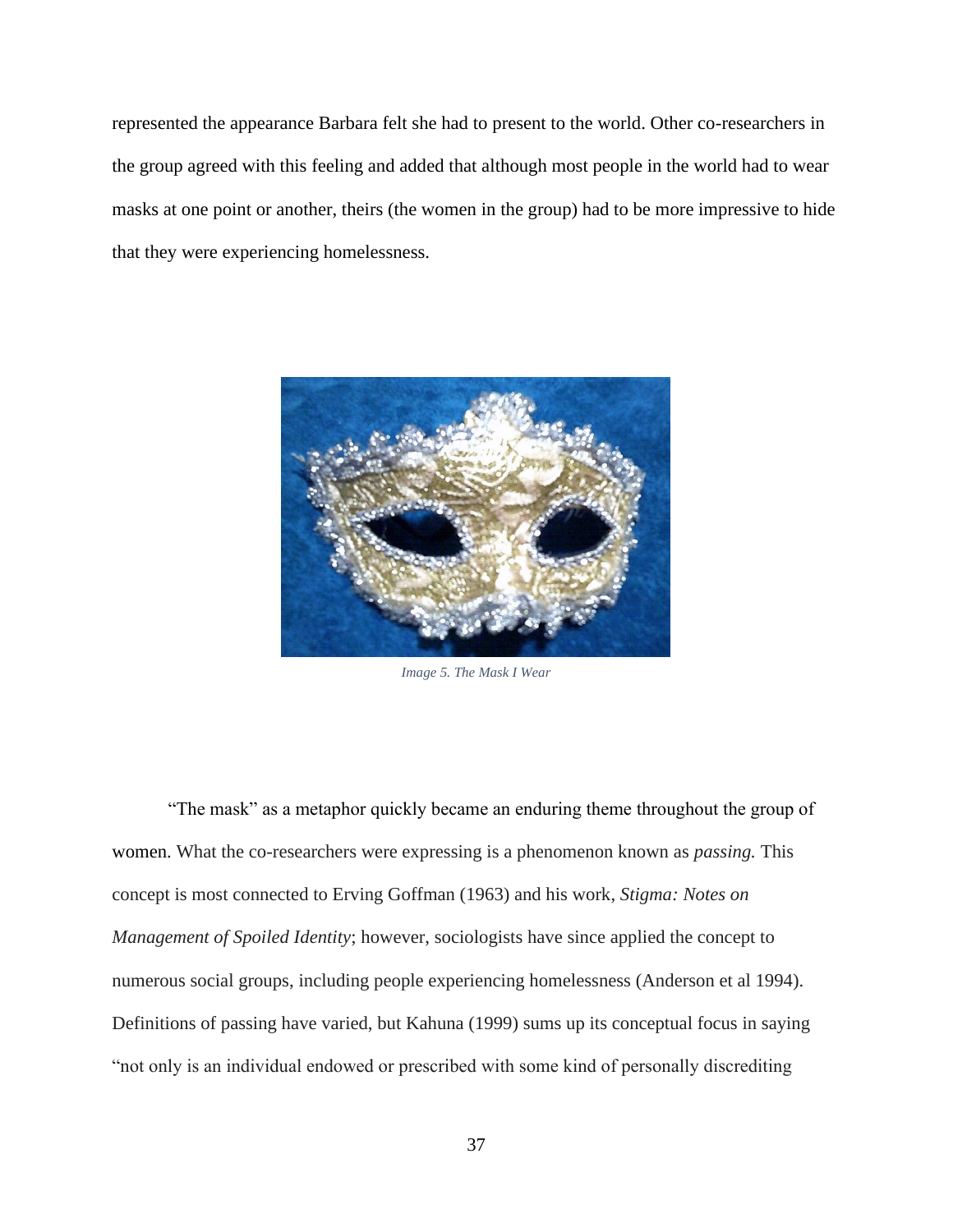represented the appearance Barbara felt she had to present to the world. Other co-researchers in the group agreed with this feeling and added that although most people in the world had to wear masks at one point or another, theirs (the women in the group) had to be more impressive to hide that they were experiencing homelessness.



*Image 5. The Mask I Wear*

"The mask" as a metaphor quickly became an enduring theme throughout the group of women. What the co-researchers were expressing is a phenomenon known as *passing.* This concept is most connected to Erving Goffman (1963) and his work, *Stigma: Notes on Management of Spoiled Identity*; however, sociologists have since applied the concept to numerous social groups, including people experiencing homelessness (Anderson et al 1994). Definitions of passing have varied, but Kahuna (1999) sums up its conceptual focus in saying "not only is an individual endowed or prescribed with some kind of personally discrediting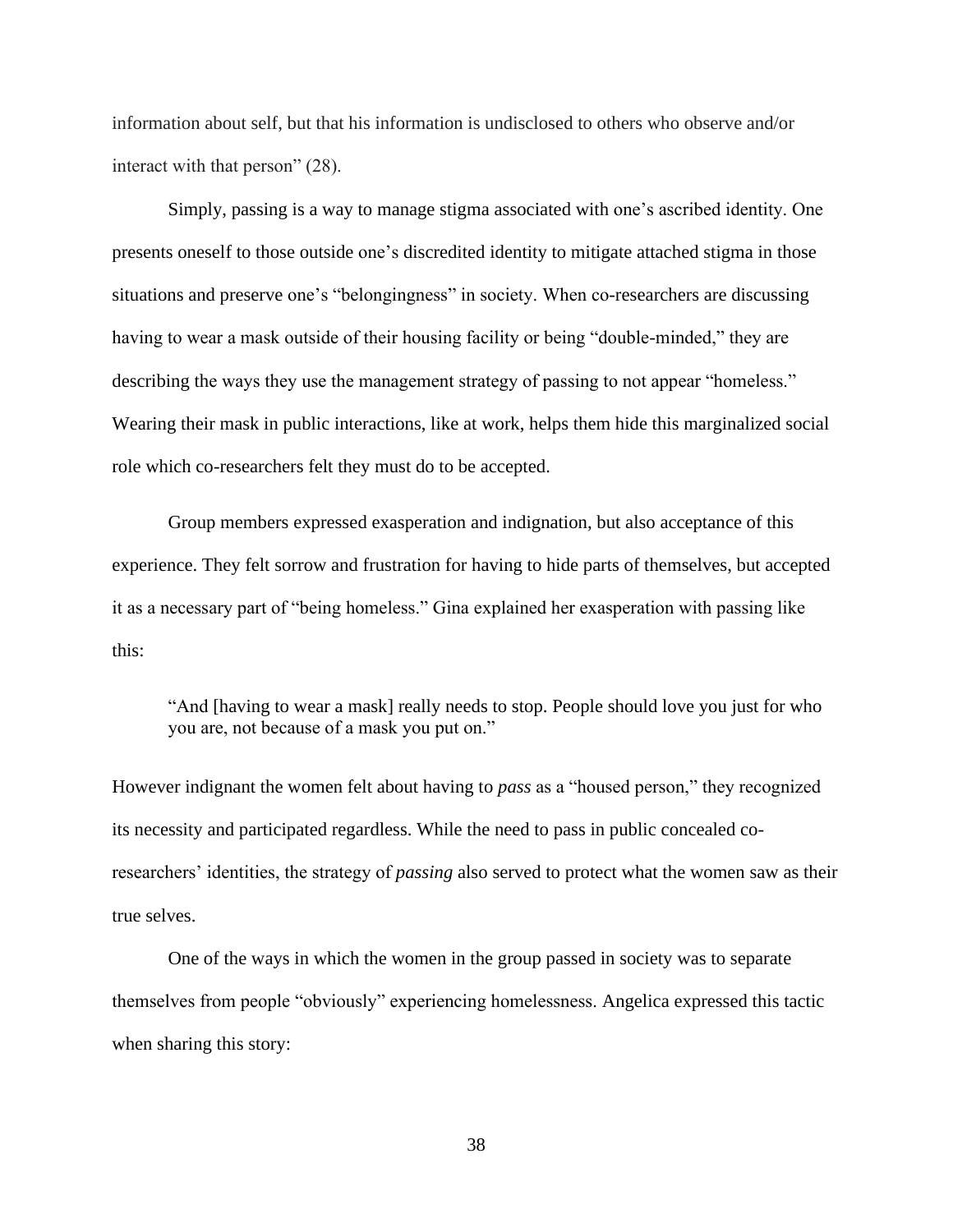information about self, but that his information is undisclosed to others who observe and/or interact with that person" (28).

Simply, passing is a way to manage stigma associated with one's ascribed identity. One presents oneself to those outside one's discredited identity to mitigate attached stigma in those situations and preserve one's "belongingness" in society. When co-researchers are discussing having to wear a mask outside of their housing facility or being "double-minded," they are describing the ways they use the management strategy of passing to not appear "homeless." Wearing their mask in public interactions, like at work, helps them hide this marginalized social role which co-researchers felt they must do to be accepted.

Group members expressed exasperation and indignation, but also acceptance of this experience. They felt sorrow and frustration for having to hide parts of themselves, but accepted it as a necessary part of "being homeless." Gina explained her exasperation with passing like this:

"And [having to wear a mask] really needs to stop. People should love you just for who you are, not because of a mask you put on."

However indignant the women felt about having to *pass* as a "housed person," they recognized its necessity and participated regardless. While the need to pass in public concealed coresearchers' identities, the strategy of *passing* also served to protect what the women saw as their true selves.

One of the ways in which the women in the group passed in society was to separate themselves from people "obviously" experiencing homelessness. Angelica expressed this tactic when sharing this story: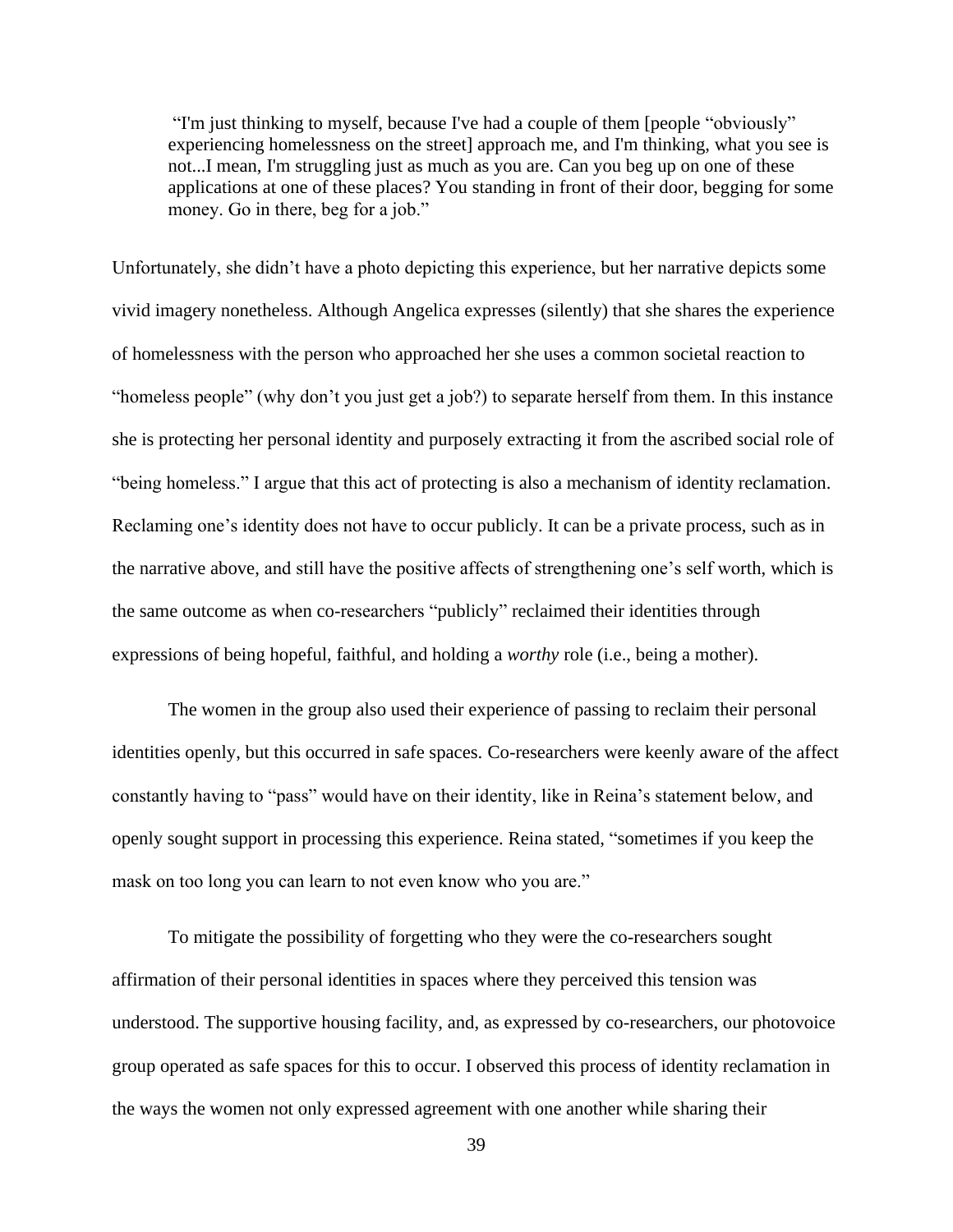"I'm just thinking to myself, because I've had a couple of them [people "obviously" experiencing homelessness on the street] approach me, and I'm thinking, what you see is not...I mean, I'm struggling just as much as you are. Can you beg up on one of these applications at one of these places? You standing in front of their door, begging for some money. Go in there, beg for a job."

Unfortunately, she didn't have a photo depicting this experience, but her narrative depicts some vivid imagery nonetheless. Although Angelica expresses (silently) that she shares the experience of homelessness with the person who approached her she uses a common societal reaction to "homeless people" (why don't you just get a job?) to separate herself from them. In this instance she is protecting her personal identity and purposely extracting it from the ascribed social role of "being homeless." I argue that this act of protecting is also a mechanism of identity reclamation. Reclaming one's identity does not have to occur publicly. It can be a private process, such as in the narrative above, and still have the positive affects of strengthening one's self worth, which is the same outcome as when co-researchers "publicly" reclaimed their identities through expressions of being hopeful, faithful, and holding a *worthy* role (i.e., being a mother).

The women in the group also used their experience of passing to reclaim their personal identities openly, but this occurred in safe spaces. Co-researchers were keenly aware of the affect constantly having to "pass" would have on their identity, like in Reina's statement below, and openly sought support in processing this experience. Reina stated, "sometimes if you keep the mask on too long you can learn to not even know who you are."

To mitigate the possibility of forgetting who they were the co-researchers sought affirmation of their personal identities in spaces where they perceived this tension was understood. The supportive housing facility, and, as expressed by co-researchers, our photovoice group operated as safe spaces for this to occur. I observed this process of identity reclamation in the ways the women not only expressed agreement with one another while sharing their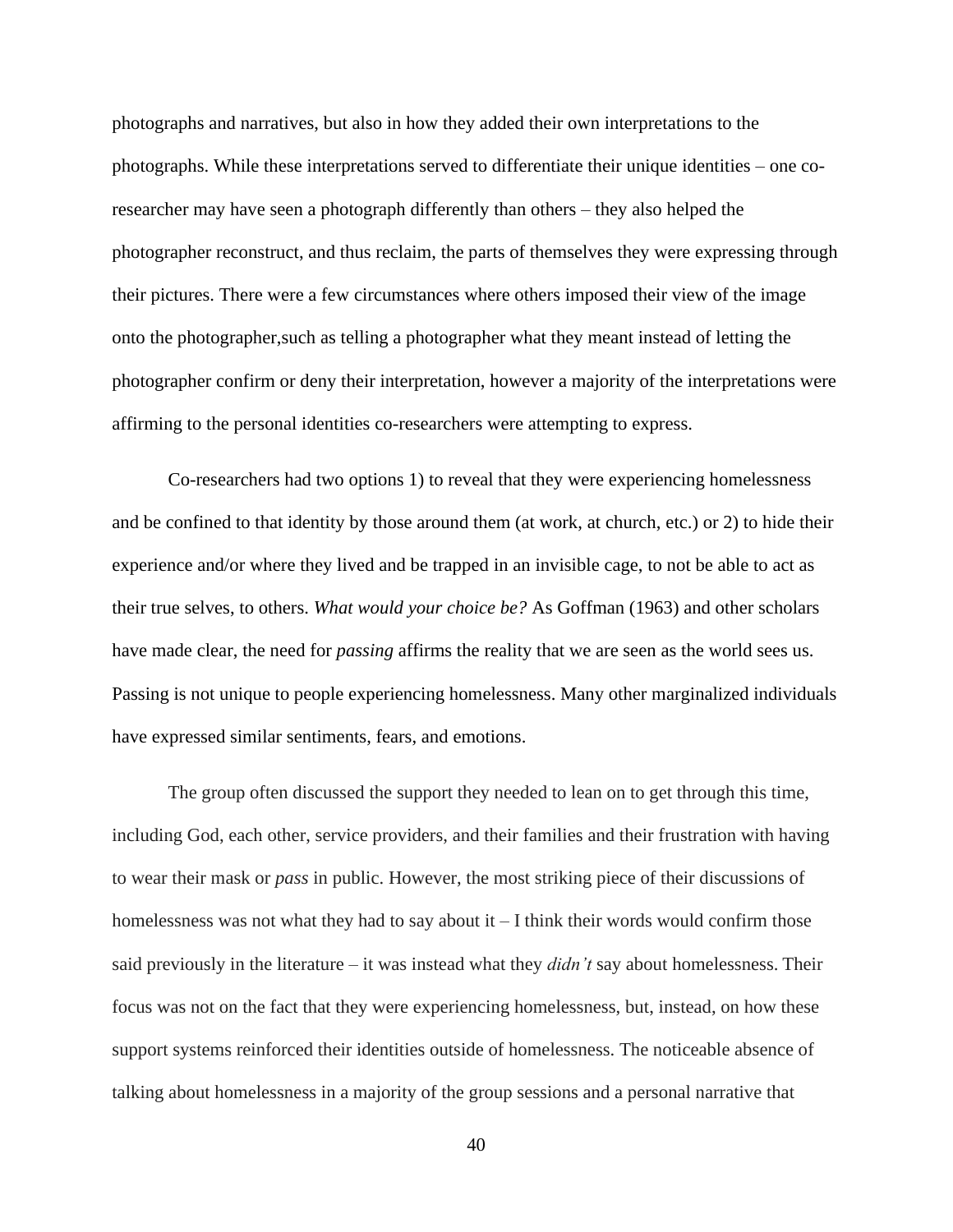photographs and narratives, but also in how they added their own interpretations to the photographs. While these interpretations served to differentiate their unique identities – one coresearcher may have seen a photograph differently than others – they also helped the photographer reconstruct, and thus reclaim, the parts of themselves they were expressing through their pictures. There were a few circumstances where others imposed their view of the image onto the photographer,such as telling a photographer what they meant instead of letting the photographer confirm or deny their interpretation, however a majority of the interpretations were affirming to the personal identities co-researchers were attempting to express.

Co-researchers had two options 1) to reveal that they were experiencing homelessness and be confined to that identity by those around them (at work, at church, etc.) or 2) to hide their experience and/or where they lived and be trapped in an invisible cage, to not be able to act as their true selves, to others. *What would your choice be?* As Goffman (1963) and other scholars have made clear, the need for *passing* affirms the reality that we are seen as the world sees us. Passing is not unique to people experiencing homelessness. Many other marginalized individuals have expressed similar sentiments, fears, and emotions.

The group often discussed the support they needed to lean on to get through this time, including God, each other, service providers, and their families and their frustration with having to wear their mask or *pass* in public. However, the most striking piece of their discussions of homelessness was not what they had to say about  $i - I$  think their words would confirm those said previously in the literature – it was instead what they *didn't* say about homelessness. Their focus was not on the fact that they were experiencing homelessness, but, instead, on how these support systems reinforced their identities outside of homelessness. The noticeable absence of talking about homelessness in a majority of the group sessions and a personal narrative that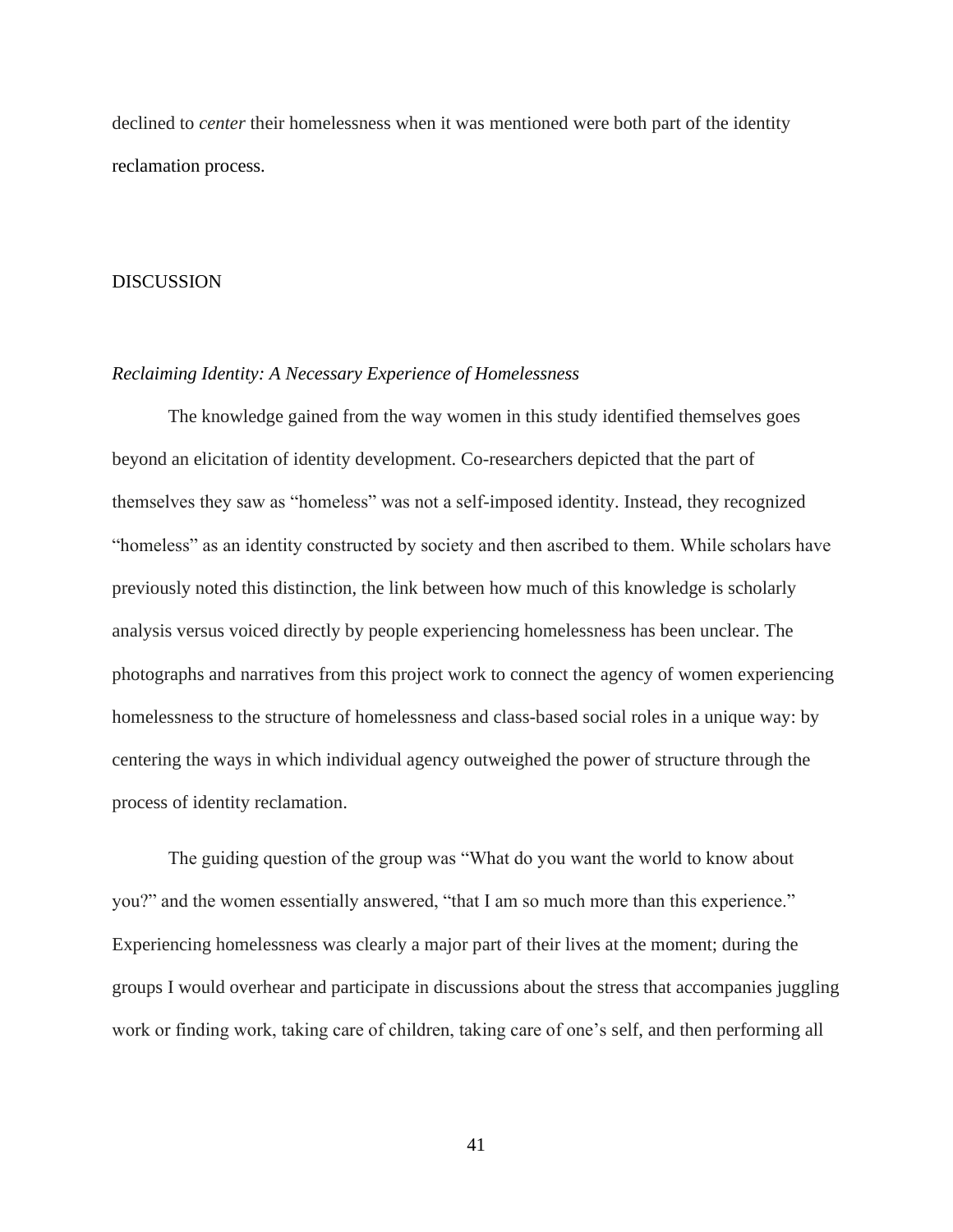declined to *center* their homelessness when it was mentioned were both part of the identity reclamation process.

## <span id="page-45-0"></span>DISCUSSION

## <span id="page-45-1"></span>*Reclaiming Identity: A Necessary Experience of Homelessness*

The knowledge gained from the way women in this study identified themselves goes beyond an elicitation of identity development. Co-researchers depicted that the part of themselves they saw as "homeless" was not a self-imposed identity. Instead, they recognized "homeless" as an identity constructed by society and then ascribed to them. While scholars have previously noted this distinction, the link between how much of this knowledge is scholarly analysis versus voiced directly by people experiencing homelessness has been unclear. The photographs and narratives from this project work to connect the agency of women experiencing homelessness to the structure of homelessness and class-based social roles in a unique way: by centering the ways in which individual agency outweighed the power of structure through the process of identity reclamation.

The guiding question of the group was "What do you want the world to know about you?" and the women essentially answered, "that I am so much more than this experience." Experiencing homelessness was clearly a major part of their lives at the moment; during the groups I would overhear and participate in discussions about the stress that accompanies juggling work or finding work, taking care of children, taking care of one's self, and then performing all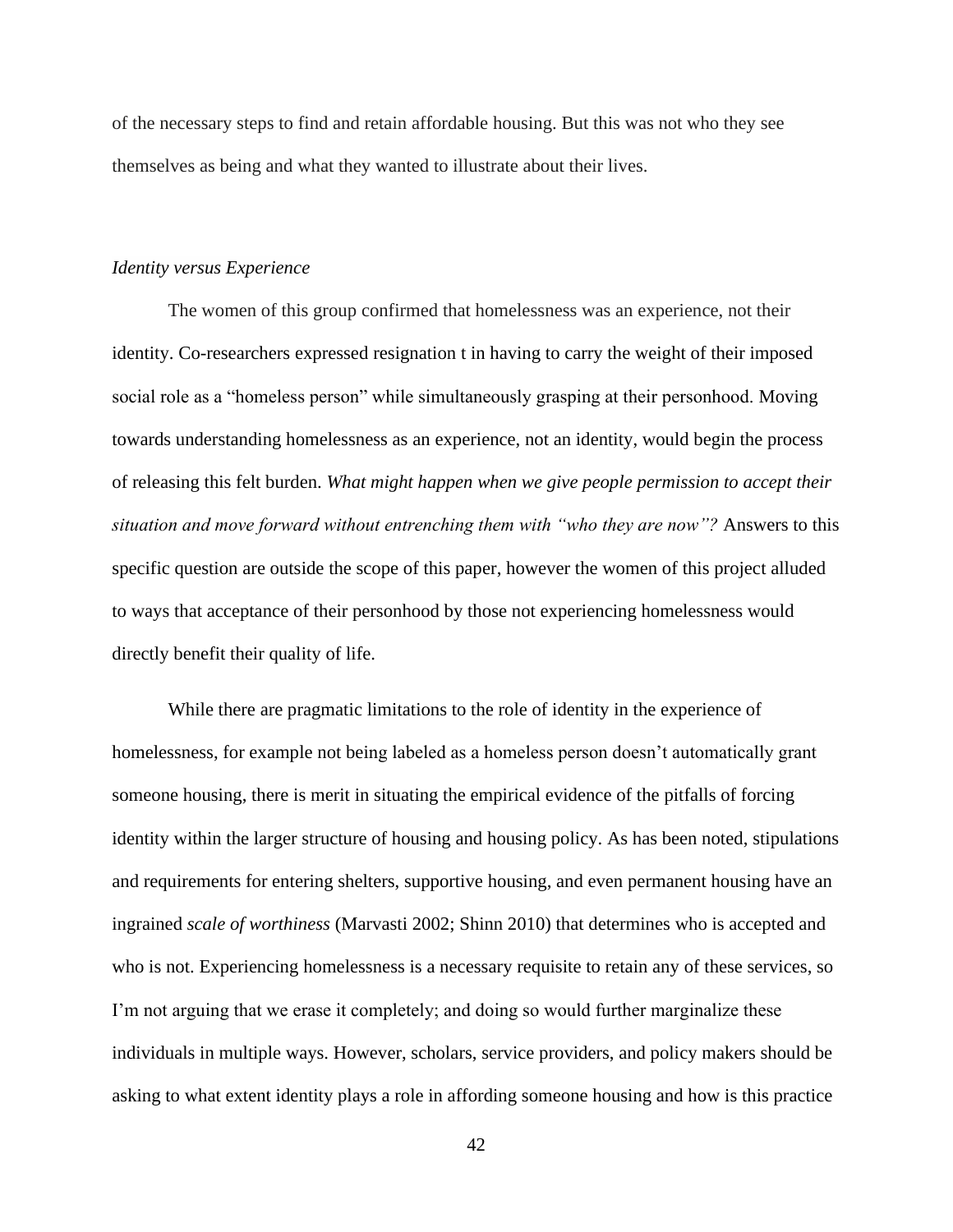of the necessary steps to find and retain affordable housing. But this was not who they see themselves as being and what they wanted to illustrate about their lives.

## <span id="page-46-0"></span>*Identity versus Experience*

The women of this group confirmed that homelessness was an experience, not their identity. Co-researchers expressed resignation t in having to carry the weight of their imposed social role as a "homeless person" while simultaneously grasping at their personhood. Moving towards understanding homelessness as an experience, not an identity, would begin the process of releasing this felt burden. *What might happen when we give people permission to accept their situation and move forward without entrenching them with "who they are now"?* Answers to this specific question are outside the scope of this paper, however the women of this project alluded to ways that acceptance of their personhood by those not experiencing homelessness would directly benefit their quality of life.

While there are pragmatic limitations to the role of identity in the experience of homelessness, for example not being labeled as a homeless person doesn't automatically grant someone housing, there is merit in situating the empirical evidence of the pitfalls of forcing identity within the larger structure of housing and housing policy. As has been noted, stipulations and requirements for entering shelters, supportive housing, and even permanent housing have an ingrained *scale of worthiness* (Marvasti 2002; Shinn 2010) that determines who is accepted and who is not. Experiencing homelessness is a necessary requisite to retain any of these services, so I'm not arguing that we erase it completely; and doing so would further marginalize these individuals in multiple ways. However, scholars, service providers, and policy makers should be asking to what extent identity plays a role in affording someone housing and how is this practice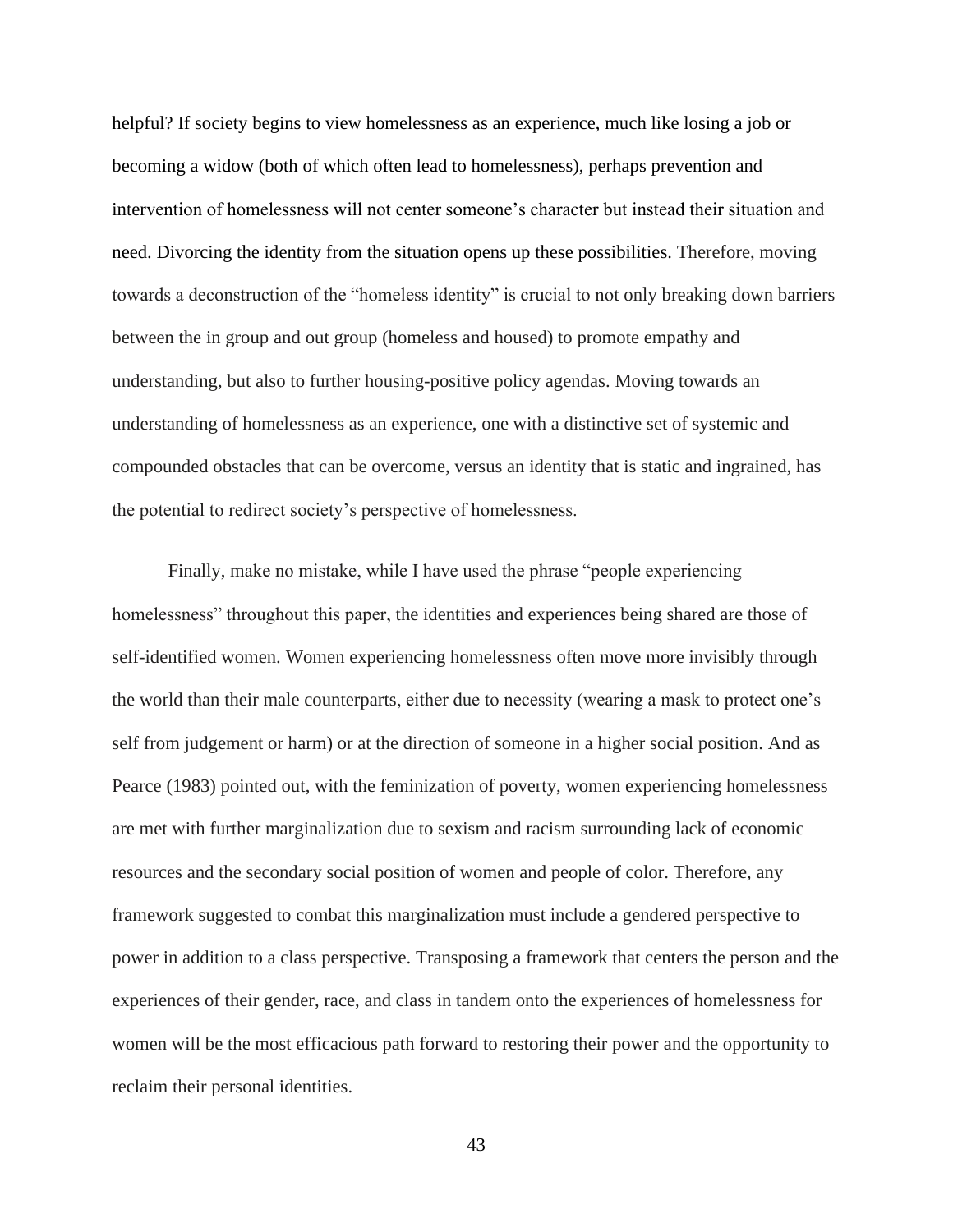helpful? If society begins to view homelessness as an experience, much like losing a job or becoming a widow (both of which often lead to homelessness), perhaps prevention and intervention of homelessness will not center someone's character but instead their situation and need. Divorcing the identity from the situation opens up these possibilities. Therefore, moving towards a deconstruction of the "homeless identity" is crucial to not only breaking down barriers between the in group and out group (homeless and housed) to promote empathy and understanding, but also to further housing-positive policy agendas. Moving towards an understanding of homelessness as an experience, one with a distinctive set of systemic and compounded obstacles that can be overcome, versus an identity that is static and ingrained, has the potential to redirect society's perspective of homelessness.

Finally, make no mistake, while I have used the phrase "people experiencing homelessness" throughout this paper, the identities and experiences being shared are those of self-identified women. Women experiencing homelessness often move more invisibly through the world than their male counterparts, either due to necessity (wearing a mask to protect one's self from judgement or harm) or at the direction of someone in a higher social position. And as Pearce (1983) pointed out, with the feminization of poverty, women experiencing homelessness are met with further marginalization due to sexism and racism surrounding lack of economic resources and the secondary social position of women and people of color. Therefore, any framework suggested to combat this marginalization must include a gendered perspective to power in addition to a class perspective. Transposing a framework that centers the person and the experiences of their gender, race, and class in tandem onto the experiences of homelessness for women will be the most efficacious path forward to restoring their power and the opportunity to reclaim their personal identities.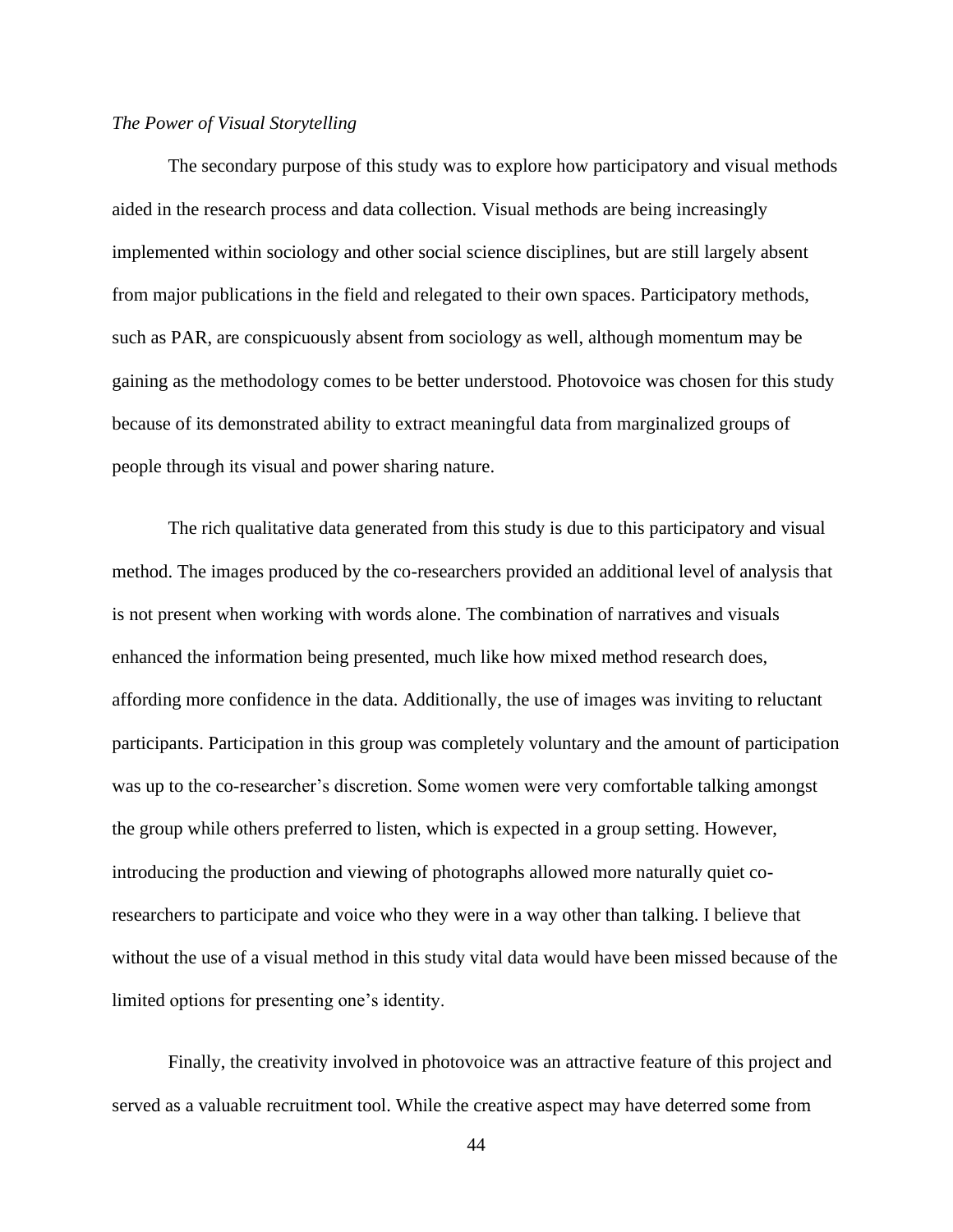#### <span id="page-48-0"></span>*The Power of Visual Storytelling*

The secondary purpose of this study was to explore how participatory and visual methods aided in the research process and data collection. Visual methods are being increasingly implemented within sociology and other social science disciplines, but are still largely absent from major publications in the field and relegated to their own spaces. Participatory methods, such as PAR, are conspicuously absent from sociology as well, although momentum may be gaining as the methodology comes to be better understood. Photovoice was chosen for this study because of its demonstrated ability to extract meaningful data from marginalized groups of people through its visual and power sharing nature.

The rich qualitative data generated from this study is due to this participatory and visual method. The images produced by the co-researchers provided an additional level of analysis that is not present when working with words alone. The combination of narratives and visuals enhanced the information being presented, much like how mixed method research does, affording more confidence in the data. Additionally, the use of images was inviting to reluctant participants. Participation in this group was completely voluntary and the amount of participation was up to the co-researcher's discretion. Some women were very comfortable talking amongst the group while others preferred to listen, which is expected in a group setting. However, introducing the production and viewing of photographs allowed more naturally quiet coresearchers to participate and voice who they were in a way other than talking. I believe that without the use of a visual method in this study vital data would have been missed because of the limited options for presenting one's identity.

Finally, the creativity involved in photovoice was an attractive feature of this project and served as a valuable recruitment tool. While the creative aspect may have deterred some from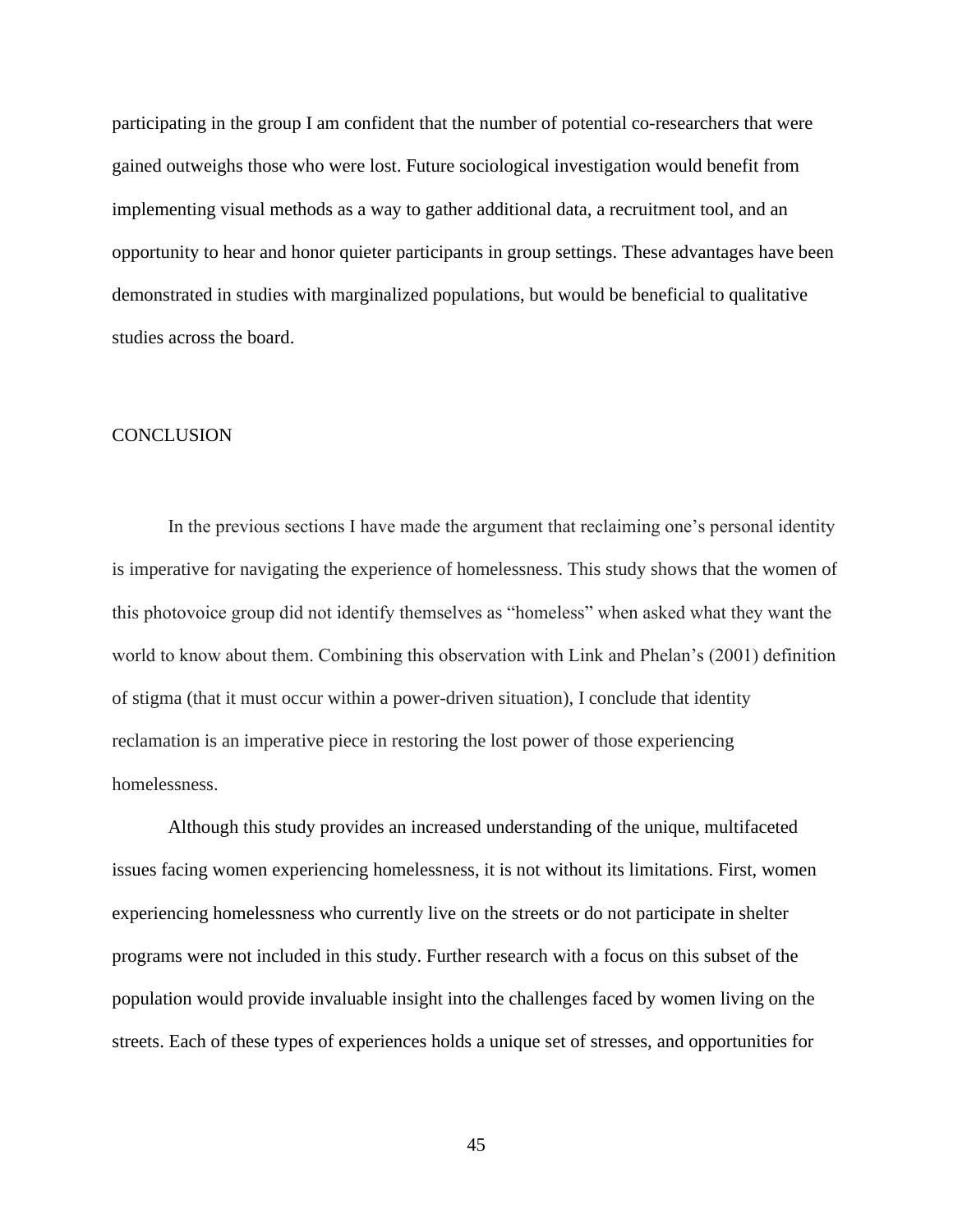participating in the group I am confident that the number of potential co-researchers that were gained outweighs those who were lost. Future sociological investigation would benefit from implementing visual methods as a way to gather additional data, a recruitment tool, and an opportunity to hear and honor quieter participants in group settings. These advantages have been demonstrated in studies with marginalized populations, but would be beneficial to qualitative studies across the board.

### <span id="page-49-0"></span>**CONCLUSION**

In the previous sections I have made the argument that reclaiming one's personal identity is imperative for navigating the experience of homelessness. This study shows that the women of this photovoice group did not identify themselves as "homeless" when asked what they want the world to know about them. Combining this observation with Link and Phelan's (2001) definition of stigma (that it must occur within a power-driven situation), I conclude that identity reclamation is an imperative piece in restoring the lost power of those experiencing homelessness.

Although this study provides an increased understanding of the unique, multifaceted issues facing women experiencing homelessness, it is not without its limitations. First, women experiencing homelessness who currently live on the streets or do not participate in shelter programs were not included in this study. Further research with a focus on this subset of the population would provide invaluable insight into the challenges faced by women living on the streets. Each of these types of experiences holds a unique set of stresses, and opportunities for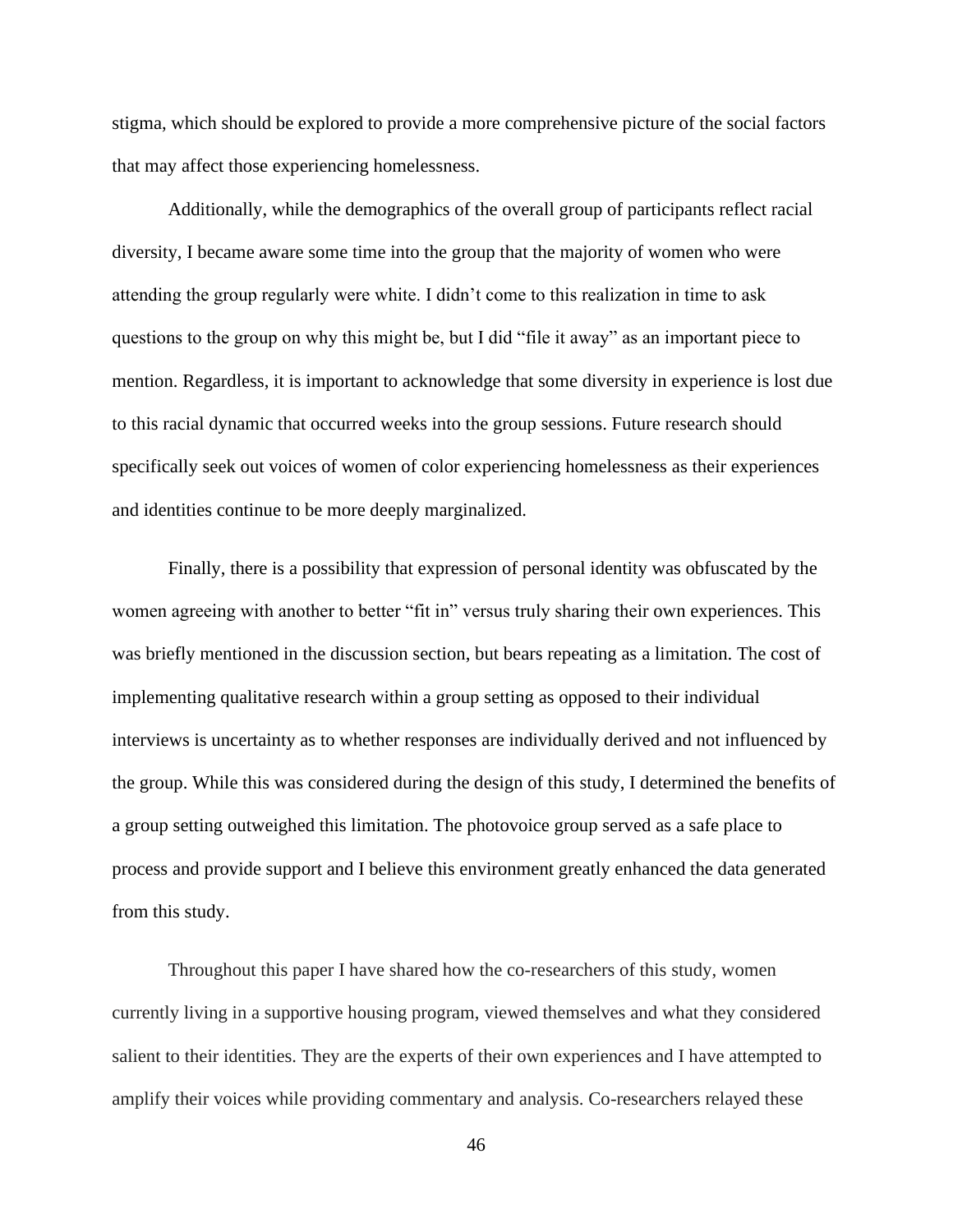stigma, which should be explored to provide a more comprehensive picture of the social factors that may affect those experiencing homelessness.

Additionally, while the demographics of the overall group of participants reflect racial diversity, I became aware some time into the group that the majority of women who were attending the group regularly were white. I didn't come to this realization in time to ask questions to the group on why this might be, but I did "file it away" as an important piece to mention. Regardless, it is important to acknowledge that some diversity in experience is lost due to this racial dynamic that occurred weeks into the group sessions. Future research should specifically seek out voices of women of color experiencing homelessness as their experiences and identities continue to be more deeply marginalized.

Finally, there is a possibility that expression of personal identity was obfuscated by the women agreeing with another to better "fit in" versus truly sharing their own experiences. This was briefly mentioned in the discussion section, but bears repeating as a limitation. The cost of implementing qualitative research within a group setting as opposed to their individual interviews is uncertainty as to whether responses are individually derived and not influenced by the group. While this was considered during the design of this study, I determined the benefits of a group setting outweighed this limitation. The photovoice group served as a safe place to process and provide support and I believe this environment greatly enhanced the data generated from this study.

Throughout this paper I have shared how the co-researchers of this study, women currently living in a supportive housing program, viewed themselves and what they considered salient to their identities. They are the experts of their own experiences and I have attempted to amplify their voices while providing commentary and analysis. Co-researchers relayed these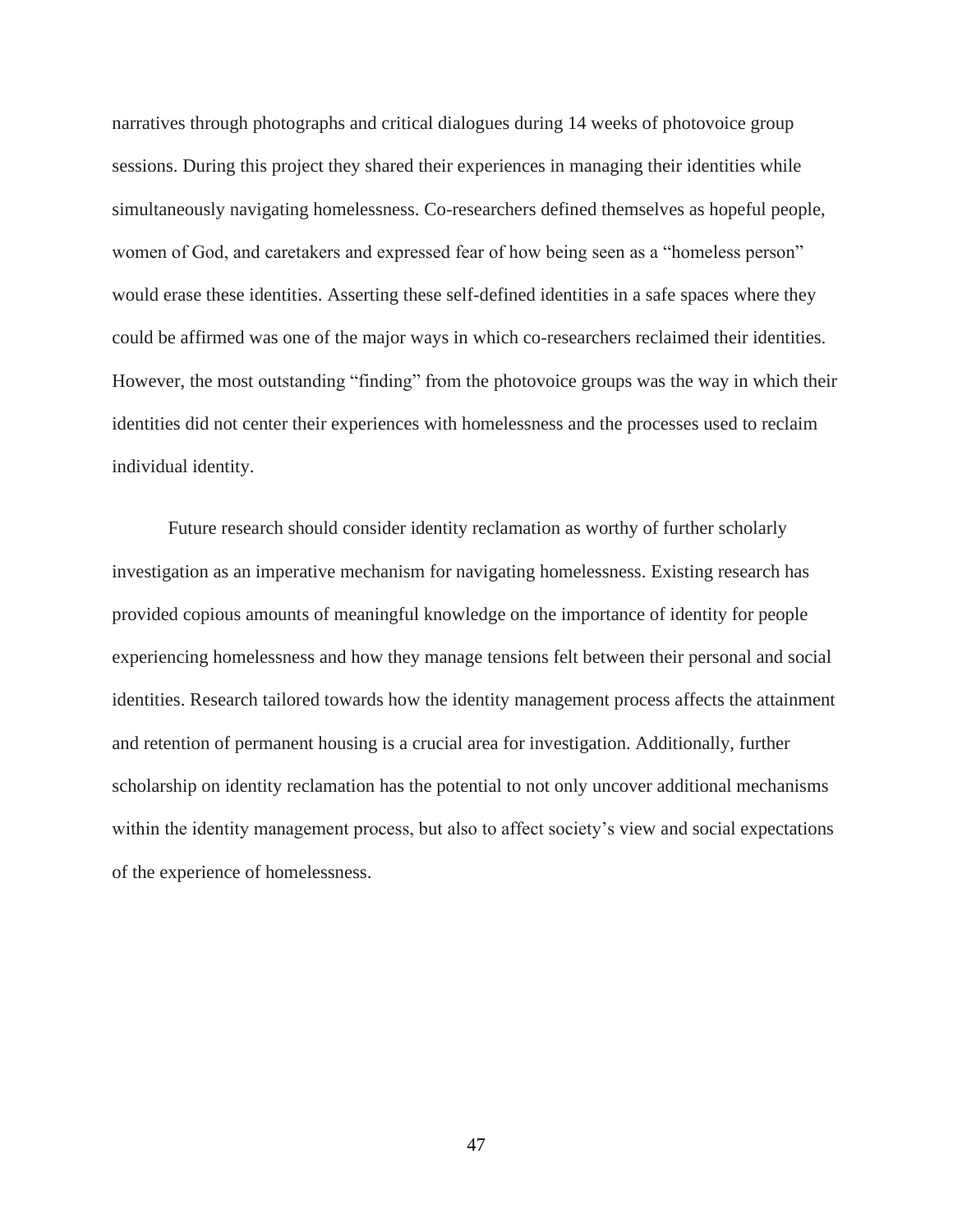narratives through photographs and critical dialogues during 14 weeks of photovoice group sessions. During this project they shared their experiences in managing their identities while simultaneously navigating homelessness. Co-researchers defined themselves as hopeful people, women of God, and caretakers and expressed fear of how being seen as a "homeless person" would erase these identities. Asserting these self-defined identities in a safe spaces where they could be affirmed was one of the major ways in which co-researchers reclaimed their identities. However, the most outstanding "finding" from the photovoice groups was the way in which their identities did not center their experiences with homelessness and the processes used to reclaim individual identity.

Future research should consider identity reclamation as worthy of further scholarly investigation as an imperative mechanism for navigating homelessness. Existing research has provided copious amounts of meaningful knowledge on the importance of identity for people experiencing homelessness and how they manage tensions felt between their personal and social identities. Research tailored towards how the identity management process affects the attainment and retention of permanent housing is a crucial area for investigation. Additionally, further scholarship on identity reclamation has the potential to not only uncover additional mechanisms within the identity management process, but also to affect society's view and social expectations of the experience of homelessness.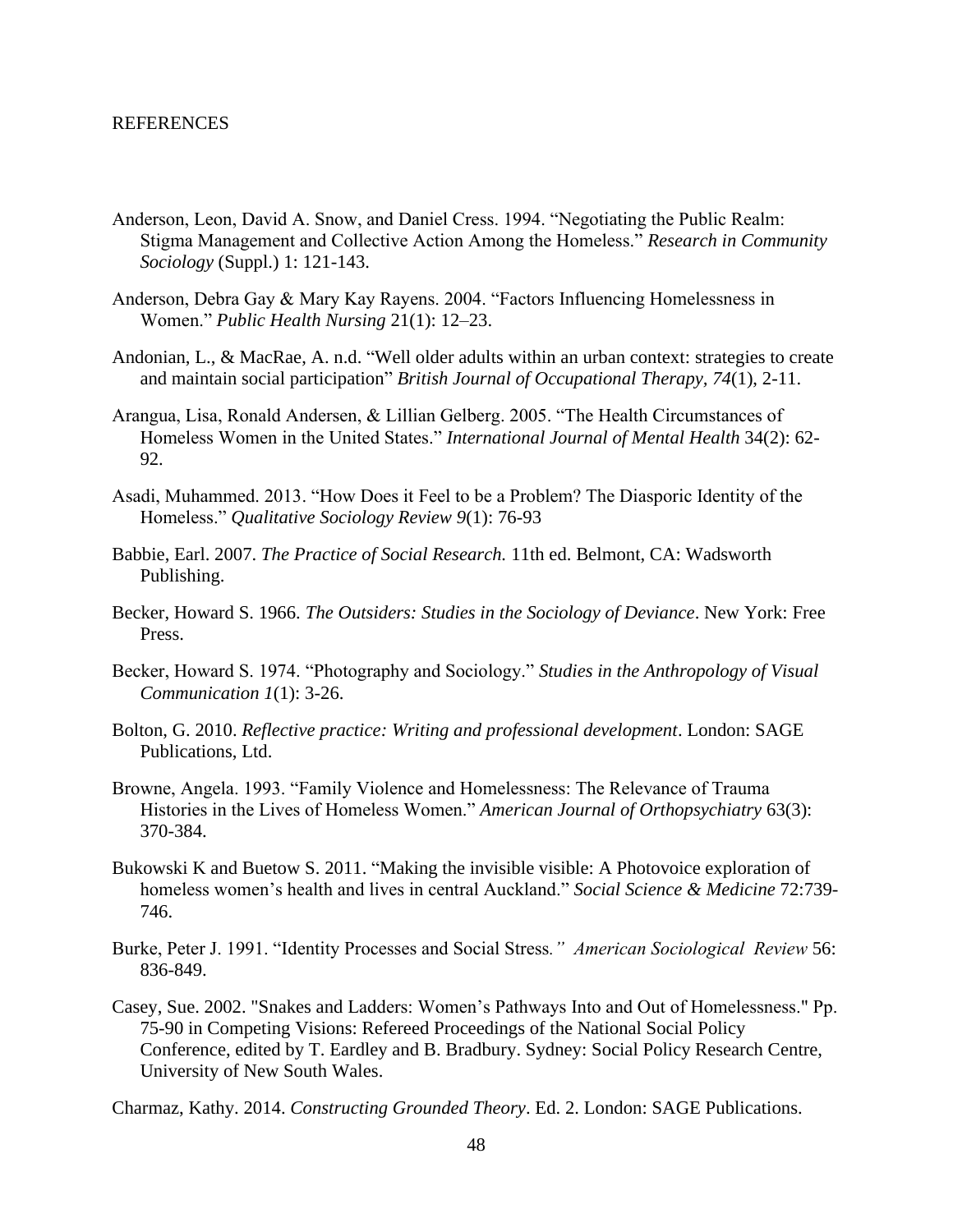#### <span id="page-52-0"></span>REFERENCES

- Anderson, Leon, David A. Snow, and Daniel Cress. 1994. "Negotiating the Public Realm: Stigma Management and Collective Action Among the Homeless." *Research in Community Sociology* (Suppl.) 1: 121-143.
- Anderson, Debra Gay & Mary Kay Rayens. 2004. "Factors Influencing Homelessness in Women." *Public Health Nursing* 21(1): 12–23.
- Andonian, L., & MacRae, A. n.d. "Well older adults within an urban context: strategies to create and maintain social participation" *British Journal of Occupational Therapy, 74*(1), 2-11.
- Arangua, Lisa, Ronald Andersen, & Lillian Gelberg. 2005. "The Health Circumstances of Homeless Women in the United States." *International Journal of Mental Health* 34(2): 62- 92.
- Asadi, Muhammed. 2013. "How Does it Feel to be a Problem? The Diasporic Identity of the Homeless." *Qualitative Sociology Review 9*(1): 76-93
- Babbie, Earl. 2007. *The Practice of Social Research.* 11th ed. Belmont, CA: Wadsworth Publishing.
- Becker, Howard S. 1966. *The Outsiders: Studies in the Sociology of Deviance*. New York: Free Press.
- Becker, Howard S. 1974. "Photography and Sociology." *Studies in the Anthropology of Visual Communication 1*(1): 3-26.
- Bolton, G. 2010. *Reflective practice: Writing and professional development*. London: SAGE Publications, Ltd.
- Browne, Angela. 1993. "Family Violence and Homelessness: The Relevance of Trauma Histories in the Lives of Homeless Women." *American Journal of Orthopsychiatry* 63(3): 370-384.
- Bukowski K and Buetow S. 2011. "Making the invisible visible: A Photovoice exploration of homeless women's health and lives in central Auckland." *Social Science & Medicine* 72:739- 746.
- Burke, Peter J. 1991. "Identity Processes and Social Stress*." American Sociological Review* 56: 836-849.
- Casey, Sue. 2002. "Snakes and Ladders: Women's Pathways Into and Out of Homelessness." Pp. 75-90 in Competing Visions: Refereed Proceedings of the National Social Policy Conference, edited by T. Eardley and B. Bradbury. Sydney: Social Policy Research Centre, University of New South Wales.
- Charmaz, Kathy. 2014. *Constructing Grounded Theory*. Ed. 2. London: SAGE Publications.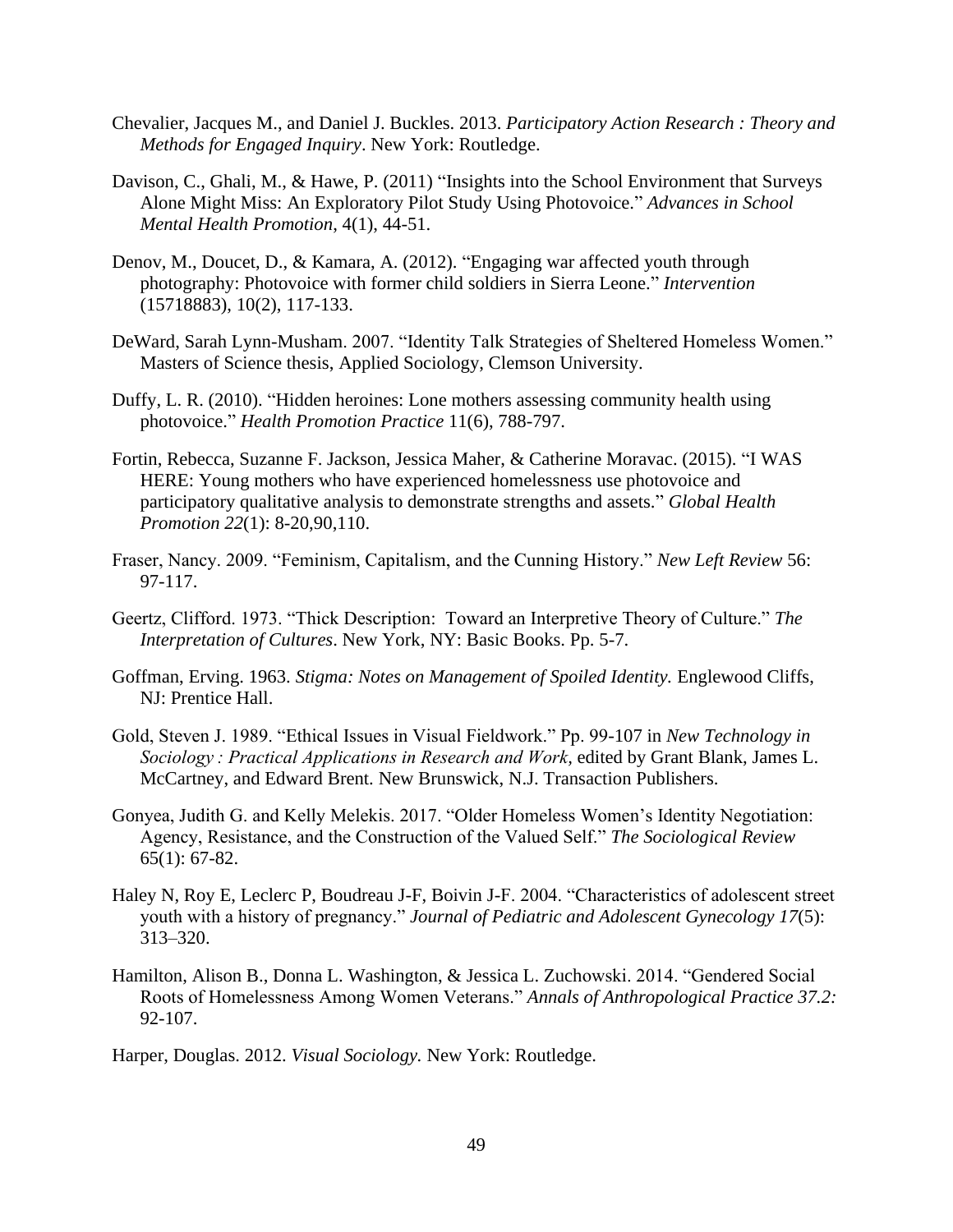- Chevalier, Jacques M., and Daniel J. Buckles. 2013. *Participatory Action Research : Theory and Methods for Engaged Inquiry*. New York: Routledge.
- Davison, C., Ghali, M., & Hawe, P. (2011) "Insights into the School Environment that Surveys Alone Might Miss: An Exploratory Pilot Study Using Photovoice." *Advances in School Mental Health Promotion*, 4(1), 44-51.
- Denov, M., Doucet, D., & Kamara, A. (2012). "Engaging war affected youth through photography: Photovoice with former child soldiers in Sierra Leone." *Intervention*  (15718883), 10(2), 117-133.
- DeWard, Sarah Lynn-Musham. 2007. "Identity Talk Strategies of Sheltered Homeless Women." Masters of Science thesis, Applied Sociology, Clemson University.
- Duffy, L. R. (2010). "Hidden heroines: Lone mothers assessing community health using photovoice." *Health Promotion Practice* 11(6), 788-797.
- Fortin, Rebecca, Suzanne F. Jackson, Jessica Maher, & Catherine Moravac. (2015). "I WAS HERE: Young mothers who have experienced homelessness use photovoice and participatory qualitative analysis to demonstrate strengths and assets." *Global Health Promotion 22*(1): 8-20,90,110.
- Fraser, Nancy. 2009. "Feminism, Capitalism, and the Cunning History." *New Left Review* 56: 97-117.
- Geertz, Clifford. 1973. "Thick Description: Toward an Interpretive Theory of Culture." *The Interpretation of Cultures*. New York, NY: Basic Books. Pp. 5-7.
- Goffman, Erving. 1963. *Stigma: Notes on Management of Spoiled Identity.* Englewood Cliffs, NJ: Prentice Hall.
- Gold, Steven J. 1989. "Ethical Issues in Visual Fieldwork." Pp. 99-107 in *New Technology in Sociology : Practical Applications in Research and Work,* edited by Grant Blank, James L. McCartney, and Edward Brent. New Brunswick, N.J. Transaction Publishers.
- Gonyea, Judith G. and Kelly Melekis. 2017. "Older Homeless Women's Identity Negotiation: Agency, Resistance, and the Construction of the Valued Self." *The Sociological Review* 65(1): 67-82.
- Haley N, Roy E, Leclerc P, Boudreau J-F, Boivin J-F. 2004. "Characteristics of adolescent street youth with a history of pregnancy." *Journal of Pediatric and Adolescent Gynecology 17*(5): 313–320.
- Hamilton, Alison B., Donna L. Washington, & Jessica L. Zuchowski. 2014. "Gendered Social Roots of Homelessness Among Women Veterans." *Annals of Anthropological Practice 37.2:*  92-107.

Harper, Douglas. 2012. *Visual Sociology.* New York: Routledge.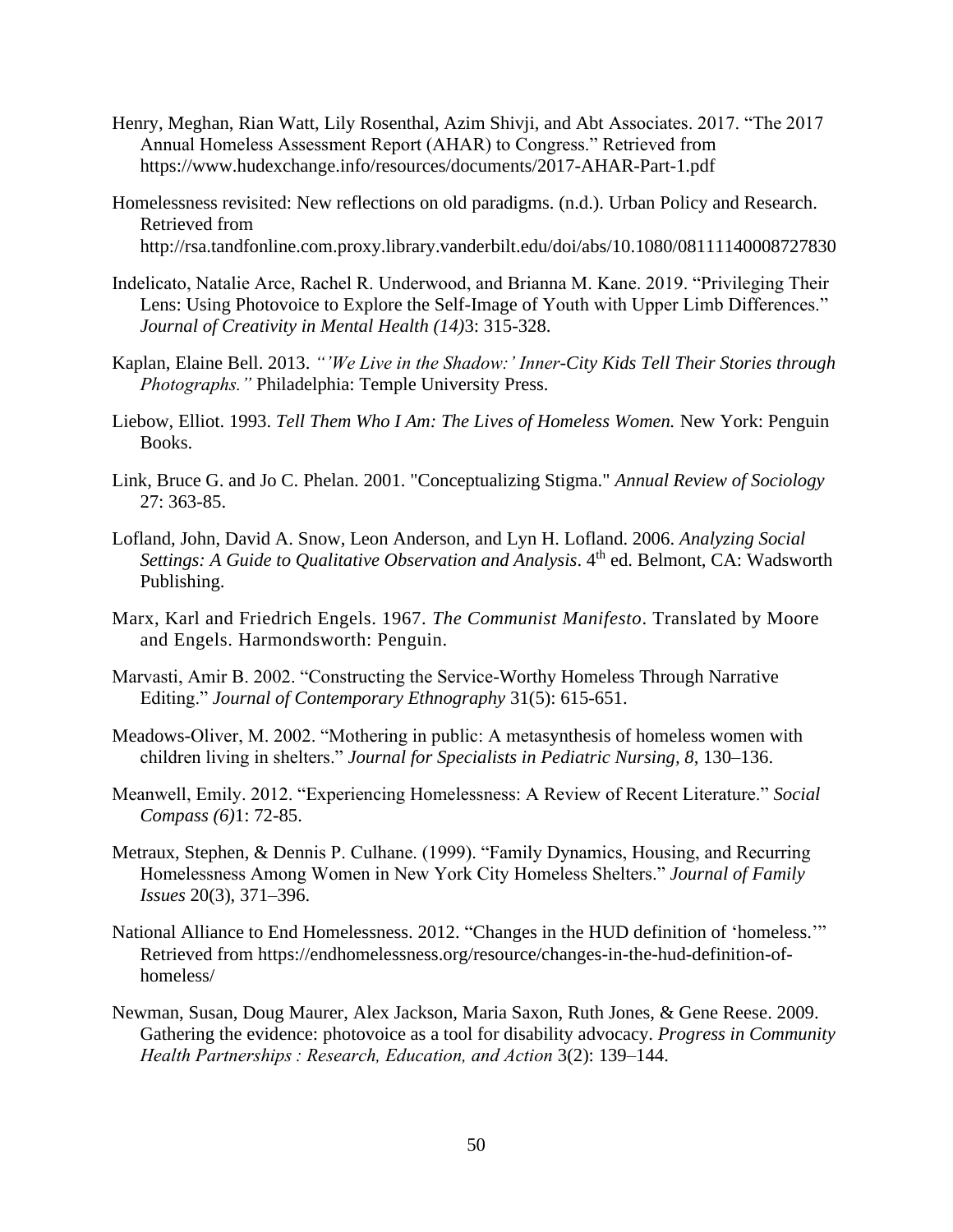- Henry, Meghan, Rian Watt, Lily Rosenthal, Azim Shivji, and Abt Associates. 2017. "The 2017 Annual Homeless Assessment Report (AHAR) to Congress." Retrieved from https://www.hudexchange.info/resources/documents/2017-AHAR-Part-1.pdf
- Homelessness revisited: New reflections on old paradigms. (n.d.). Urban Policy and Research. Retrieved from http://rsa.tandfonline.com.proxy.library.vanderbilt.edu/doi/abs/10.1080/08111140008727830
- Indelicato, Natalie Arce, Rachel R. Underwood, and Brianna M. Kane. 2019. "Privileging Their Lens: Using Photovoice to Explore the Self-Image of Youth with Upper Limb Differences." *Journal of Creativity in Mental Health (14)*3: 315-328.
- Kaplan, Elaine Bell. 2013. *"'We Live in the Shadow:' Inner-City Kids Tell Their Stories through Photographs."* Philadelphia: Temple University Press.
- Liebow, Elliot. 1993. *Tell Them Who I Am: The Lives of Homeless Women.* New York: Penguin Books.
- Link, Bruce G. and Jo C. Phelan. 2001. "Conceptualizing Stigma." *Annual Review of Sociology*  27: 363-85.
- Lofland, John, David A. Snow, Leon Anderson, and Lyn H. Lofland. 2006. *Analyzing Social*  Settings: A Guide to Qualitative Observation and Analysis. 4<sup>th</sup> ed. Belmont, CA: Wadsworth Publishing.
- Marx, Karl and Friedrich Engels. 1967. *The Communist Manifesto*. Translated by Moore and Engels. Harmondsworth: Penguin.
- Marvasti, Amir B. 2002. "Constructing the Service-Worthy Homeless Through Narrative Editing." *Journal of Contemporary Ethnography* 31(5): 615-651.
- Meadows-Oliver, M. 2002. "Mothering in public: A metasynthesis of homeless women with children living in shelters." *Journal for Specialists in Pediatric Nursing, 8*, 130–136.
- Meanwell, Emily. 2012. "Experiencing Homelessness: A Review of Recent Literature." *Social Compass (6)*1: 72-85.
- Metraux, Stephen, & Dennis P. Culhane. (1999). "Family Dynamics, Housing, and Recurring Homelessness Among Women in New York City Homeless Shelters." *Journal of Family Issues* 20(3), 371–396.
- National Alliance to End Homelessness. 2012. "Changes in the HUD definition of 'homeless.'" Retrieved from https://endhomelessness.org/resource/changes-in-the-hud-definition-ofhomeless/
- Newman, Susan, Doug Maurer, Alex Jackson, Maria Saxon, Ruth Jones, & Gene Reese. 2009. Gathering the evidence: photovoice as a tool for disability advocacy. *Progress in Community Health Partnerships : Research, Education, and Action* 3(2): 139–144.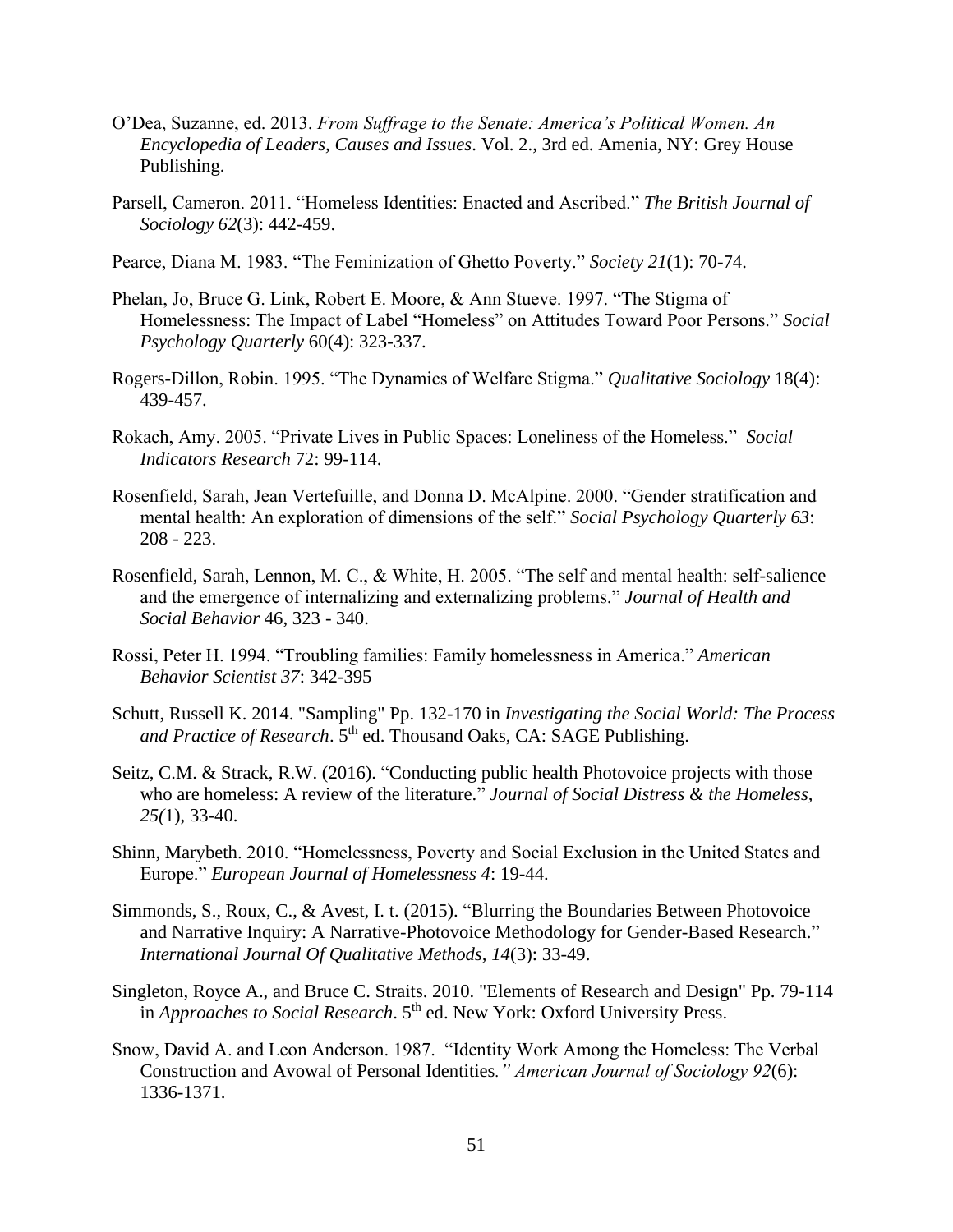- O'Dea, Suzanne, ed. 2013. *From Suffrage to the Senate: America's Political Women. An Encyclopedia of Leaders, Causes and Issues*. Vol. 2., 3rd ed. Amenia, NY: Grey House Publishing.
- Parsell, Cameron. 2011. "Homeless Identities: Enacted and Ascribed." *The British Journal of Sociology 62*(3): 442-459.
- Pearce, Diana M. 1983. "The Feminization of Ghetto Poverty." *Society 21*(1): 70-74.
- Phelan, Jo, Bruce G. Link, Robert E. Moore, & Ann Stueve. 1997. "The Stigma of Homelessness: The Impact of Label "Homeless" on Attitudes Toward Poor Persons." *Social Psychology Quarterly* 60(4): 323-337.
- Rogers-Dillon, Robin. 1995. "The Dynamics of Welfare Stigma." *Qualitative Sociology* 18(4): 439-457.
- Rokach, Amy. 2005. "Private Lives in Public Spaces: Loneliness of the Homeless." *Social Indicators Research* 72: 99-114.
- Rosenfield, Sarah, Jean Vertefuille, and Donna D. McAlpine. 2000. "Gender stratification and mental health: An exploration of dimensions of the self." *Social Psychology Quarterly 63*: 208 - 223.
- Rosenfield, Sarah, Lennon, M. C., & White, H. 2005. "The self and mental health: self-salience and the emergence of internalizing and externalizing problems." *Journal of Health and Social Behavior* 46, 323 - 340.
- Rossi, Peter H. 1994. "Troubling families: Family homelessness in America." *American Behavior Scientist 37*: 342-395
- Schutt, Russell K. 2014. "Sampling" Pp. 132-170 in *Investigating the Social World: The Process*  and Practice of Research. 5<sup>th</sup> ed. Thousand Oaks, CA: SAGE Publishing.
- Seitz, C.M. & Strack, R.W. (2016). "Conducting public health Photovoice projects with those who are homeless: A review of the literature." *Journal of Social Distress & the Homeless, 25(*1), 33-40.
- Shinn, Marybeth. 2010. "Homelessness, Poverty and Social Exclusion in the United States and Europe." *European Journal of Homelessness 4*: 19-44.
- Simmonds, S., Roux, C., & Avest, I. t. (2015). "Blurring the Boundaries Between Photovoice and Narrative Inquiry: A Narrative-Photovoice Methodology for Gender-Based Research." *International Journal Of Qualitative Methods, 14*(3): 33-49.
- Singleton, Royce A., and Bruce C. Straits. 2010. "Elements of Research and Design" Pp. 79-114 in *Approaches to Social Research*. 5<sup>th</sup> ed. New York: Oxford University Press.
- Snow, David A. and Leon Anderson. 1987. "Identity Work Among the Homeless: The Verbal Construction and Avowal of Personal Identities*." American Journal of Sociology 92*(6): 1336-1371.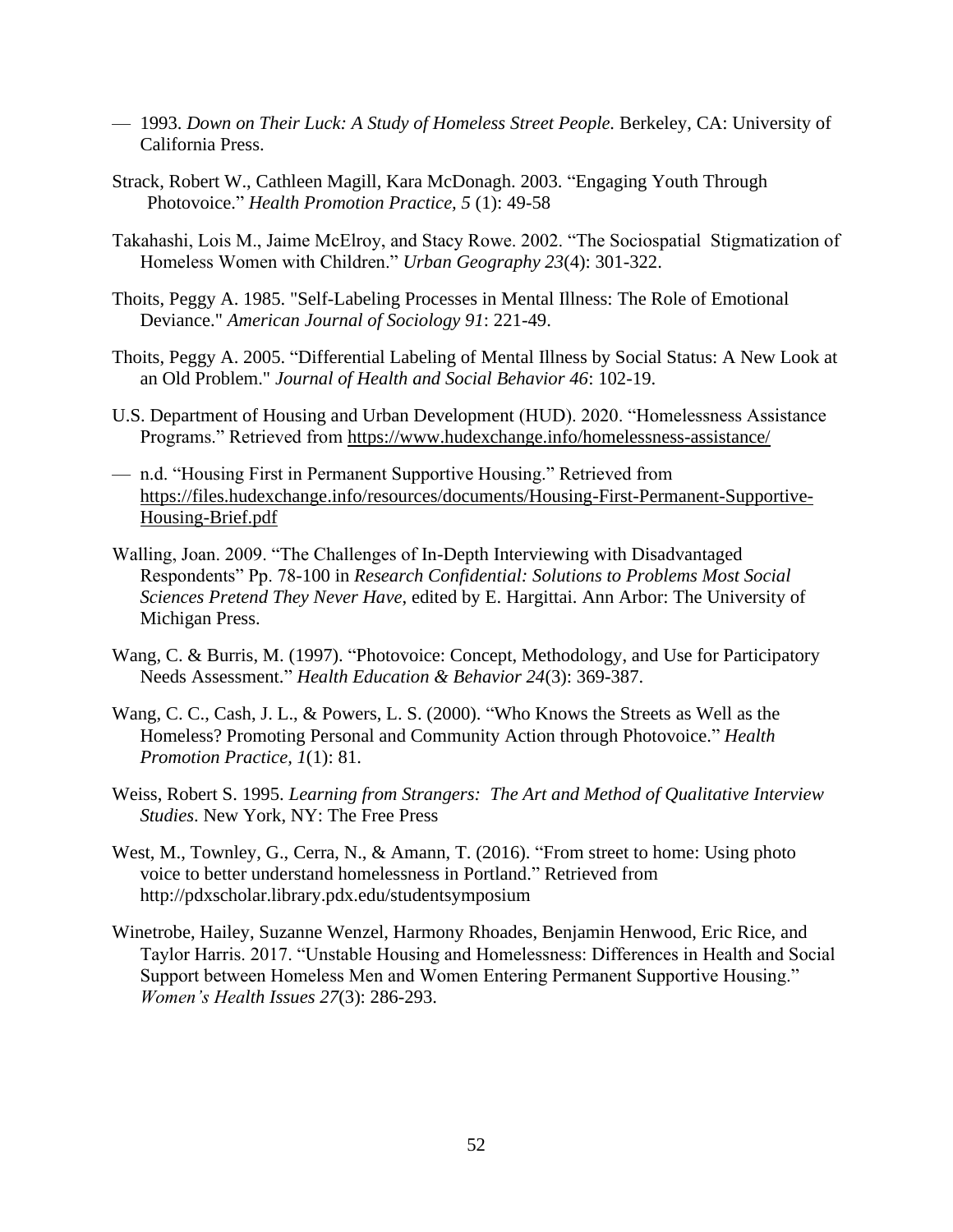- 1993. *Down on Their Luck: A Study of Homeless Street People.* Berkeley, CA: University of California Press.
- Strack, Robert W., Cathleen Magill, Kara McDonagh. 2003. "Engaging Youth Through Photovoice." *Health Promotion Practice, 5* (1): 49-58
- Takahashi, Lois M., Jaime McElroy, and Stacy Rowe. 2002. "The Sociospatial Stigmatization of Homeless Women with Children." *Urban Geography 23*(4): 301-322.
- Thoits, Peggy A. 1985. "Self-Labeling Processes in Mental Illness: The Role of Emotional Deviance." *American Journal of Sociology 91*: 221-49.
- Thoits, Peggy A. 2005. "Differential Labeling of Mental Illness by Social Status: A New Look at an Old Problem." *Journal of Health and Social Behavior 46*: 102-19.
- U.S. Department of Housing and Urban Development (HUD). 2020. "Homelessness Assistance Programs." Retrieved from<https://www.hudexchange.info/homelessness-assistance/>
- n.d. "Housing First in Permanent Supportive Housing." Retrieved from [https://files.hudexchange.info/resources/documents/Housing-First-Permanent-Supportive-](https://files.hudexchange.info/resources/documents/Housing-First-Permanent-Supportive-Housing-Brief.pdf)[Housing-Brief.pdf](https://files.hudexchange.info/resources/documents/Housing-First-Permanent-Supportive-Housing-Brief.pdf)
- Walling, Joan. 2009. "The Challenges of In-Depth Interviewing with Disadvantaged Respondents" Pp. 78-100 in *Research Confidential: Solutions to Problems Most Social Sciences Pretend They Never Have*, edited by E. Hargittai. Ann Arbor: The University of Michigan Press.
- Wang, C. & Burris, M. (1997). "Photovoice: Concept, Methodology, and Use for Participatory Needs Assessment." *Health Education & Behavior 24*(3): 369-387.
- Wang, C. C., Cash, J. L., & Powers, L. S. (2000). "Who Knows the Streets as Well as the Homeless? Promoting Personal and Community Action through Photovoice." *Health Promotion Practice, 1*(1): 81.
- Weiss, Robert S. 1995. *Learning from Strangers: The Art and Method of Qualitative Interview Studies*. New York, NY: The Free Press
- West, M., Townley, G., Cerra, N., & Amann, T. (2016). "From street to home: Using photo voice to better understand homelessness in Portland." Retrieved from <http://pdxscholar.library.pdx.edu/studentsymposium>
- Winetrobe, Hailey, Suzanne Wenzel, Harmony Rhoades, Benjamin Henwood, Eric Rice, and Taylor Harris. 2017. "Unstable Housing and Homelessness: Differences in Health and Social Support between Homeless Men and Women Entering Permanent Supportive Housing." *Women's Health Issues 27*(3): 286-293.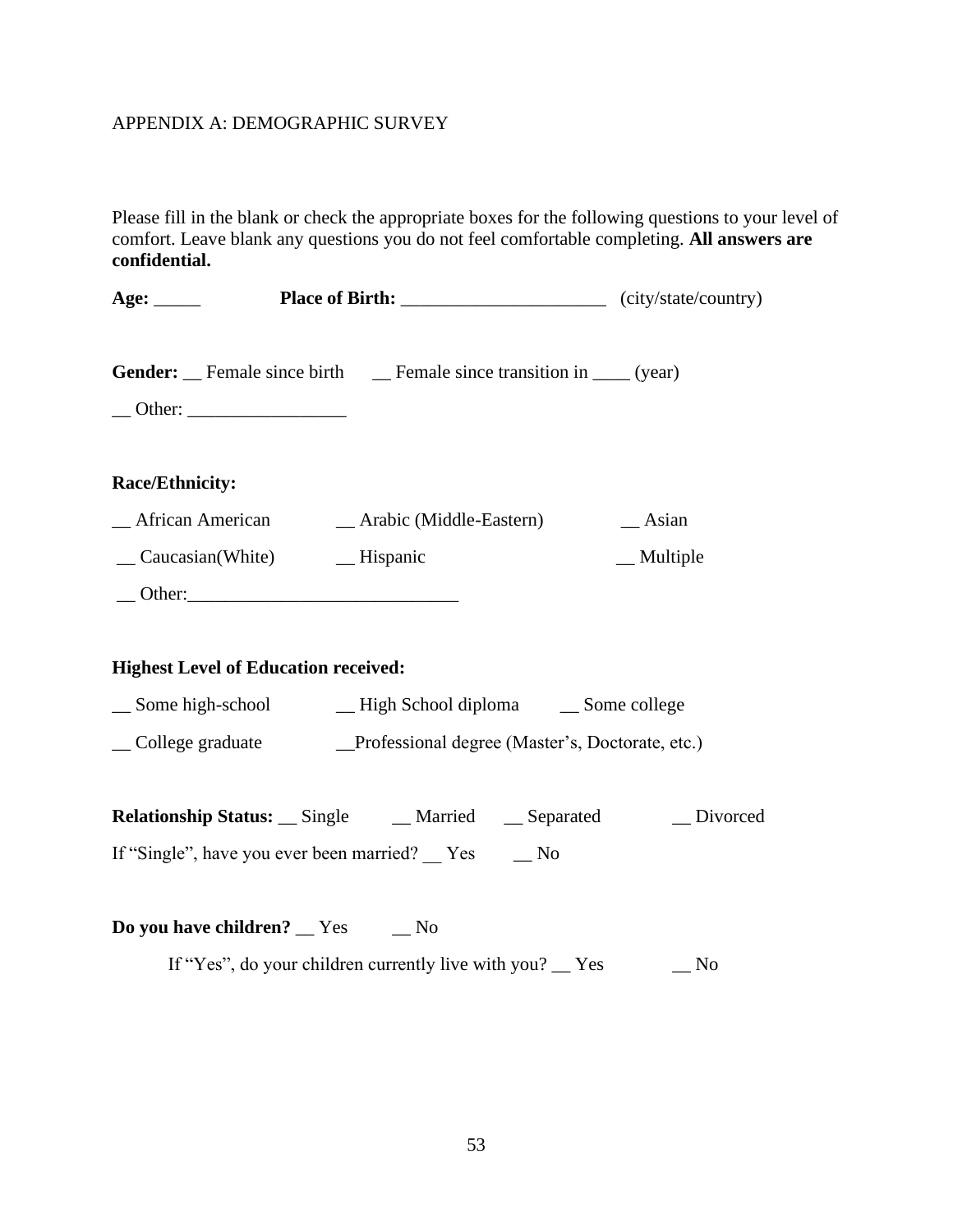## <span id="page-57-0"></span>APPENDIX A: DEMOGRAPHIC SURVEY

Please fill in the blank or check the appropriate boxes for the following questions to your level of comfort. Leave blank any questions you do not feel comfortable completing. **All answers are confidential.**

| Age: $\_\_$                                 | <b>Place of Birth:</b> ________________________________(city/state/country) |                   |
|---------------------------------------------|-----------------------------------------------------------------------------|-------------------|
|                                             | <b>Gender:</b> Female since birth Female since transition in ____ (year)    |                   |
| Race/Ethnicity:                             |                                                                             |                   |
|                                             |                                                                             |                   |
|                                             |                                                                             | $\equiv$ Multiple |
|                                             | $\qquad$ Other:                                                             |                   |
|                                             |                                                                             |                   |
| <b>Highest Level of Education received:</b> |                                                                             |                   |
|                                             |                                                                             |                   |
|                                             | College graduate Professional degree (Master's, Doctorate, etc.)            |                   |
|                                             |                                                                             |                   |
|                                             | <b>Relationship Status:</b> __ Single ___ __ Married ___ __ Separated       | Divorced          |
|                                             | If "Single", have you ever been married? __ Yes __ No                       |                   |
|                                             |                                                                             |                   |

**Do you have children?** <u>\_\_</u> Yes \_\_ No

If "Yes", do your children currently live with you? \_\_ Yes \_\_ No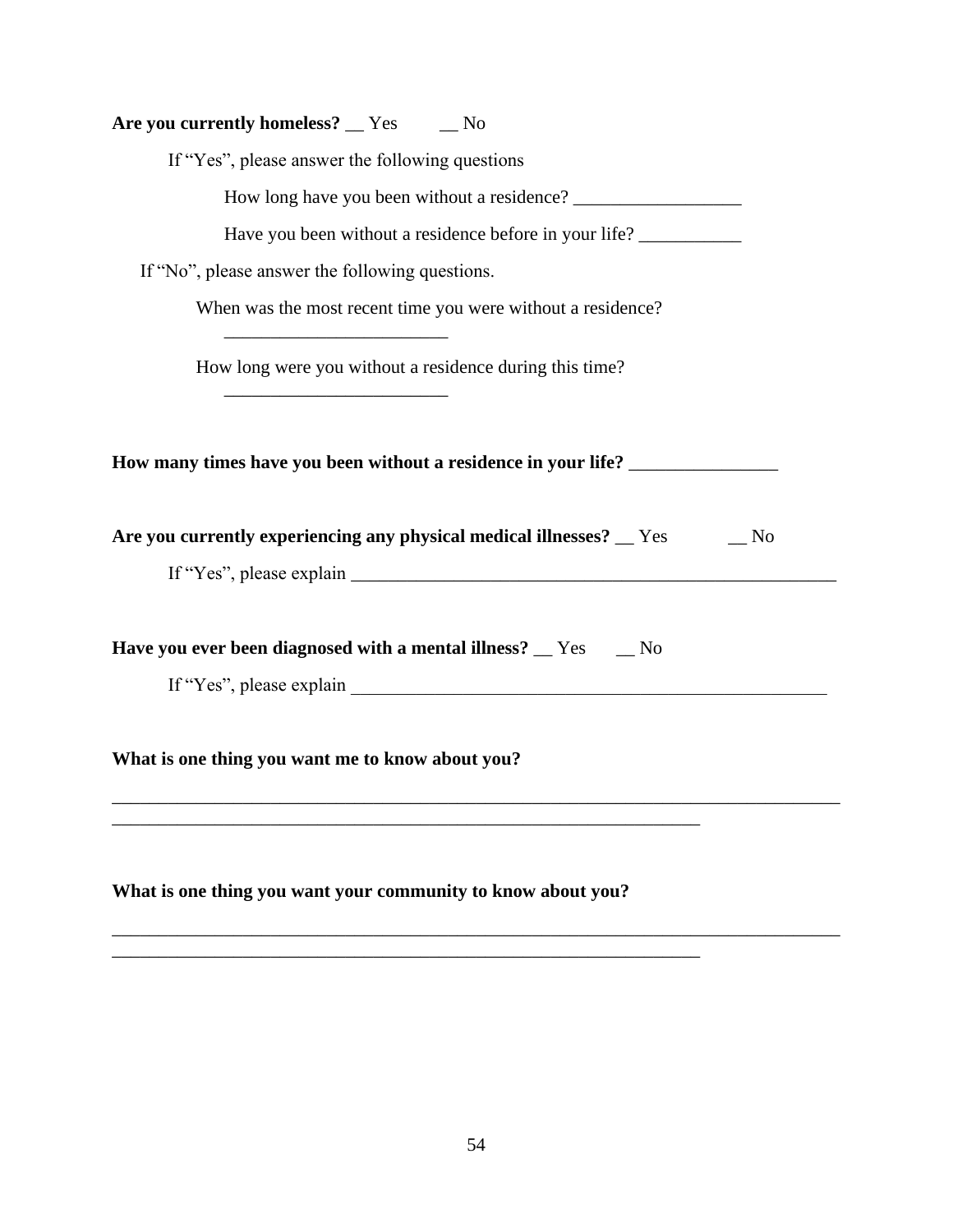| Are you currently homeless? |  | Yes | No |
|-----------------------------|--|-----|----|
|-----------------------------|--|-----|----|

If "Yes", please answer the following questions

How long have you been without a residence?

Have you been without a residence before in your life? \_\_\_\_\_\_\_\_\_\_\_\_\_\_\_\_\_\_\_\_\_\_\_\_\_

If "No", please answer the following questions.

\_\_\_\_\_\_\_\_\_\_\_\_\_\_\_\_\_\_\_\_\_\_\_\_

\_\_\_\_\_\_\_\_\_\_\_\_\_\_\_\_\_\_\_\_\_\_\_\_

When was the most recent time you were without a residence?

How long were you without a residence during this time?

**How many times have you been without a residence in your life?** \_\_\_\_\_\_\_\_\_\_\_\_\_\_\_\_

| Are you currently experiencing any physical medical illnesses? _ |  | N <sub>0</sub> |
|------------------------------------------------------------------|--|----------------|
|------------------------------------------------------------------|--|----------------|

If "Yes", please explain  $\Box$ 

\_\_\_\_\_\_\_\_\_\_\_\_\_\_\_\_\_\_\_\_\_\_\_\_\_\_\_\_\_\_\_\_\_\_\_\_\_\_\_\_\_\_\_\_\_\_\_\_\_\_\_\_\_\_\_\_\_\_\_\_\_\_\_\_\_\_\_\_\_\_\_\_\_\_\_\_\_\_

\_\_\_\_\_\_\_\_\_\_\_\_\_\_\_\_\_\_\_\_\_\_\_\_\_\_\_\_\_\_\_\_\_\_\_\_\_\_\_\_\_\_\_\_\_\_\_\_\_\_\_\_\_\_\_\_\_\_\_\_\_\_\_\_\_\_\_\_\_\_\_\_\_\_\_\_\_\_

**Have you ever been diagnosed with a mental illness?** \_\_ Yes \_\_ No

If "Yes", please explain

**What is one thing you want me to know about you?**

**What is one thing you want your community to know about you?**

\_\_\_\_\_\_\_\_\_\_\_\_\_\_\_\_\_\_\_\_\_\_\_\_\_\_\_\_\_\_\_\_\_\_\_\_\_\_\_\_\_\_\_\_\_\_\_\_\_\_\_\_\_\_\_\_\_\_\_\_\_\_\_

\_\_\_\_\_\_\_\_\_\_\_\_\_\_\_\_\_\_\_\_\_\_\_\_\_\_\_\_\_\_\_\_\_\_\_\_\_\_\_\_\_\_\_\_\_\_\_\_\_\_\_\_\_\_\_\_\_\_\_\_\_\_\_